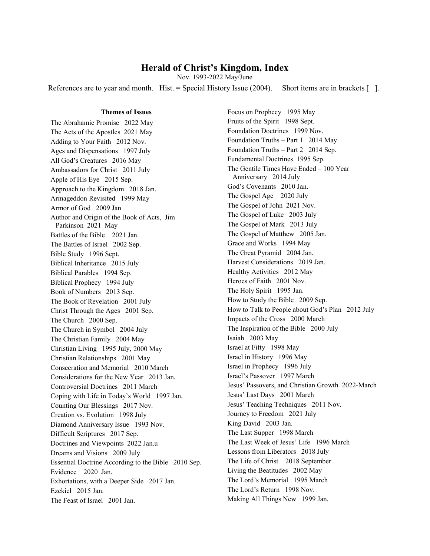# **Herald of Christ's Kingdom, Index**

Nov. 1993-2022 May/June

References are to year and month. Hist. = Special History Issue  $(2004)$ . Short items are in brackets [1].

## **Themes of Issues**

The Abrahamic Promise 2022 May The Acts of the Apostles 2021 May Adding to Your Faith 2012 Nov. Ages and Dispensations 1997 July All God's Creatures 2016 May Ambassadors for Christ 2011 July Apple of His Eye 2015 Sep. Approach to the Kingdom 2018 Jan. Armageddon Revisited 1999 May Armor of God 2009 Jan Author and Origin of the Book of Acts, Jim Parkinson 2021 May Battles of the Bible 2021 Jan. The Battles of Israel 2002 Sep. Bible Study 1996 Sept. Biblical Inheritance 2015 July Biblical Parables 1994 Sep. Biblical Prophecy 1994 July Book of Numbers 2013 Sep. The Book of Revelation 2001 July Christ Through the Ages 2001 Sep. The Church 2000 Sep. The Church in Symbol 2004 July The Christian Family 2004 May Christian Living 1995 July, 2000 May Christian Relationships 2001 May Consecration and Memorial 2010 March Considerations for the New Year 2013 Jan. Controversial Doctrines 2011 March Coping with Life in Today's World 1997 Jan. Counting Our Blessings 2017 Nov. Creation vs. Evolution 1998 July Diamond Anniversary Issue 1993 Nov. Difficult Scriptures 2017 Sep. Doctrines and Viewpoints 2022 Jan.u Dreams and Visions 2009 July Essential Doctrine According to the Bible 2010 Sep. Evidence 2020 Jan. Exhortations, with a Deeper Side 2017 Jan. Ezekiel 2015 Jan. The Feast of Israel 2001 Jan.

Focus on Prophecy 1995 May Fruits of the Spirit 1998 Sept. Foundation Doctrines 1999 Nov. Foundation Truths – Part 1 2014 May Foundation Truths – Part 2 2014 Sep. Fundamental Doctrines 1995 Sep. The Gentile Times Have Ended – 100 Year Anniversary 2014 July God's Covenants 2010 Jan. The Gospel Age 2020 July The Gospel of John 2021 Nov. The Gospel of Luke 2003 July The Gospel of Mark 2013 July The Gospel of Matthew 2005 Jan. Grace and Works 1994 May The Great Pyramid 2004 Jan. Harvest Considerations 2019 Jan. Healthy Activities 2012 May Heroes of Faith 2001 Nov. The Holy Spirit 1995 Jan. How to Study the Bible 2009 Sep. How to Talk to People about God's Plan 2012 July Impacts of the Cross 2000 March The Inspiration of the Bible 2000 July Isaiah 2003 May Israel at Fifty 1998 May Israel in History 1996 May Israel in Prophecy 1996 July Israel's Passover 1997 March Jesus' Passovers, and Christian Growth 2022-March Jesus' Last Days 2001 March Jesus' Teaching Techniques 2011 Nov. Journey to Freedom 2021 July King David 2003 Jan. The Last Supper 1998 March The Last Week of Jesus' Life 1996 March Lessons from Liberators 2018 July The Life of Christ 2018 September Living the Beatitudes 2002 May The Lord's Memorial 1995 March The Lord's Return 1998 Nov. Making All Things New 1999 Jan.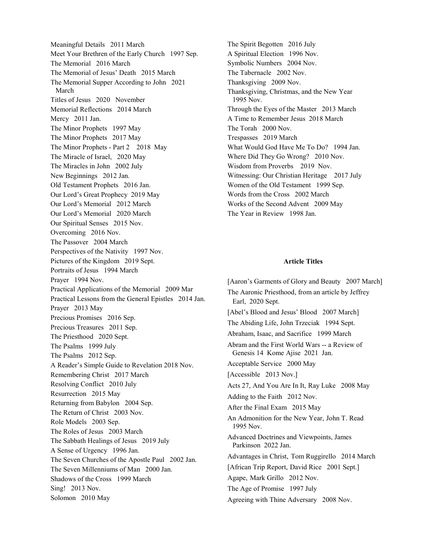Meaningful Details 2011 March Meet Your Brethren of the Early Church 1997 Sep. The Memorial 2016 March The Memorial of Jesus' Death 2015 March The Memorial Supper According to John 2021 March Titles of Jesus 2020 November Memorial Reflections 2014 March Mercy 2011 Jan. The Minor Prophets 1997 May The Minor Prophets 2017 May The Minor Prophets - Part 2 2018 May The Miracle of Israel, 2020 May The Miracles in John 2002 July New Beginnings 2012 Jan. Old Testament Prophets 2016 Jan. Our Lord's Great Prophecy 2019 May Our Lord's Memorial 2012 March Our Lord's Memorial 2020 March Our Spiritual Senses 2015 Nov. Overcoming 2016 Nov. The Passover 2004 March Perspectives of the Nativity 1997 Nov. Pictures of the Kingdom 2019 Sept. Portraits of Jesus 1994 March Prayer 1994 Nov. Practical Applications of the Memorial 2009 Mar Practical Lessons from the General Epistles 2014 Jan. Prayer 2013 May Precious Promises 2016 Sep. Precious Treasures 2011 Sep. The Priesthood 2020 Sept. The Psalms 1999 July The Psalms 2012 Sep. A Reader's Simple Guide to Revelation 2018 Nov. Remembering Christ 2017 March Resolving Conflict 2010 July Resurrection 2015 May Returning from Babylon 2004 Sep. The Return of Christ 2003 Nov. Role Models 2003 Sep. The Roles of Jesus 2003 March The Sabbath Healings of Jesus 2019 July A Sense of Urgency 1996 Jan. The Seven Churches of the Apostle Paul 2002 Jan. The Seven Millenniums of Man 2000 Jan. Shadows of the Cross 1999 March Sing! 2013 Nov. Solomon 2010 May

The Spirit Begotten 2016 July A Spiritual Election 1996 Nov. Symbolic Numbers 2004 Nov. The Tabernacle 2002 Nov. Thanksgiving 2009 Nov. Thanksgiving, Christmas, and the New Year 1995 Nov. Through the Eyes of the Master 2013 March A Time to Remember Jesus 2018 March The Torah 2000 Nov. Trespasses 2019 March What Would God Have Me To Do? 1994 Jan. Where Did They Go Wrong? 2010 Nov. Wisdom from Proverbs 2019 Nov. Witnessing: Our Christian Heritage 2017 July Women of the Old Testament 1999 Sep. Words from the Cross 2002 March Works of the Second Advent 2009 May The Year in Review 1998 Jan.

### **Article Titles**

[Aaron's Garments of Glory and Beauty 2007 March] The Aaronic Priesthood, from an article by Jeffrey Earl, 2020 Sept. [Abel's Blood and Jesus' Blood 2007 March] The Abiding Life, John Trzeciak 1994 Sept. Abraham, Isaac, and Sacrifice 1999 March Abram and the First World Wars -- a Review of Genesis 14 Kome Ajise 2021 Jan. Acceptable Service 2000 May [Accessible 2013 Nov.] Acts 27, And You Are In It, Ray Luke 2008 May Adding to the Faith 2012 Nov. After the Final Exam 2015 May An Admonition for the New Year, John T. Read 1995 Nov. Advanced Doctrines and Viewpoints, James Parkinson 2022 Jan. Advantages in Christ, Tom Ruggirello 2014 March [African Trip Report, David Rice 2001 Sept.] Agape, Mark Grillo 2012 Nov. The Age of Promise 1997 July Agreeing with Thine Adversary 2008 Nov.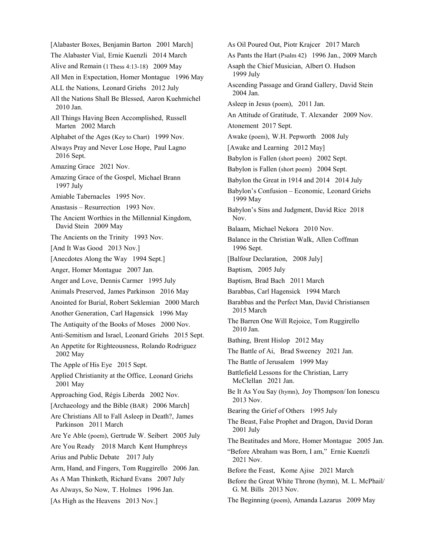[Alabaster Boxes, Benjamin Barton 2001 March] The Alabaster Vial, Ernie Kuenzli 2014 March Alive and Remain (1 Thess 4:13-18) 2009 May All Men in Expectation, Homer Montague 1996 May ALL the Nations, Leonard Griehs 2012 July All the Nations Shall Be Blessed, Aaron Kuehmichel 2010 Jan. All Things Having Been Accomplished, Russell Marten 2002 March Alphabet of the Ages (Key to Chart) 1999 Nov. Always Pray and Never Lose Hope, Paul Lagno 2016 Sept. Amazing Grace 2021 Nov. Amazing Grace of the Gospel, Michael Brann 1997 July Amiable Tabernacles 1995 Nov. Anastasis – Resurrection 1993 Nov. The Ancient Worthies in the Millennial Kingdom, David Stein 2009 May The Ancients on the Trinity 1993 Nov. [And It Was Good 2013 Nov.] [Anecdotes Along the Way 1994 Sept.] Anger, Homer Montague 2007 Jan. Anger and Love, Dennis Carmer 1995 July Animals Preserved, James Parkinson 2016 May Anointed for Burial, Robert Seklemian 2000 March Another Generation, Carl Hagensick 1996 May The Antiquity of the Books of Moses 2000 Nov. Anti-Semitism and Israel, Leonard Griehs 2015 Sept. An Appetite for Righteousness, Rolando Rodriguez 2002 May The Apple of His Eye 2015 Sept. Applied Christianity at the Office, Leonard Griehs 2001 May Approaching God, Régis Liberda 2002 Nov. [Archaeology and the Bible (BAR) 2006 March] Are Christians All to Fall Asleep in Death?, James Parkinson 2011 March Are Ye Able (poem), Gertrude W. Seibert 2005 July Are You Ready 2018 March Kent Humphreys Arius and Public Debate 2017 July Arm, Hand, and Fingers, Tom Ruggirello 2006 Jan. As A Man Thinketh, Richard Evans 2007 July As Always, So Now, T. Holmes 1996 Jan. [As High as the Heavens 2013 Nov.]

As Oil Poured Out, Piotr Krajcer 2017 March As Pants the Hart (Psalm 42) 1996 Jan., 2009 March Asaph the Chief Musician, Albert O. Hudson 1999 July Ascending Passage and Grand Gallery, David Stein 2004 Jan. Asleep in Jesus (poem), 2011 Jan. An Attitude of Gratitude, T. Alexander 2009 Nov. Atonement 2017 Sept. Awake (poem), W.H. Pepworth 2008 July [Awake and Learning 2012 May] Babylon is Fallen (short poem) 2002 Sept. Babylon is Fallen (short poem) 2004 Sept. Babylon the Great in 1914 and 2014 2014 July Babylon's Confusion – Economic, Leonard Griehs 1999 May Babylon's Sins and Judgment, David Rice 2018 Nov. Balaam, Michael Nekora 2010 Nov. Balance in the Christian Walk, Allen Coffman 1996 Sept. [Balfour Declaration, 2008 July] Baptism, 2005 July Baptism, Brad Bach 2011 March Barabbas, Carl Hagensick 1994 March Barabbas and the Perfect Man, David Christiansen 2015 March The Barren One Will Rejoice, Tom Ruggirello 2010 Jan. Bathing, Brent Hislop 2012 May The Battle of Ai, Brad Sweeney 2021 Jan. The Battle of Jerusalem 1999 May Battlefield Lessons for the Christian, Larry McClellan 2021 Jan. Be It As You Say (hymn), Joy Thompson/Ion Ionescu 2013 Nov. Bearing the Grief of Others 1995 July The Beast, False Prophet and Dragon, David Doran 2001 July The Beatitudes and More, Homer Montague 2005 Jan. "Before Abraham was Born, I am," Ernie Kuenzli 2021 Nov. Before the Feast, Kome Ajise 2021 March Before the Great White Throne (hymn), M. L. McPhail/ G. M. Bills 2013 Nov. The Beginning (poem), Amanda Lazarus 2009 May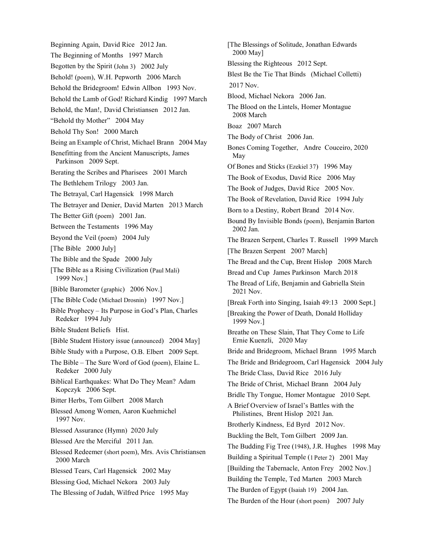Beginning Again, David Rice 2012 Jan. The Beginning of Months 1997 March Begotten by the Spirit (John 3) 2002 July Behold! (poem), W.H. Pepworth 2006 March Behold the Bridegroom! Edwin Allbon 1993 Nov. Behold the Lamb of God! Richard Kindig 1997 March Behold, the Man!, David Christiansen 2012 Jan. "Behold thy Mother" 2004 May Behold Thy Son! 2000 March Being an Example of Christ, Michael Brann 2004 May Benefitting from the Ancient Manuscripts, James Parkinson 2009 Sept. Berating the Scribes and Pharisees 2001 March The Bethlehem Trilogy 2003 Jan. The Betrayal, Carl Hagensick 1998 March The Betrayer and Denier, David Marten 2013 March The Better Gift (poem) 2001 Jan. Between the Testaments 1996 May Beyond the Veil (poem) 2004 July [The Bible 2000 July] The Bible and the Spade 2000 July [The Bible as a Rising Civilization (Paul Mali) 1999 Nov.] [Bible Barometer (graphic) 2006 Nov.] [The Bible Code (Michael Drosnin) 1997 Nov.] Bible Prophecy – Its Purpose in God's Plan, Charles Redeker 1994 July Bible Student Beliefs Hist. [Bible Student History issue (announced) 2004 May] Bible Study with a Purpose, O.B. Elbert 2009 Sept. The Bible – The Sure Word of God (poem), Elaine L. Redeker 2000 July Biblical Earthquakes: What Do They Mean? Adam Kopczyk 2006 Sept. Bitter Herbs, Tom Gilbert 2008 March Blessed Among Women, Aaron Kuehmichel 1997 Nov. Blessed Assurance (Hymn) 2020 July Blessed Are the Merciful 2011 Jan. Blessed Redeemer (short poem), Mrs. Avis Christiansen 2000 March Blessed Tears, Carl Hagensick 2002 May Blessing God, Michael Nekora 2003 July The Blessing of Judah, Wilfred Price 1995 May

[The Blessings of Solitude, Jonathan Edwards 2000 May] Blessing the Righteous 2012 Sept. Blest Be the Tie That Binds (Michael Colletti) 2017 Nov. Blood, Michael Nekora 2006 Jan. The Blood on the Lintels, Homer Montague 2008 March Boaz 2007 March The Body of Christ 2006 Jan. Bones Coming Together, Andre Couceiro, 2020 May Of Bones and Sticks (Ezekiel 37) 1996 May The Book of Exodus, David Rice 2006 May The Book of Judges, David Rice 2005 Nov. The Book of Revelation, David Rice 1994 July Born to a Destiny, Robert Brand 2014 Nov. Bound By Invisible Bonds (poem), Benjamin Barton 2002 Jan. The Brazen Serpent, Charles T. Russell 1999 March [The Brazen Serpent 2007 March] The Bread and the Cup, Brent Hislop 2008 March Bread and Cup James Parkinson March 2018 The Bread of Life, Benjamin and Gabriella Stein 2021 Nov. [Break Forth into Singing, Isaiah 49:13 2000 Sept.] [Breaking the Power of Death, Donald Holliday 1999 Nov.] Breathe on These Slain, That They Come to Life Ernie Kuenzli, 2020 May Bride and Bridegroom, Michael Brann 1995 March The Bride and Bridegroom, Carl Hagensick 2004 July The Bride Class, David Rice 2016 July The Bride of Christ, Michael Brann 2004 July Bridle Thy Tongue, Homer Montague 2010 Sept. A Brief Overview of Israel's Battles with the Philistines, Brent Hislop 2021 Jan. Brotherly Kindness, Ed Byrd 2012 Nov. Buckling the Belt, Tom Gilbert 2009 Jan. The Budding Fig Tree (1948), J.R. Hughes 1998 May Building a Spiritual Temple (1 Peter 2) 2001 May [Building the Tabernacle, Anton Frey 2002 Nov.] Building the Temple, Ted Marten 2003 March The Burden of Egypt (Isaiah 19) 2004 Jan. The Burden of the Hour (short poem) 2007 July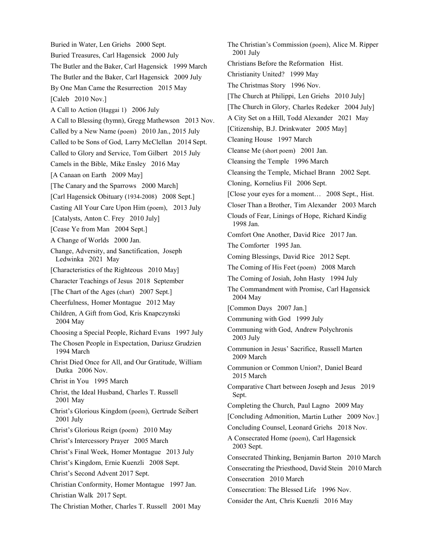Buried in Water, Len Griehs 2000 Sept. Buried Treasures, Carl Hagensick 2000 July The Butler and the Baker, Carl Hagensick 1999 March The Butler and the Baker, Carl Hagensick 2009 July By One Man Came the Resurrection 2015 May [Caleb 2010 Nov.] A Call to Action (Haggai 1) 2006 July A Call to Blessing (hymn), Gregg Mathewson 2013 Nov. Called by a New Name (poem) 2010 Jan., 2015 July Called to be Sons of God, Larry McClellan 2014 Sept. Called to Glory and Service, Tom Gilbert 2015 July Camels in the Bible, Mike Ensley 2016 May [A Canaan on Earth 2009 May] [The Canary and the Sparrows 2000 March] [Carl Hagensick Obituary (1934-2008) 2008 Sept.] Casting All Your Care Upon Him (poem), 2013 July [Catalysts, Anton C. Frey 2010 July] [Cease Ye from Man 2004 Sept.] A Change of Worlds 2000 Jan. Change, Adversity, and Sanctification, Joseph Ledwinka 2021 May [Characteristics of the Righteous 2010 May] Character Teachings of Jesus 2018 September [The Chart of the Ages (chart) 2007 Sept.] Cheerfulness, Homer Montague 2012 May Children, A Gift from God, Kris Knapczynski 2004 May Choosing a Special People, Richard Evans 1997 July The Chosen People in Expectation, Dariusz Grudzien 1994 March Christ Died Once for All, and Our Gratitude, William Dutka 2006 Nov. Christ in You 1995 March Christ, the Ideal Husband, Charles T. Russell 2001 May Christ's Glorious Kingdom (poem), Gertrude Seibert 2001 July Christ's Glorious Reign (poem) 2010 May Christ's Intercessory Prayer 2005 March Christ's Final Week, Homer Montague 2013 July Christ's Kingdom, Ernie Kuenzli 2008 Sept. Christ's Second Advent 2017 Sept. Christian Conformity, Homer Montague 1997 Jan. Christian Walk 2017 Sept. The Christian Mother, Charles T. Russell 2001 May

The Christian's Commission (poem), Alice M. Ripper 2001 July Christians Before the Reformation Hist. Christianity United? 1999 May The Christmas Story 1996 Nov. [The Church at Philippi, Len Griehs 2010 July] [The Church in Glory, Charles Redeker 2004 July] A City Set on a Hill, Todd Alexander 2021 May [Citizenship, B.J. Drinkwater 2005 May] Cleaning House 1997 March Cleanse Me (short poem) 2001 Jan. Cleansing the Temple 1996 March Cleansing the Temple, Michael Brann 2002 Sept. Cloning, Kornelius Fil 2006 Sept. [Close your eyes for a moment… 2008 Sept., Hist. Closer Than a Brother, Tim Alexander 2003 March Clouds of Fear, Linings of Hope, Richard Kindig 1998 Jan. Comfort One Another, David Rice 2017 Jan. The Comforter 1995 Jan. Coming Blessings, David Rice 2012 Sept. The Coming of His Feet (poem) 2008 March The Coming of Josiah, John Hasty 1994 July The Commandment with Promise, Carl Hagensick 2004 May [Common Days 2007 Jan.] Communing with God 1999 July Communing with God, Andrew Polychronis 2003 July Communion in Jesus' Sacrifice, Russell Marten 2009 March Communion or Common Union?, Daniel Beard 2015 March Comparative Chart between Joseph and Jesus 2019 Sept. Completing the Church, Paul Lagno 2009 May [Concluding Admonition, Martin Luther 2009 Nov.] Concluding Counsel, Leonard Griehs 2018 Nov. A Consecrated Home (poem), Carl Hagensick 2003 Sept. Consecrated Thinking, Benjamin Barton 2010 March Consecrating the Priesthood, David Stein 2010 March Consecration 2010 March Consecration: The Blessed Life 1996 Nov. Consider the Ant, Chris Kuenzli 2016 May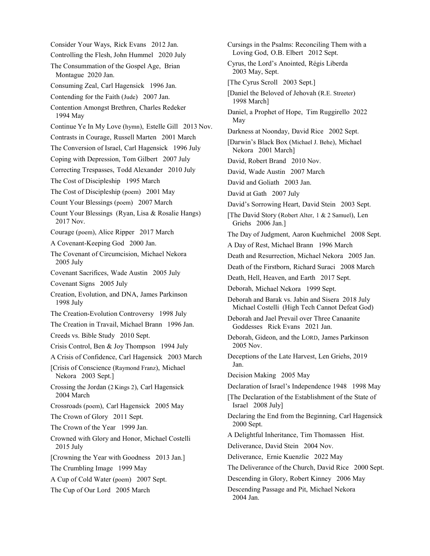Consider Your Ways, Rick Evans 2012 Jan. Controlling the Flesh, John Hummel 2020 July The Consummation of the Gospel Age, Brian Montague 2020 Jan. Consuming Zeal, Carl Hagensick 1996 Jan. Contending for the Faith (Jude) 2007 Jan. Contention Amongst Brethren, Charles Redeker 1994 May Continue Ye In My Love (hymn), Estelle Gill 2013 Nov. Contrasts in Courage, Russell Marten 2001 March The Conversion of Israel, Carl Hagensick 1996 July Coping with Depression, Tom Gilbert 2007 July Correcting Trespasses, Todd Alexander 2010 July The Cost of Discipleship 1995 March The Cost of Discipleship (poem) 2001 May Count Your Blessings (poem) 2007 March Count Your Blessings (Ryan, Lisa & Rosalie Hangs) 2017 Nov. Courage (poem), Alice Ripper 2017 March A Covenant-Keeping God 2000 Jan. The Covenant of Circumcision, Michael Nekora 2005 July Covenant Sacrifices, Wade Austin 2005 July Covenant Signs 2005 July Creation, Evolution, and DNA, James Parkinson 1998 July The Creation-Evolution Controversy 1998 July The Creation in Travail, Michael Brann 1996 Jan. Creeds vs. Bible Study 2010 Sept. Crisis Control, Ben & Joy Thompson 1994 July A Crisis of Confidence, Carl Hagensick 2003 March [Crisis of Conscience (Raymond Franz), Michael Nekora 2003 Sept.] Crossing the Jordan (2 Kings 2), Carl Hagensick 2004 March Crossroads (poem), Carl Hagensick 2005 May The Crown of Glory 2011 Sept. The Crown of the Year 1999 Jan. Crowned with Glory and Honor, Michael Costelli 2015 July [Crowning the Year with Goodness 2013 Jan.] The Crumbling Image 1999 May A Cup of Cold Water (poem) 2007 Sept. The Cup of Our Lord 2005 March

Cursings in the Psalms: Reconciling Them with a Loving God, O.B. Elbert 2012 Sept. Cyrus, the Lord's Anointed, Régis Liberda 2003 May, Sept. [The Cyrus Scroll 2003 Sept.] [Daniel the Beloved of Jehovah (R.E. Streeter) 1998 March] Daniel, a Prophet of Hope, Tim Ruggirello 2022 May Darkness at Noonday, David Rice 2002 Sept. [Darwin's Black Box (Michael J. Behe), Michael Nekora 2001 March] David, Robert Brand 2010 Nov. David, Wade Austin 2007 March David and Goliath 2003 Jan. David at Gath 2007 July David's Sorrowing Heart, David Stein 2003 Sept. [The David Story (Robert Alter, 1 & 2 Samuel), Len Griehs 2006 Jan.] The Day of Judgment, Aaron Kuehmichel 2008 Sept. A Day of Rest, Michael Brann 1996 March Death and Resurrection, Michael Nekora 2005 Jan. Death of the Firstborn, Richard Suraci 2008 March Death, Hell, Heaven, and Earth 2017 Sept. Deborah, Michael Nekora 1999 Sept. Deborah and Barak vs. Jabin and Sisera 2018 July Michael Costelli (High Tech Cannot Defeat God) Deborah and Jael Prevail over Three Canaanite Goddesses Rick Evans 2021 Jan. Deborah, Gideon, and the LORD, James Parkinson 2005 Nov. Deceptions of the Late Harvest, Len Griehs, 2019 Jan. Decision Making 2005 May Declaration of Israel's Independence 1948 1998 May [The Declaration of the Establishment of the State of Israel 2008 July] Declaring the End from the Beginning, Carl Hagensick 2000 Sept. A Delightful Inheritance, Tim Thomassen Hist. Deliverance, David Stein 2004 Nov. Deliverance, Ernie Kuenzlie 2022 May The Deliverance of the Church, David Rice 2000 Sept. Descending in Glory, Robert Kinney 2006 May Descending Passage and Pit, Michael Nekora 2004 Jan.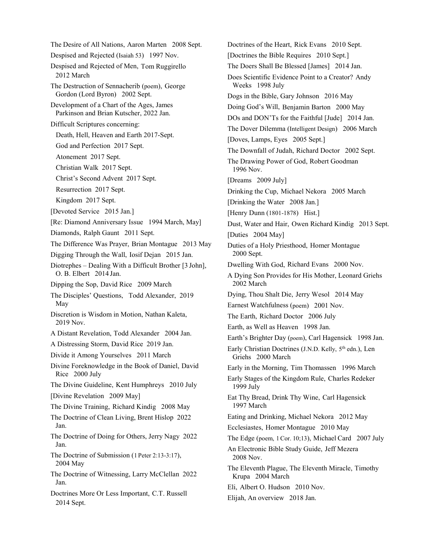The Desire of All Nations, Aaron Marten 2008 Sept. Despised and Rejected (Isaiah 53) 1997 Nov. Despised and Rejected of Men, Tom Ruggirello 2012 March The Destruction of Sennacherib (poem), George Gordon (Lord Byron) 2002 Sept. Development of a Chart of the Ages, James Parkinson and Brian Kutscher, 2022 Jan. Difficult Scriptures concerning: Death, Hell, Heaven and Earth 2017-Sept. God and Perfection 2017 Sept. Atonement 2017 Sept. Christian Walk 2017 Sept. Christ's Second Advent 2017 Sept. Resurrection 2017 Sept. Kingdom 2017 Sept. [Devoted Service 2015 Jan.] [Re: Diamond Anniversary Issue 1994 March, May] Diamonds, Ralph Gaunt 2011 Sept. The Difference Was Prayer, Brian Montague 2013 May Digging Through the Wall, Iosif Dejan 2015 Jan. Diotrephes – Dealing With a Difficult Brother [3 John], O. B. Elbert 2014 Jan. Dipping the Sop, David Rice 2009 March The Disciples' Questions, Todd Alexander, 2019 May Discretion is Wisdom in Motion, Nathan Kaleta, 2019 Nov. A Distant Revelation, Todd Alexander 2004 Jan. A Distressing Storm, David Rice 2019 Jan. Divide it Among Yourselves 2011 March Divine Foreknowledge in the Book of Daniel, David Rice 2000 July The Divine Guideline, Kent Humphreys 2010 July [Divine Revelation 2009 May] The Divine Training, Richard Kindig 2008 May The Doctrine of Clean Living, Brent Hislop 2022 Jan. The Doctrine of Doing for Others, Jerry Nagy 2022 Jan. The Doctrine of Submission (1 Peter 2:13-3:17), 2004 May The Doctrine of Witnessing, Larry McClellan 2022 Jan. Doctrines More Or Less Important, C.T. Russell 2014 Sept.

Doctrines of the Heart, Rick Evans 2010 Sept. [Doctrines the Bible Requires 2010 Sept.] The Doers Shall Be Blessed [James] 2014 Jan. Does Scientific Evidence Point to a Creator? Andy Weeks 1998 July Dogs in the Bible, Gary Johnson 2016 May Doing God's Will, Benjamin Barton 2000 May DOs and DON'Ts for the Faithful [Jude] 2014 Jan. The Dover Dilemma (Intelligent Design) 2006 March [Doves, Lamps, Eyes 2005 Sept.] The Downfall of Judah, Richard Doctor 2002 Sept. The Drawing Power of God, Robert Goodman 1996 Nov. [Dreams 2009 July] Drinking the Cup, Michael Nekora 2005 March [Drinking the Water 2008 Jan.] [Henry Dunn (1801-1878) Hist.] Dust, Water and Hair, Owen Richard Kindig 2013 Sept. [Duties 2004 May] Duties of a Holy Priesthood, Homer Montague 2000 Sept. Dwelling With God, Richard Evans 2000 Nov. A Dying Son Provides for His Mother, Leonard Griehs 2002 March Dying, Thou Shalt Die, Jerry Wesol 2014 May Earnest Watchfulness (poem) 2001 Nov. The Earth, Richard Doctor 2006 July Earth, as Well as Heaven 1998 Jan. Earth's Brighter Day (poem), Carl Hagensick 1998 Jan. Early Christian Doctrines (J.N.D. Kelly, 5<sup>th</sup> edn.), Len Griehs 2000 March Early in the Morning, Tim Thomassen 1996 March Early Stages of the Kingdom Rule, Charles Redeker 1999 July Eat Thy Bread, Drink Thy Wine, Carl Hagensick 1997 March Eating and Drinking, Michael Nekora 2012 May Ecclesiastes, Homer Montague 2010 May The Edge (poem, 1Cor. 10;13), Michael Card 2007 July An Electronic Bible Study Guide, Jeff Mezera 2008 Nov. The Eleventh Plague, The Eleventh Miracle, Timothy Krupa 2004 March Eli, Albert O. Hudson 2010 Nov. Elijah, An overview 2018 Jan.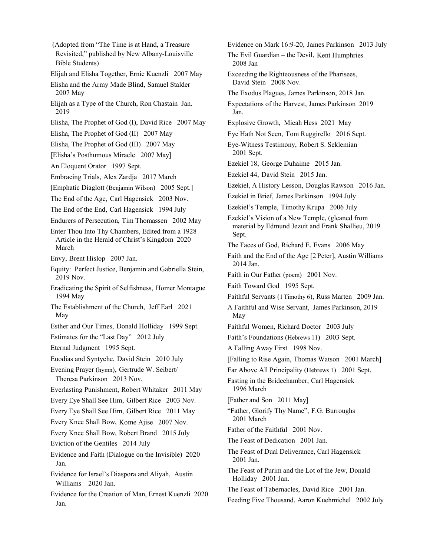(Adopted from "The Time is at Hand, a Treasure Revisited," published by New Albany-Louisville Bible Students) Elijah and Elisha Together, Ernie Kuenzli 2007 May Elisha and the Army Made Blind, Samuel Stalder 2007 May Elijah as a Type of the Church, Ron Chastain Jan. 2019 Elisha, The Prophet of God (I), David Rice 2007 May Elisha, The Prophet of God (II) 2007 May Elisha, The Prophet of God (III) 2007 May [Elisha's Posthumous Miracle 2007 May] An Eloquent Orator 1997 Sept. Embracing Trials, Alex Zardja 2017 March [Emphatic Diaglott (Benjamin Wilson) 2005 Sept.] The End of the Age, Carl Hagensick 2003 Nov. The End of the End, Carl Hagensick 1994 July Endurers of Persecution, Tim Thomassen 2002 May Enter Thou Into Thy Chambers, Edited from a 1928 Article in the Herald of Christ's Kingdom 2020 March Envy, Brent Hislop 2007 Jan. Equity: Perfect Justice, Benjamin and Gabriella Stein, 2019 Nov. Eradicating the Spirit of Selfishness, Homer Montague 1994 May The Establishment of the Church, Jeff Earl 2021 May Esther and Our Times, Donald Holliday 1999 Sept. Estimates for the "Last Day" 2012 July Eternal Judgment 1995 Sept. Euodias and Syntyche, David Stein 2010 July Evening Prayer (hymn), Gertrude W. Seibert/ Theresa Parkinson 2013 Nov. Everlasting Punishment, Robert Whitaker 2011 May Every Eye Shall See Him, Gilbert Rice 2003 Nov. Every Eye Shall See Him, Gilbert Rice 2011 May Every Knee Shall Bow, Kome Ajise 2007 Nov. Every Knee Shall Bow, Robert Brand 2015 July Eviction of the Gentiles 2014 July Evidence and Faith (Dialogue on the Invisible) 2020 Jan. Evidence for Israel's Diaspora and Aliyah, Austin Williams 2020 Jan. Evidence for the Creation of Man, Ernest Kuenzli 2020 Jan.

Evidence on Mark 16:9-20, James Parkinson 2013 July The Evil Guardian – the Devil, Kent Humphries 2008 Jan Exceeding the Righteousness of the Pharisees, David Stein 2008 Nov. The Exodus Plagues, James Parkinson, 2018 Jan. Expectations of the Harvest, James Parkinson 2019 Jan. Explosive Growth, Micah Hess 2021 May Eye Hath Not Seen, Tom Ruggirello 2016 Sept. Eye-Witness Testimony, Robert S. Seklemian 2001 Sept. Ezekiel 18, George Duhaime 2015 Jan. Ezekiel 44, David Stein 2015 Jan. Ezekiel, A History Lesson, Douglas Rawson 2016 Jan. Ezekiel in Brief, James Parkinson 1994 July Ezekiel's Temple, Timothy Krupa 2006 July Ezekiel's Vision of a New Temple, (gleaned from material by Edmund Jezuit and Frank Shallieu, 2019 Sept. The Faces of God, Richard E. Evans 2006 May Faith and the End of the Age [2 Peter], Austin Williams 2014 Jan. Faith in Our Father (poem) 2001 Nov. Faith Toward God 1995 Sept. Faithful Servants (1 Timothy 6), Russ Marten 2009 Jan. A Faithful and Wise Servant, James Parkinson, 2019 May Faithful Women, Richard Doctor 2003 July Faith's Foundations (Hebrews 11) 2003 Sept. A Falling Away First 1998 Nov. [Falling to Rise Again, Thomas Watson 2001 March] Far Above All Principality (Hebrews 1) 2001 Sept. Fasting in the Bridechamber, Carl Hagensick 1996 March [Father and Son 2011 May] "Father, Glorify Thy Name", F.G. Burroughs 2001 March Father of the Faithful 2001 Nov. The Feast of Dedication 2001 Jan. The Feast of Dual Deliverance, Carl Hagensick 2001 Jan. The Feast of Purim and the Lot of the Jew, Donald Holliday 2001 Jan. The Feast of Tabernacles, David Rice 2001 Jan. Feeding Five Thousand, Aaron Kuehmichel 2002 July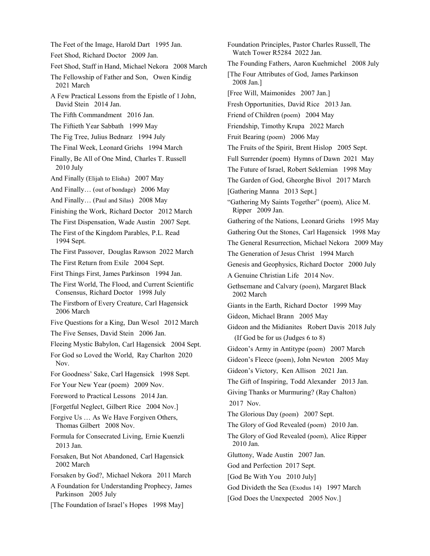The Feet of the Image, Harold Dart 1995 Jan. Feet Shod, Richard Doctor 2009 Jan. Feet Shod, Staff in Hand, Michael Nekora 2008 March The Fellowship of Father and Son, Owen Kindig 2021 March A Few Practical Lessons from the Epistle of 1 John, David Stein 2014 Jan. The Fifth Commandment 2016 Jan. The Fiftieth Year Sabbath 1999 May The Fig Tree, Julius Bednarz 1994 July The Final Week, Leonard Griehs 1994 March Finally, Be All of One Mind, Charles T. Russell 2010 July And Finally (Elijah to Elisha) 2007 May And Finally… (out of bondage) 2006 May And Finally… (Paul and Silas) 2008 May Finishing the Work, Richard Doctor 2012 March The First Dispensation, Wade Austin 2007 Sept. The First of the Kingdom Parables, P.L. Read 1994 Sept. The First Passover, Douglas Rawson 2022 March The First Return from Exile 2004 Sept. First Things First, James Parkinson 1994 Jan. The First World, The Flood, and Current Scientific Consensus, Richard Doctor 1998 July The Firstborn of Every Creature, Carl Hagensick 2006 March Five Questions for a King, Dan Wesol 2012 March The Five Senses, David Stein 2006 Jan. Fleeing Mystic Babylon, Carl Hagensick 2004 Sept. For God so Loved the World, Ray Charlton 2020 Nov. For Goodness' Sake, Carl Hagensick 1998 Sept. For Your New Year (poem) 2009 Nov. Foreword to Practical Lessons 2014 Jan. [Forgetful Neglect, Gilbert Rice 2004 Nov.] Forgive Us … As We Have Forgiven Others, Thomas Gilbert 2008 Nov. Formula for Consecrated Living, Ernie Kuenzli 2013 Jan. Forsaken, But Not Abandoned, Carl Hagensick 2002 March Forsaken by God?, Michael Nekora 2011 March A Foundation for Understanding Prophecy, James Parkinson 2005 July [The Foundation of Israel's Hopes 1998 May]

Foundation Principles, Pastor Charles Russell, The Watch Tower R5284 2022 Jan. The Founding Fathers, Aaron Kuehmichel 2008 July [The Four Attributes of God, James Parkinson 2008 Jan.] [Free Will, Maimonides 2007 Jan.] Fresh Opportunities, David Rice 2013 Jan. Friend of Children (poem) 2004 May Friendship, Timothy Krupa 2022 March Fruit Bearing (poem) 2006 May The Fruits of the Spirit, Brent Hislop 2005 Sept. Full Surrender (poem) Hymns of Dawn 2021 May The Future of Israel, Robert Seklemian 1998 May The Garden of God, Gheorghe Bivol 2017 March [Gathering Manna 2013 Sept.] "Gathering My Saints Together" (poem), Alice M. Ripper 2009 Jan. Gathering of the Nations, Leonard Griehs 1995 May Gathering Out the Stones, Carl Hagensick 1998 May The General Resurrection, Michael Nekora 2009 May The Generation of Jesus Christ 1994 March Genesis and Geophysics, Richard Doctor 2000 July A Genuine Christian Life 2014 Nov. Gethsemane and Calvary (poem), Margaret Black 2002 March Giants in the Earth, Richard Doctor 1999 May Gideon, Michael Brann 2005 May Gideon and the Midianites Robert Davis 2018 July (If God be for us (Judges 6 to 8) Gideon's Army in Antitype (poem) 2007 March Gideon's Fleece (poem), John Newton 2005 May Gideon's Victory, Ken Allison 2021 Jan. The Gift of Inspiring, Todd Alexander 2013 Jan. Giving Thanks or Murmuring? (Ray Chalton) 2017 Nov. The Glorious Day (poem) 2007 Sept. The Glory of God Revealed (poem) 2010 Jan. The Glory of God Revealed (poem), Alice Ripper 2010 Jan. Gluttony, Wade Austin 2007 Jan. God and Perfection 2017 Sept. [God Be With You 2010 July] God Divideth the Sea (Exodus 14) 1997 March [God Does the Unexpected 2005 Nov.]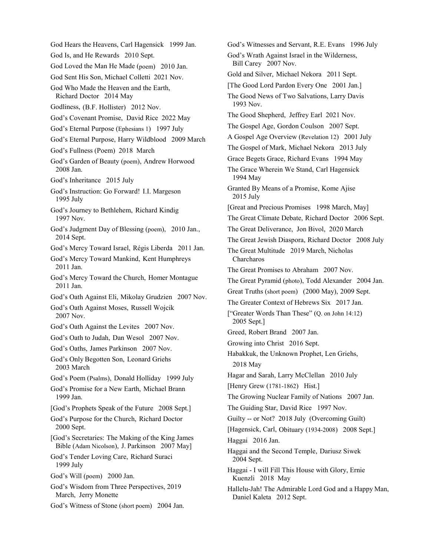God Hears the Heavens, Carl Hagensick 1999 Jan. God Is, and He Rewards 2010 Sept. God Loved the Man He Made (poem) 2010 Jan. God Sent His Son, Michael Colletti 2021 Nov. God Who Made the Heaven and the Earth, Richard Doctor 2014 May Godliness, (B.F. Hollister) 2012 Nov. God's Covenant Promise, David Rice 2022 May God's Eternal Purpose (Ephesians 1) 1997 July God's Eternal Purpose, Harry Wildblood 2009 March God's Fullness (Poem) 2018 March God's Garden of Beauty (poem), Andrew Horwood 2008 Jan. God's Inheritance 2015 July God's Instruction: Go Forward! I.I. Margeson 1995 July God's Journey to Bethlehem, Richard Kindig 1997 Nov. God's Judgment Day of Blessing (poem), 2010 Jan., 2014 Sept. God's Mercy Toward Israel, Régis Liberda 2011 Jan. God's Mercy Toward Mankind, Kent Humphreys 2011 Jan. God's Mercy Toward the Church, Homer Montague 2011 Jan. God's Oath Against Eli, Mikolay Grudzien 2007 Nov. God's Oath Against Moses, Russell Wojcik 2007 Nov. God's Oath Against the Levites 2007 Nov. God's Oath to Judah, Dan Wesol 2007 Nov. God's Oaths, James Parkinson 2007 Nov. God's Only Begotten Son, Leonard Griehs 2003 March God's Poem (Psalms), Donald Holliday 1999 July God's Promise for a New Earth, Michael Brann 1999 Jan. [God's Prophets Speak of the Future 2008 Sept.] God's Purpose for the Church, Richard Doctor 2000 Sept. [God's Secretaries: The Making of the King James Bible (Adam Nicolson), J. Parkinson 2007 May] God's Tender Loving Care, Richard Suraci 1999 July God's Will (poem) 2000 Jan. God's Wisdom from Three Perspectives, 2019 March, Jerry Monette God's Witness of Stone (short poem) 2004 Jan. 1994 May 2015 July 2018 May Daniel Kaleta 2012 Sept.

God's Witnesses and Servant, R.E. Evans 1996 July God's Wrath Against Israel in the Wilderness, Bill Carey 2007 Nov. Gold and Silver, Michael Nekora 2011 Sept. [The Good Lord Pardon Every One 2001 Jan.] The Good News of Two Salvations, Larry Davis 1993 Nov. The Good Shepherd, Jeffrey Earl 2021 Nov. The Gospel Age, Gordon Coulson 2007 Sept. A Gospel Age Overview (Revelation 12) 2001 July The Gospel of Mark, Michael Nekora 2013 July Grace Begets Grace, Richard Evans 1994 May The Grace Wherein We Stand, Carl Hagensick Granted By Means of a Promise, Kome Ajise [Great and Precious Promises 1998 March, May] The Great Climate Debate, Richard Doctor 2006 Sept. The Great Deliverance, Jon Bivol, 2020 March The Great Jewish Diaspora, Richard Doctor 2008 July The Great Multitude 2019 March, Nicholas Charcharos The Great Promises to Abraham 2007 Nov. The Great Pyramid (photo), Todd Alexander 2004 Jan. Great Truths (short poem) (2000 May), 2009 Sept. The Greater Context of Hebrews Six 2017 Jan. ["Greater Words Than These" (Q. on John 14:12) 2005 Sept.] Greed, Robert Brand 2007 Jan. Growing into Christ 2016 Sept. Habakkuk, the Unknown Prophet, Len Griehs, Hagar and Sarah, Larry McClellan 2010 July [Henry Grew (1781-1862) Hist.] The Growing Nuclear Family of Nations 2007 Jan. The Guiding Star, David Rice 1997 Nov. Guilty -- or Not? 2018 July (Overcoming Guilt) [Hagensick, Carl, Obituary (1934-2008) 2008 Sept.] Haggai 2016 Jan. Haggai and the Second Temple, Dariusz Siwek 2004 Sept. Haggai - I will Fill This House with Glory, Ernie Kuenzli 2018 May Hallelu-Jah! The Admirable Lord God and a Happy Man,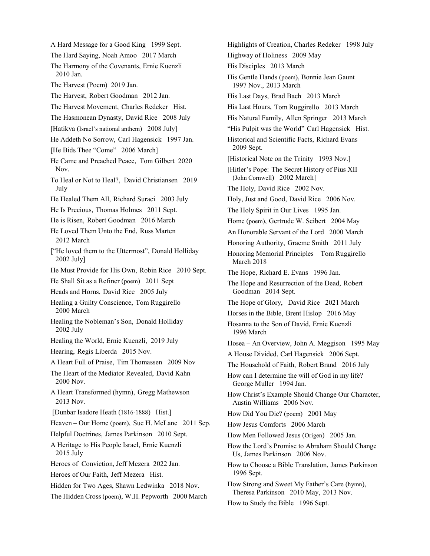A Hard Message for a Good King 1999 Sept. The Hard Saying, Noah Amoo 2017 March The Harmony of the Covenants, Ernie Kuenzli 2010 Jan. The Harvest (Poem) 2019 Jan. The Harvest, Robert Goodman 2012 Jan. The Harvest Movement, Charles Redeker Hist. The Hasmonean Dynasty, David Rice 2008 July [Hatikva (Israel's national anthem) 2008 July] He Addeth No Sorrow, Carl Hagensick 1997 Jan. [He Bids Thee "Come" 2006 March] He Came and Preached Peace, Tom Gilbert 2020 Nov. To Heal or Not to Heal?, David Christiansen 2019 July He Healed Them All, Richard Suraci 2003 July He Is Precious, Thomas Holmes 2011 Sept. He is Risen, Robert Goodman 2016 March He Loved Them Unto the End, Russ Marten 2012 March ["He loved them to the Uttermost", Donald Holliday 2002 July] He Must Provide for His Own, Robin Rice 2010 Sept. He Shall Sit as a Refiner (poem) 2011 Sept Heads and Horns, David Rice 2005 July Healing a Guilty Conscience, Tom Ruggirello 2000 March Healing the Nobleman's Son, Donald Holliday 2002 July Healing the World, Ernie Kuenzli, 2019 July Hearing, Regis Liberda 2015 Nov. A Heart Full of Praise, Tim Thomassen 2009 Nov The Heart of the Mediator Revealed, David Kahn 2000 Nov. A Heart Transformed (hymn), Gregg Mathewson 2013 Nov. [Dunbar Isadore Heath (1816-1888) Hist.] Heaven – Our Home (poem), Sue H. McLane 2011 Sep. Helpful Doctrines, James Parkinson 2010 Sept. A Heritage to His People Israel, Ernie Kuenzli 2015 July Heroes of Conviction, Jeff Mezera 2022 Jan. Heroes of Our Faith, Jeff Mezera Hist. Hidden for Two Ages, Shawn Ledwinka 2018 Nov. The Hidden Cross (poem), W.H. Pepworth 2000 March

Highlights of Creation, Charles Redeker 1998 July Highway of Holiness 2009 May His Disciples 2013 March His Gentle Hands (poem), Bonnie Jean Gaunt 1997 Nov., 2013 March His Last Days, Brad Bach 2013 March His Last Hours, Tom Ruggirello 2013 March His Natural Family, Allen Springer 2013 March "His Pulpit was the World" Carl Hagensick Hist. Historical and Scientific Facts, Richard Evans 2009 Sept. [Historical Note on the Trinity 1993 Nov.] [Hitler's Pope: The Secret History of Pius XII (John Cornwell) 2002 March] The Holy, David Rice 2002 Nov. Holy, Just and Good, David Rice 2006 Nov. The Holy Spirit in Our Lives 1995 Jan. Home (poem), Gertrude W. Seibert 2004 May An Honorable Servant of the Lord 2000 March Honoring Authority, Graeme Smith 2011 July Honoring Memorial Principles Tom Ruggirello March 2018 The Hope, Richard E. Evans 1996 Jan. The Hope and Resurrection of the Dead, Robert Goodman 2014 Sept. The Hope of Glory, David Rice 2021 March Horses in the Bible, Brent Hislop 2016 May Hosanna to the Son of David, Ernie Kuenzli 1996 March Hosea – An Overview, John A. Meggison 1995 May A House Divided, Carl Hagensick 2006 Sept. The Household of Faith, Robert Brand 2016 July How can I determine the will of God in my life? George Muller 1994 Jan. How Christ's Example Should Change Our Character, Austin Williams 2006 Nov. How Did You Die? (poem) 2001 May How Jesus Comforts 2006 March How Men Followed Jesus (Origen) 2005 Jan. How the Lord's Promise to Abraham Should Change Us, James Parkinson 2006 Nov. How to Choose a Bible Translation, James Parkinson 1996 Sept. How Strong and Sweet My Father's Care (hymn), Theresa Parkinson 2010 May, 2013 Nov.

How to Study the Bible 1996 Sept.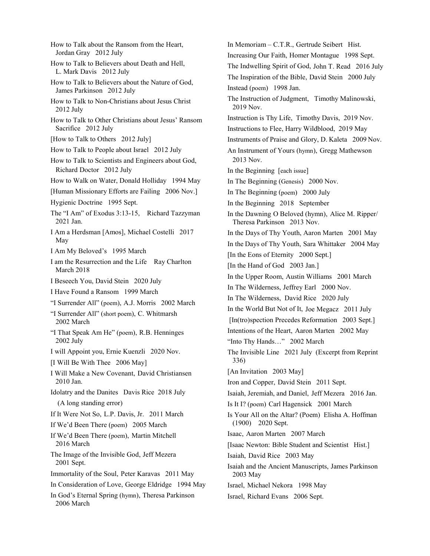- How to Talk about the Ransom from the Heart, Jordan Gray 2012 July
- How to Talk to Believers about Death and Hell, L. Mark Davis 2012 July
- How to Talk to Believers about the Nature of God, James Parkinson 2012 July
- How to Talk to Non-Christians about Jesus Christ 2012 July
- How to Talk to Other Christians about Jesus' Ransom Sacrifice 2012 July
- [How to Talk to Others 2012 July]
- How to Talk to People about Israel 2012 July
- How to Talk to Scientists and Engineers about God, Richard Doctor 2012 July
- How to Walk on Water, Donald Holliday 1994 May
- [Human Missionary Efforts are Failing 2006 Nov.]
- Hygienic Doctrine 1995 Sept.
- The "I Am" of Exodus 3:13-15, Richard Tazzyman 2021 Jan.
- I Am a Herdsman [Amos], Michael Costelli 2017 May
- I Am My Beloved's 1995 March
- I am the Resurrection and the Life Ray Charlton March 2018
- I Beseech You, David Stein 2020 July
- I Have Found a Ransom 1999 March
- "I Surrender All" (poem), A.J. Morris 2002 March
- "I Surrender All" (short poem), C. Whitmarsh 2002 March
- "I That Speak Am He" (poem), R.B. Henninges 2002 July
- I will Appoint you, Ernie Kuenzli 2020 Nov.
- [I Will Be With Thee 2006 May]
- I Will Make a New Covenant, David Christiansen 2010 Jan.
- Idolatry and the Danites Davis Rice 2018 July (A long standing error)
- If It Were Not So, L.P. Davis, Jr. 2011 March
- If We'd Been There (poem) 2005 March
- If We'd Been There (poem), Martin Mitchell 2016 March
- The Image of the Invisible God, Jeff Mezera 2001 Sept.
- Immortality of the Soul, Peter Karavas 2011 May
- In Consideration of Love, George Eldridge 1994 May
- In God's Eternal Spring (hymn), Theresa Parkinson 2006 March
- In Memoriam C.T.R., Gertrude Seibert Hist. Increasing Our Faith, Homer Montague 1998 Sept. The Indwelling Spirit of God, John T. Read 2016 July The Inspiration of the Bible, David Stein 2000 July Instead (poem) 1998 Jan. The Instruction of Judgment, Timothy Malinowski, 2019 Nov. Instruction is Thy Life, Timothy Davis, 2019 Nov. Instructions to Flee, Harry Wildblood, 2019 May Instruments of Praise and Glory, D. Kaleta 2009 Nov. An Instrument of Yours (hymn), Gregg Mathewson 2013 Nov. In the Beginning [each issue] In The Beginning (Genesis) 2000 Nov. In The Beginning (poem) 2000 July In the Beginning 2018 September In the Dawning O Beloved (hymn), Alice M. Ripper/ Theresa Parkinson 2013 Nov. In the Days of Thy Youth, Aaron Marten 2001 May In the Days of Thy Youth, Sara Whittaker 2004 May [In the Eons of Eternity 2000 Sept.] [In the Hand of God 2003 Jan.] In the Upper Room, Austin Williams 2001 March In The Wilderness, Jeffrey Earl 2000 Nov. In The Wilderness, David Rice 2020 July In the World But Not of It, Joe Megacz 2011 July [In(tro)spection Precedes Reformation 2003 Sept.] Intentions of the Heart, Aaron Marten 2002 May "Into Thy Hands…" 2002 March The Invisible Line 2021 July (Excerpt from Reprint 336) [An Invitation 2003 May] Iron and Copper, David Stein 2011 Sept. Isaiah, Jeremiah, and Daniel, Jeff Mezera 2016 Jan. Is It I? (poem) Carl Hagensick 2001 March Is Your All on the Altar? (Poem) Elisha A. Hoffman (1900) 2020 Sept. Isaac, Aaron Marten 2007 March [Isaac Newton: Bible Student and Scientist Hist.] Isaiah, David Rice 2003 May Isaiah and the Ancient Manuscripts, James Parkinson 2003 May Israel, Michael Nekora 1998 May
- Israel, Richard Evans 2006 Sept.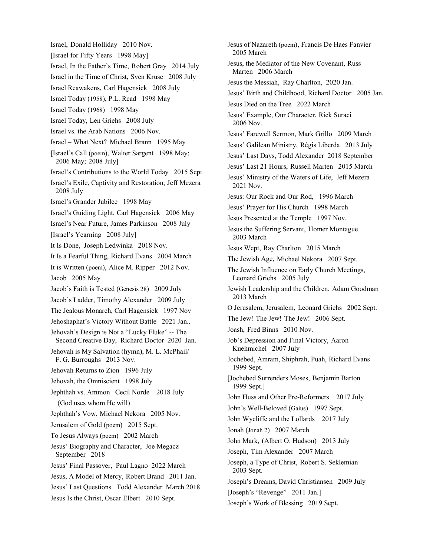Israel, Donald Holliday 2010 Nov. [Israel for Fifty Years 1998 May] Israel, In the Father's Time, Robert Gray 2014 July Israel in the Time of Christ, Sven Kruse 2008 July Israel Reawakens, Carl Hagensick 2008 July Israel Today (1958), P.L. Read 1998 May Israel Today (1968) 1998 May Israel Today, Len Griehs 2008 July Israel vs. the Arab Nations 2006 Nov. Israel – What Next? Michael Brann 1995 May [Israel's Call (poem), Walter Sargent 1998 May; 2006 May; 2008 July] Israel's Contributions to the World Today 2015 Sept. Israel's Exile, Captivity and Restoration, Jeff Mezera 2008 July Israel's Grander Jubilee 1998 May Israel's Guiding Light, Carl Hagensick 2006 May Israel's Near Future, James Parkinson 2008 July [Israel's Yearning 2008 July] It Is Done, Joseph Ledwinka 2018 Nov. It Is a Fearful Thing, Richard Evans 2004 March It is Written (poem), Alice M. Ripper 2012 Nov. Jacob 2005 May Jacob's Faith is Tested (Genesis 28) 2009 July Jacob's Ladder, Timothy Alexander 2009 July The Jealous Monarch, Carl Hagensick 1997 Nov Jehoshaphat's Victory Without Battle 2021 Jan.. Jehovah's Design is Not a "Lucky Fluke" -- The Second Creative Day, Richard Doctor 2020 Jan. Jehovah is My Salvation (hymn), M. L. McPhail/ F. G. Burroughs 2013 Nov. Jehovah Returns to Zion 1996 July Jehovah, the Omniscient 1998 July Jephthah vs. Ammon Cecil Norde 2018 July (God uses whom He will) Jephthah's Vow, Michael Nekora 2005 Nov. Jerusalem of Gold (poem) 2015 Sept. To Jesus Always (poem) 2002 March Jesus' Biography and Character, Joe Megacz September 2018 Jesus' Final Passover, Paul Lagno 2022 March Jesus, A Model of Mercy, Robert Brand 2011 Jan. Jesus' Last Questions Todd Alexander March 2018 Jesus Is the Christ, Oscar Elbert 2010 Sept.

Jesus of Nazareth (poem), Francis De Haes Fanvier 2005 March Jesus, the Mediator of the New Covenant, Russ Marten 2006 March Jesus the Messiah, Ray Charlton, 2020 Jan. Jesus' Birth and Childhood, Richard Doctor 2005 Jan. Jesus Died on the Tree 2022 March Jesus' Example, Our Character, Rick Suraci 2006 Nov. Jesus' Farewell Sermon, Mark Grillo 2009 March Jesus' Galilean Ministry, Régis Liberda 2013 July Jesus' Last Days, Todd Alexander 2018 September Jesus' Last 21 Hours, Russell Marten 2015 March Jesus' Ministry of the Waters of Life, Jeff Mezera 2021 Nov. Jesus: Our Rock and Our Rod, 1996 March Jesus' Prayer for His Church 1998 March Jesus Presented at the Temple 1997 Nov. Jesus the Suffering Servant, Homer Montague 2003 March Jesus Wept, Ray Charlton 2015 March The Jewish Age, Michael Nekora 2007 Sept. The Jewish Influence on Early Church Meetings, Leonard Griehs 2005 July Jewish Leadership and the Children, Adam Goodman 2013 March O Jerusalem, Jerusalem, Leonard Griehs 2002 Sept. The Jew! The Jew! The Jew! 2006 Sept. Joash, Fred Binns 2010 Nov. Job's Depression and Final Victory, Aaron Kuehmichel 2007 July Jochebed, Amram, Shiphrah, Puah, Richard Evans 1999 Sept. [Jochebed Surrenders Moses, Benjamin Barton 1999 Sept.] John Huss and Other Pre-Reformers 2017 July John's Well-Beloved (Gaius) 1997 Sept. John Wycliffe and the Lollards 2017 July Jonah (Jonah 2) 2007 March John Mark, (Albert O. Hudson) 2013 July Joseph, Tim Alexander 2007 March Joseph, a Type of Christ, Robert S. Seklemian 2003 Sept. Joseph's Dreams, David Christiansen 2009 July [Joseph's "Revenge" 2011 Jan.] Joseph's Work of Blessing 2019 Sept.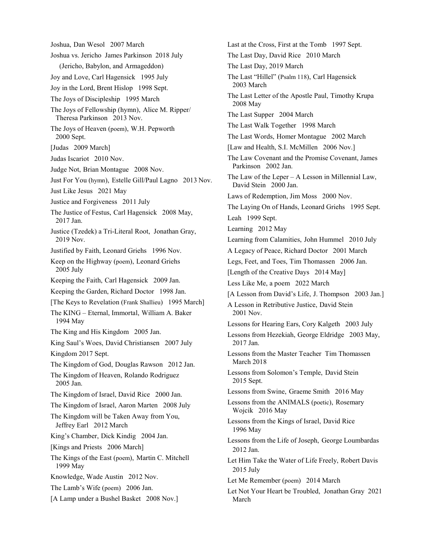Joshua, Dan Wesol 2007 March Joshua vs. Jericho James Parkinson 2018 July (Jericho, Babylon, and Armageddon) Joy and Love, Carl Hagensick 1995 July Joy in the Lord, Brent Hislop 1998 Sept. The Joys of Discipleship 1995 March The Joys of Fellowship (hymn), Alice M. Ripper/ Theresa Parkinson 2013 Nov. The Joys of Heaven (poem), W.H. Pepworth 2000 Sept. [Judas 2009 March] Judas Iscariot 2010 Nov. Judge Not, Brian Montague 2008 Nov. Just For You (hymn), Estelle Gill/Paul Lagno 2013 Nov. Just Like Jesus 2021 May Justice and Forgiveness 2011 July The Justice of Festus, Carl Hagensick 2008 May, 2017 Jan. Justice (Tzedek) a Tri-Literal Root, Jonathan Gray, 2019 Nov. Justified by Faith, Leonard Griehs 1996 Nov. Keep on the Highway (poem), Leonard Griehs 2005 July Keeping the Faith, Carl Hagensick 2009 Jan. Keeping the Garden, Richard Doctor 1998 Jan. [The Keys to Revelation (Frank Shallieu) 1995 March] The KING – Eternal, Immortal, William A. Baker 1994 May The King and His Kingdom 2005 Jan. King Saul's Woes, David Christiansen 2007 July Kingdom 2017 Sept. The Kingdom of God, Douglas Rawson 2012 Jan. The Kingdom of Heaven, Rolando Rodriguez 2005 Jan. The Kingdom of Israel, David Rice 2000 Jan. The Kingdom of Israel, Aaron Marten 2008 July The Kingdom will be Taken Away from You, Jeffrey Earl 2012 March King's Chamber, Dick Kindig 2004 Jan. [Kings and Priests 2006 March] The Kings of the East (poem), Martin C. Mitchell 1999 May Knowledge, Wade Austin 2012 Nov. The Lamb's Wife (poem) 2006 Jan. [A Lamp under a Bushel Basket 2008 Nov.]

Last at the Cross, First at the Tomb 1997 Sept. The Last Day, David Rice 2010 March The Last Day, 2019 March The Last "Hillel" (Psalm 118), Carl Hagensick 2003 March The Last Letter of the Apostle Paul, Timothy Krupa 2008 May The Last Supper 2004 March The Last Walk Together 1998 March The Last Words, Homer Montague 2002 March [Law and Health, S.I. McMillen 2006 Nov.] The Law Covenant and the Promise Covenant, James Parkinson 2002 Jan. The Law of the Leper – A Lesson in Millennial Law, David Stein 2000 Jan. Laws of Redemption, Jim Moss 2000 Nov. The Laying On of Hands, Leonard Griehs 1995 Sept. Leah 1999 Sept. Learning 2012 May Learning from Calamities, John Hummel 2010 July A Legacy of Peace, Richard Doctor 2001 March Legs, Feet, and Toes, Tim Thomassen 2006 Jan. [Length of the Creative Days 2014 May] Less Like Me, a poem 2022 March [A Lesson from David's Life, J. Thompson 2003 Jan.] A Lesson in Retributive Justice, David Stein 2001 Nov. Lessons for Hearing Ears, Cory Kalgeth 2003 July Lessons from Hezekiah, George Eldridge 2003 May, 2017 Jan. Lessons from the Master Teacher Tim Thomassen March 2018 Lessons from Solomon's Temple, David Stein 2015 Sept. Lessons from Swine, Graeme Smith 2016 May Lessons from the ANIMALS (poetic), Rosemary Wojcik 2016 May Lessons from the Kings of Israel, David Rice 1996 May Lessons from the Life of Joseph, George Loumbardas 2012 Jan. Let Him Take the Water of Life Freely, Robert Davis 2015 July Let Me Remember (poem) 2014 March Let Not Your Heart be Troubled, Jonathan Gray 2021

March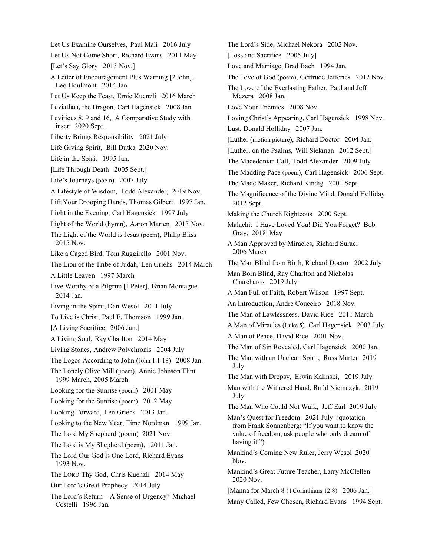Let Us Examine Ourselves, Paul Mali 2016 July Let Us Not Come Short, Richard Evans 2011 May [Let's Say Glory 2013 Nov.] A Letter of Encouragement Plus Warning [2 John], Leo Houlmont 2014 Jan. Let Us Keep the Feast, Ernie Kuenzli 2016 March Leviathan, the Dragon, Carl Hagensick 2008 Jan. Leviticus 8, 9 and 16, A Comparative Study with insert 2020 Sept. Liberty Brings Responsibility 2021 July Life Giving Spirit, Bill Dutka 2020 Nov. Life in the Spirit 1995 Jan. [Life Through Death 2005 Sept.] Life's Journeys (poem) 2007 July A Lifestyle of Wisdom, Todd Alexander, 2019 Nov. Lift Your Drooping Hands, Thomas Gilbert 1997 Jan. Light in the Evening, Carl Hagensick 1997 July Light of the World (hymn), Aaron Marten 2013 Nov. The Light of the World is Jesus (poem), Philip Bliss 2015 Nov. Like a Caged Bird, Tom Ruggirello 2001 Nov. The Lion of the Tribe of Judah, Len Griehs 2014 March A Little Leaven 1997 March Live Worthy of a Pilgrim [1 Peter], Brian Montague 2014 Jan. Living in the Spirit, Dan Wesol 2011 July To Live is Christ, Paul E. Thomson 1999 Jan. [A Living Sacrifice 2006 Jan.] A Living Soul, Ray Charlton 2014 May Living Stones, Andrew Polychronis 2004 July The Logos According to John (John 1:1-18) 2008 Jan. The Lonely Olive Mill (poem), Annie Johnson Flint 1999 March, 2005 March Looking for the Sunrise (poem) 2001 May Looking for the Sunrise (poem) 2012 May Looking Forward, Len Griehs 2013 Jan. Looking to the New Year, Timo Nordman 1999 Jan. The Lord My Shepherd (poem) 2021 Nov. The Lord is My Shepherd (poem), 2011 Jan. The Lord Our God is One Lord, Richard Evans 1993 Nov. The LORD Thy God, Chris Kuenzli 2014 May Our Lord's Great Prophecy 2014 July The Lord's Return – A Sense of Urgency? Michael Costelli 1996 Jan.

The Lord's Side, Michael Nekora 2002 Nov. [Loss and Sacrifice 2005 July] Love and Marriage, Brad Bach 1994 Jan. The Love of God (poem), Gertrude Jefferies 2012 Nov. The Love of the Everlasting Father, Paul and Jeff Mezera 2008 Jan. Love Your Enemies 2008 Nov. Loving Christ's Appearing, Carl Hagensick 1998 Nov. Lust, Donald Holliday 2007 Jan. [Luther (motion picture), Richard Doctor 2004 Jan.] [Luther, on the Psalms, Will Siekman 2012 Sept.] The Macedonian Call, Todd Alexander 2009 July The Madding Pace (poem), Carl Hagensick 2006 Sept. The Made Maker, Richard Kindig 2001 Sept. The Magnificence of the Divine Mind, Donald Holliday 2012 Sept. Making the Church Righteous 2000 Sept. Malachi: I Have Loved You! Did You Forget? Bob Gray, 2018 May A Man Approved by Miracles, Richard Suraci 2006 March The Man Blind from Birth, Richard Doctor 2002 July Man Born Blind, Ray Charlton and Nicholas Charcharos 2019 July A Man Full of Faith, Robert Wilson 1997 Sept. An Introduction, Andre Couceiro 2018 Nov. The Man of Lawlessness, David Rice 2011 March A Man of Miracles (Luke 5), Carl Hagensick 2003 July A Man of Peace, David Rice 2001 Nov. The Man of Sin Revealed, Carl Hagensick 2000 Jan. The Man with an Unclean Spirit, Russ Marten 2019 July The Man with Dropsy, Erwin Kalinski, 2019 July Man with the Withered Hand, Rafal Niemczyk, 2019 July The Man Who Could Not Walk, Jeff Earl 2019 July Man's Quest for Freedom 2021 July (quotation from Frank Sonnenberg: "If you want to know the value of freedom, ask people who only dream of having it.") Mankind's Coming New Ruler, Jerry Wesol 2020 Nov. Mankind's Great Future Teacher, Larry McClellen 2020 Nov. [Manna for March 8 (1 Corinthians 12:8) 2006 Jan.] Many Called, Few Chosen, Richard Evans 1994 Sept.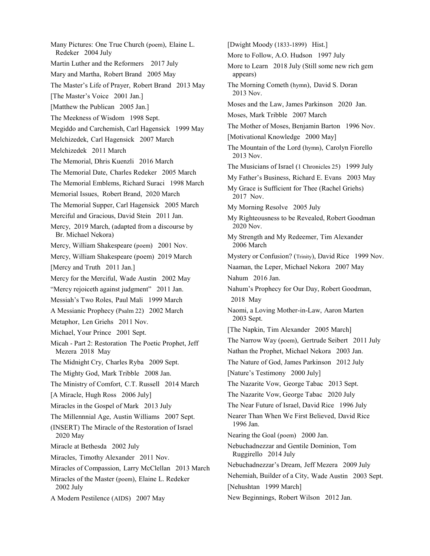Many Pictures: One True Church (poem), Elaine L. Redeker 2004 July Martin Luther and the Reformers 2017 July Mary and Martha, Robert Brand 2005 May The Master's Life of Prayer, Robert Brand 2013 May [The Master's Voice 2001 Jan.] [Matthew the Publican 2005 Jan.] The Meekness of Wisdom 1998 Sept. Megiddo and Carchemish, Carl Hagensick 1999 May Melchizedek, Carl Hagensick 2007 March Melchizedek 2011 March The Memorial, Dhris Kuenzli 2016 March The Memorial Date, Charles Redeker 2005 March The Memorial Emblems, Richard Suraci 1998 March Memorial Issues, Robert Brand, 2020 March The Memorial Supper, Carl Hagensick 2005 March Merciful and Gracious, David Stein 2011 Jan. Mercy, 2019 March, (adapted from a discourse by Br. Michael Nekora) Mercy, William Shakespeare (poem) 2001 Nov. Mercy, William Shakespeare (poem) 2019 March [Mercy and Truth 2011 Jan.] Mercy for the Merciful, Wade Austin 2002 May "Mercy rejoiceth against judgment" 2011 Jan. Messiah's Two Roles, Paul Mali 1999 March A Messianic Prophecy (Psalm 22) 2002 March Metaphor, Len Griehs 2011 Nov. Michael, Your Prince 2001 Sept. Micah - Part 2: Restoration The Poetic Prophet, Jeff Mezera 2018 May The Midnight Cry, Charles Ryba 2009 Sept. The Mighty God, Mark Tribble 2008 Jan. The Ministry of Comfort, C.T. Russell 2014 March [A Miracle, Hugh Ross 2006 July] Miracles in the Gospel of Mark 2013 July The Millennnial Age, Austin Williams 2007 Sept. (INSERT) The Miracle of the Restoration of Israel 2020 May Miracle at Bethesda 2002 July Miracles, Timothy Alexander 2011 Nov. Miracles of Compassion, Larry McClellan 2013 March Miracles of the Master (poem), Elaine L. Redeker 2002 July A Modern Pestilence (AIDS) 2007 May

[Dwight Moody (1833-1899) Hist.] More to Follow, A.O. Hudson 1997 July More to Learn 2018 July (Still some new rich gem appears) The Morning Cometh (hymn), David S. Doran 2013 Nov. Moses and the Law, James Parkinson 2020 Jan. Moses, Mark Tribble 2007 March The Mother of Moses, Benjamin Barton 1996 Nov. [Motivational Knowledge 2000 May] The Mountain of the Lord (hymn), Carolyn Fiorello 2013 Nov. The Musicians of Israel (1 Chronicles 25) 1999 July My Father's Business, Richard E. Evans 2003 May My Grace is Sufficient for Thee (Rachel Griehs) 2017 Nov. My Morning Resolve 2005 July My Righteousness to be Revealed, Robert Goodman 2020 Nov. My Strength and My Redeemer, Tim Alexander 2006 March Mystery or Confusion? (Trinity), David Rice 1999 Nov. Naaman, the Leper, Michael Nekora 2007 May Nahum 2016 Jan. Nahum's Prophecy for Our Day, Robert Goodman, 2018 May Naomi, a Loving Mother-in-Law, Aaron Marten 2003 Sept. [The Napkin, Tim Alexander 2005 March] The Narrow Way (poem), Gertrude Seibert 2011 July Nathan the Prophet, Michael Nekora 2003 Jan. The Nature of God, James Parkinson 2012 July [Nature's Testimony 2000 July] The Nazarite Vow, George Tabac 2013 Sept. The Nazarite Vow, George Tabac 2020 July The Near Future of Israel, David Rice 1996 July Nearer Than When We First Believed, David Rice 1996 Jan. Nearing the Goal (poem) 2000 Jan. Nebuchadnezzar and Gentile Dominion, Tom Ruggirello 2014 July Nebuchadnezzar's Dream, Jeff Mezera 2009 July Nehemiah, Builder of a City, Wade Austin 2003 Sept. [Nehushtan 1999 March] New Beginnings, Robert Wilson 2012 Jan.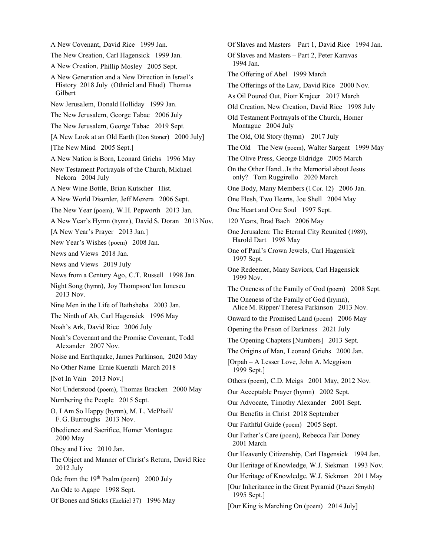A New Covenant, David Rice 1999 Jan. The New Creation, Carl Hagensick 1999 Jan. A New Creation, Phillip Mosley 2005 Sept. A New Generation and a New Direction in Israel's History 2018 July (Othniel and Ehud) Thomas Gilbert New Jerusalem, Donald Holliday 1999 Jan. The New Jerusalem, George Tabac 2006 July The New Jerusalem, George Tabac 2019 Sept. [A New Look at an Old Earth (Don Stoner) 2000 July] [The New Mind 2005 Sept.] A New Nation is Born, Leonard Griehs 1996 May New Testament Portrayals of the Church, Michael Nekora 2004 July A New Wine Bottle, Brian Kutscher Hist. A New World Disorder, Jeff Mezera 2006 Sept. The New Year (poem), W.H. Pepworth 2013 Jan. A New Year's Hymn (hymn), David S. Doran 2013 Nov. [A New Year's Prayer 2013 Jan.] New Year's Wishes (poem) 2008 Jan. News and Views 2018 Jan. News and Views 2019 July News from a Century Ago, C.T. Russell 1998 Jan. Night Song (hymn), Joy Thompson/Ion Ionescu 2013 Nov. Nine Men in the Life of Bathsheba 2003 Jan. The Ninth of Ab, Carl Hagensick 1996 May Noah's Ark, David Rice 2006 July Noah's Covenant and the Promise Covenant, Todd Alexander 2007 Nov. Noise and Earthquake, James Parkinson, 2020 May No Other Name Ernie Kuenzli March 2018 [Not In Vain 2013 Nov.] Not Understood (poem), Thomas Bracken 2000 May Numbering the People 2015 Sept. O, I Am So Happy (hymn), M. L. McPhail/ F. G. Burroughs 2013 Nov. Obedience and Sacrifice, Homer Montague 2000 May Obey and Live 2010 Jan. The Object and Manner of Christ's Return, David Rice 2012 July Ode from the 19<sup>th</sup> Psalm (poem) 2000 July An Ode to Agape 1998 Sept. Of Bones and Sticks (Ezekiel 37) 1996 May

Of Slaves and Masters – Part 1, David Rice 1994 Jan. Of Slaves and Masters – Part 2, Peter Karavas 1994 Jan. The Offering of Abel 1999 March The Offerings of the Law, David Rice 2000 Nov. As Oil Poured Out, Piotr Krajcer 2017 March Old Creation, New Creation, David Rice 1998 July Old Testament Portrayals of the Church, Homer Montague 2004 July The Old, Old Story (hymn) 2017 July The Old – The New (poem), Walter Sargent 1999 May The Olive Press, George Eldridge 2005 March On the Other Hand...Is the Memorial about Jesus only? Tom Ruggirello 2020 March One Body, Many Members (1Cor. 12) 2006 Jan. One Flesh, Two Hearts, Joe Shell 2004 May One Heart and One Soul 1997 Sept. 120 Years, Brad Bach 2006 May One Jerusalem: The Eternal City Reunited (1989), Harold Dart 1998 May One of Paul's Crown Jewels, Carl Hagensick 1997 Sept. One Redeemer, Many Saviors, Carl Hagensick 1999 Nov. The Oneness of the Family of God (poem) 2008 Sept. The Oneness of the Family of God (hymn), Alice M. Ripper/Theresa Parkinson 2013 Nov. Onward to the Promised Land (poem) 2006 May Opening the Prison of Darkness 2021 July The Opening Chapters [Numbers] 2013 Sept. The Origins of Man, Leonard Griehs 2000 Jan. [Orpah – A Lesser Love, John A. Meggison 1999 Sept.] Others (poem), C.D. Meigs 2001 May, 2012 Nov. Our Acceptable Prayer (hymn) 2002 Sept. Our Advocate, Timothy Alexander 2001 Sept. Our Benefits in Christ 2018 September Our Faithful Guide (poem) 2005 Sept. Our Father's Care (poem), Rebecca Fair Doney 2001 March Our Heavenly Citizenship, Carl Hagensick 1994 Jan. Our Heritage of Knowledge, W.J. Siekman 1993 Nov. Our Heritage of Knowledge, W.J. Siekman 2011 May [Our Inheritance in the Great Pyramid (Piazzi Smyth) 1995 Sept.] [Our King is Marching On (poem) 2014 July]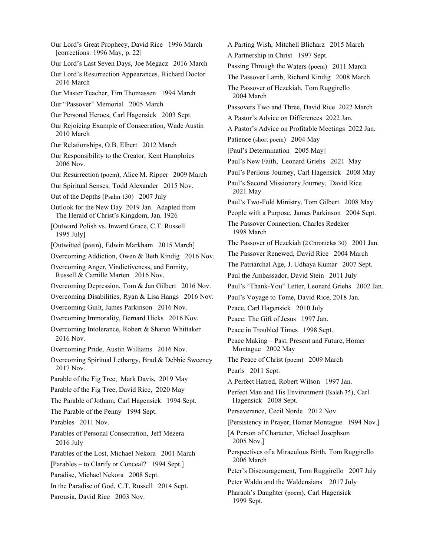Our Lord's Great Prophecy, David Rice 1996 March [corrections: 1996 May, p. 22] Our Lord's Last Seven Days, Joe Megacz 2016 March Our Lord's Resurrection Appearances, Richard Doctor 2016 March Our Master Teacher, Tim Thomassen 1994 March Our "Passover" Memorial 2005 March Our Personal Heroes, Carl Hagensick 2003 Sept. Our Rejoicing Example of Consecration, Wade Austin 2010 March Our Relationships, O.B. Elbert 2012 March Our Responsibility to the Creator, Kent Humphries 2006 Nov. Our Resurrection (poem), Alice M. Ripper 2009 March Our Spiritual Senses, Todd Alexander 2015 Nov. Out of the Depths (Psalm 130) 2007 July Outlook for the New Day 2019 Jan. Adapted from The Herald of Christ's Kingdom, Jan. 1926 [Outward Polish vs. Inward Grace, C.T. Russell 1995 July] [Outwitted (poem), Edwin Markham 2015 March] Overcoming Addiction, Owen & Beth Kindig 2016 Nov. Overcoming Anger, Vindictiveness, and Enmity, Russell & Camille Marten 2016 Nov. Overcoming Depression, Tom & Jan Gilbert 2016 Nov. Overcoming Disabilities, Ryan & Lisa Hangs 2016 Nov. Overcoming Guilt, James Parkinson 2016 Nov. Overcoming Immorality, Bernard Hicks 2016 Nov. Overcoming Intolerance, Robert & Sharon Whittaker 2016 Nov. Overcoming Pride, Austin Williams 2016 Nov. Overcoming Spiritual Lethargy, Brad & Debbie Sweeney 2017 Nov. Parable of the Fig Tree, Mark Davis, 2019 May Parable of the Fig Tree, David Rice, 2020 May The Parable of Jotham, Carl Hagensick 1994 Sept. The Parable of the Penny 1994 Sept. Parables 2011 Nov. Parables of Personal Consecration, Jeff Mezera 2016 July Parables of the Lost, Michael Nekora 2001 March [Parables – to Clarify or Conceal? 1994 Sept.] Paradise, Michael Nekora 2008 Sept. In the Paradise of God, C.T. Russell 2014 Sept. Parousia, David Rice 2003 Nov.

A Parting Wish, Mitchell Blicharz 2015 March A Partnership in Christ 1997 Sept. Passing Through the Waters (poem) 2011 March The Passover Lamb, Richard Kindig 2008 March The Passover of Hezekiah, Tom Ruggirello 2004 March Passovers Two and Three, David Rice 2022 March A Pastor's Advice on Differences 2022 Jan. A Pastor's Advice on Profitable Meetings 2022 Jan. Patience (short poem) 2004 May [Paul's Determination 2005 May] Paul's New Faith, Leonard Griehs 2021 May Paul's Perilous Journey, Carl Hagensick 2008 May Paul's Second Missionary Journey, David Rice 2021 May Paul's Two-Fold Ministry, Tom Gilbert 2008 May People with a Purpose, James Parkinson 2004 Sept. The Passover Connection, Charles Redeker 1998 March The Passover of Hezekiah (2Chronicles 30) 2001 Jan. The Passover Renewed, David Rice 2004 March The Patriarchal Age, J. Udhaya Kumar 2007 Sept. Paul the Ambassador, David Stein 2011 July Paul's "Thank-You" Letter, Leonard Griehs 2002 Jan. Paul's Voyage to Tome, David Rice, 2018 Jan. Peace, Carl Hagensick 2010 July Peace: The Gift of Jesus 1997 Jan. Peace in Troubled Times 1998 Sept. Peace Making – Past, Present and Future, Homer Montague 2002 May The Peace of Christ (poem) 2009 March Pearls 2011 Sept. A Perfect Hatred, Robert Wilson 1997 Jan. Perfect Man and His Environment (Isaiah 35), Carl Hagensick 2008 Sept. Perseverance, Cecil Norde 2012 Nov. [Persistency in Prayer, Homer Montague 1994 Nov.] [A Person of Character, Michael Josephson 2005 Nov.] Perspectives of a Miraculous Birth, Tom Ruggirello 2006 March Peter's Discouragement, Tom Ruggirello 2007 July Peter Waldo and the Waldensians 2017 July Pharaoh's Daughter (poem), Carl Hagensick 1999 Sept.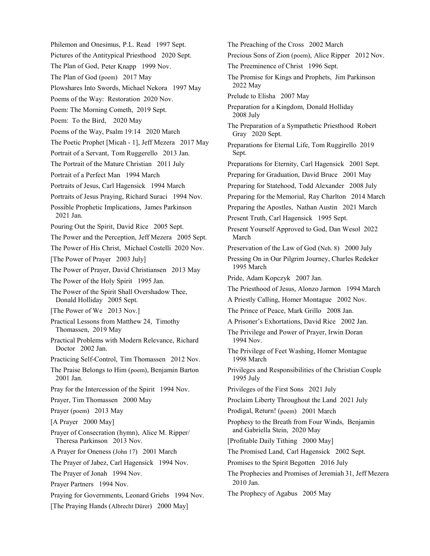Philemon and Onesimus, P.L. Read 1997 Sept. Pictures of the Antitypical Priesthood 2020 Sept. The Plan of God, Peter Knapp 1999 Nov. The Plan of God (poem) 2017 May Plowshares Into Swords, Michael Nekora 1997 May Poems of the Way: Restoration 2020 Nov. Poem: The Morning Cometh, 2019 Sept. Poem: To the Bird, 2020 May Poems of the Way, Psalm 19:14 2020 March The Poetic Prophet [Micah - 1], Jeff Mezera 2017 May Portrait of a Servant, Tom Ruggerello 2013 Jan. The Portrait of the Mature Christian 2011 July Portrait of a Perfect Man 1994 March Portraits of Jesus, Carl Hagensick 1994 March Portraits of Jesus Praying, Richard Suraci 1994 Nov. Possible Prophetic Implications, James Parkinson 2021 Jan. Pouring Out the Spirit, David Rice 2005 Sept. The Power and the Perception, Jeff Mezera 2005 Sept. The Power of His Christ, Michael Costelli 2020 Nov. [The Power of Prayer 2003 July] The Power of Prayer, David Christiansen 2013 May The Power of the Holy Spirit 1995 Jan. The Power of the Spirit Shall Overshadow Thee, Donald Holliday 2005 Sept. [The Power of We 2013 Nov.] Practical Lessons from Matthew 24, Timothy Thomassen, 2019 May Practical Problems with Modern Relevance, Richard Doctor 2002 Jan. Practicing Self-Control, Tim Thomassen 2012 Nov. The Praise Belongs to Him (poem), Benjamin Barton 2001 Jan. Pray for the Intercession of the Spirit 1994 Nov. Prayer, Tim Thomassen 2000 May Prayer (poem) 2013 May [A Prayer 2000 May] Prayer of Consecration (hymn), Alice M. Ripper/ Theresa Parkinson 2013 Nov. A Prayer for Oneness (John 17) 2001 March The Prayer of Jabez, Carl Hagensick 1994 Nov. The Prayer of Jonah 1994 Nov. Prayer Partners 1994 Nov. Praying for Governments, Leonard Griehs 1994 Nov. [The Praying Hands (Albrecht Dürer) 2000 May]

The Preaching of the Cross 2002 March Precious Sons of Zion (poem), Alice Ripper 2012 Nov. The Preeminence of Christ 1996 Sept. The Promise for Kings and Prophets, Jim Parkinson 2022 May Prelude to Elisha 2007 May Preparation for a Kingdom, Donald Holliday 2008 July The Preparation of a Sympathetic Priesthood Robert Gray 2020 Sept. Preparations for Eternal Life, Tom Ruggirello 2019 Sept. Preparations for Eternity, Carl Hagensick 2001 Sept. Preparing for Graduation, David Bruce 2001 May Preparing for Statehood, Todd Alexander 2008 July Preparing for the Memorial, Ray Charlton 2014 March Preparing the Apostles, Nathan Austin 2021 March Present Truth, Carl Hagensick 1995 Sept. Present Yourself Approved to God, Dan Wesol 2022 March Preservation of the Law of God (Neh. 8) 2000 July Pressing On in Our Pilgrim Journey, Charles Redeker 1995 March Pride, Adam Kopczyk 2007 Jan. The Priesthood of Jesus, Alonzo Jarmon 1994 March A Priestly Calling, Homer Montague 2002 Nov. The Prince of Peace, Mark Grillo 2008 Jan. A Prisoner's Exhortations, David Rice 2002 Jan. The Privilege and Power of Prayer, Irwin Doran 1994 Nov. The Privilege of Feet Washing, Homer Montague 1998 March Privileges and Responsibilities of the Christian Couple 1995 July Privileges of the First Sons 2021 July Proclaim Liberty Throughout the Land 2021 July Prodigal, Return! (poem) 2001 March Prophesy to the Breath from Four Winds, Benjamin and Gabriella Stein, 2020 May [Profitable Daily Tithing 2000 May] The Promised Land, Carl Hagensick 2002 Sept. Promises to the Spirit Begotten 2016 July The Prophecies and Promises of Jeremiah 31, Jeff Mezera 2010 Jan. The Prophecy of Agabus 2005 May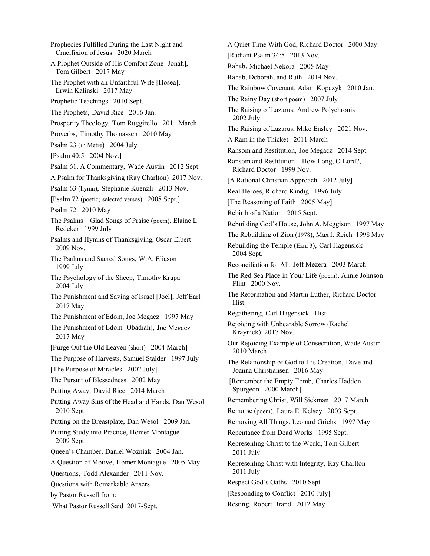Prophecies Fulfilled During the Last Night and Crucifixion of Jesus 2020 March A Prophet Outside of His Comfort Zone [Jonah], Tom Gilbert 2017 May The Prophet with an Unfaithful Wife [Hosea], Erwin Kalinski 2017 May Prophetic Teachings 2010 Sept. The Prophets, David Rice 2016 Jan. Prosperity Theology, Tom Ruggirello 2011 March Proverbs, Timothy Thomassen 2010 May Psalm 23 (in Metre) 2004 July [Psalm 40:5 2004 Nov.] Psalm 61, A Commentary, Wade Austin 2012 Sept. A Psalm for Thanksgiving (Ray Charlton) 2017 Nov. Psalm 63 (hymn), Stephanie Kuenzli 2013 Nov. [Psalm 72 (poetic; selected verses) 2008 Sept.] Psalm 72 2010 May The Psalms – Glad Songs of Praise (poem), Elaine L. Redeker 1999 July Psalms and Hymns of Thanksgiving, Oscar Elbert 2009 Nov. The Psalms and Sacred Songs, W.A. Eliason 1999 July The Psychology of the Sheep, Timothy Krupa 2004 July The Punishment and Saving of Israel [Joel], Jeff Earl 2017 May The Punishment of Edom, Joe Megacz 1997 May The Punishment of Edom [Obadiah], Joe Megacz 2017 May [Purge Out the Old Leaven (short) 2004 March] The Purpose of Harvests, Samuel Stalder 1997 July [The Purpose of Miracles 2002 July] The Pursuit of Blessedness 2002 May Putting Away, David Rice 2014 March Putting Away Sins of the Head and Hands, Dan Wesol 2010 Sept. Putting on the Breastplate, Dan Wesol 2009 Jan. Putting Study into Practice, Homer Montague 2009 Sept. Queen's Chamber, Daniel Wozniak 2004 Jan. A Question of Motive, Homer Montague 2005 May Questions, Todd Alexander 2011 Nov. Questions with Remarkable Ansers by Pastor Russell from: What Pastor Russell Said 2017-Sept. 2002 July 2004 Sept. Hist. 2010 March 2011 July 2011 July Resting, Robert Brand 2012 May

A Quiet Time With God, Richard Doctor 2000 May [Radiant Psalm 34:5 2013 Nov.] Rahab, Michael Nekora 2005 May Rahab, Deborah, and Ruth 2014 Nov. The Rainbow Covenant, Adam Kopczyk 2010 Jan. The Rainy Day (short poem) 2007 July The Raising of Lazarus, Andrew Polychronis The Raising of Lazarus, Mike Ensley 2021 Nov. A Ram in the Thicket 2011 March Ransom and Restitution, Joe Megacz 2014 Sept. Ransom and Restitution – How Long, O Lord?, Richard Doctor 1999 Nov. [A Rational Christian Approach 2012 July] Real Heroes, Richard Kindig 1996 July [The Reasoning of Faith 2005 May] Rebirth of a Nation 2015 Sept. Rebuilding God's House, John A. Meggison 1997 May The Rebuilding of Zion (1978), Max I. Reich 1998 May Rebuilding the Temple (Ezra 3), Carl Hagensick Reconciliation for All, Jeff Mezera 2003 March The Red Sea Place in Your Life (poem), Annie Johnson Flint 2000 Nov. The Reformation and Martin Luther, Richard Doctor Regathering, Carl Hagensick Hist. Rejoicing with Unbearable Sorrow (Rachel Kraynick) 2017 Nov. Our Rejoicing Example of Consecration, Wade Austin The Relationship of God to His Creation, Dave and Joanna Christiansen 2016 May [Remember the Empty Tomb, Charles Haddon Spurgeon 2000 March] Remembering Christ, Will Siekman 2017 March Remorse (poem), Laura E. Kelsey 2003 Sept. Removing All Things, Leonard Griehs 1997 May Repentance from Dead Works 1995 Sept. Representing Christ to the World, Tom Gilbert Representing Christ with Integrity, Ray Charlton Respect God's Oaths 2010 Sept. [Responding to Conflict 2010 July]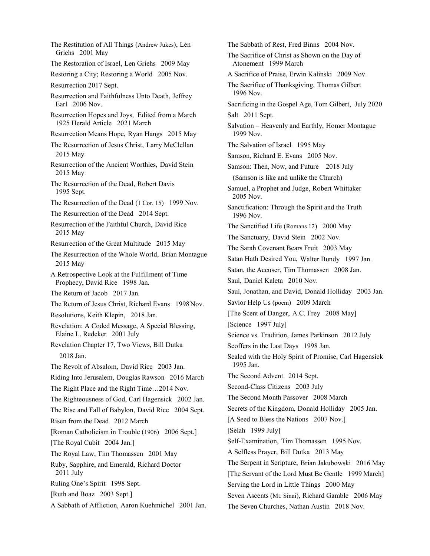The Restitution of All Things (Andrew Jukes), Len Griehs 2001 May The Restoration of Israel, Len Griehs 2009 May Restoring a City; Restoring a World 2005 Nov. Resurrection 2017 Sept. Resurrection and Faithfulness Unto Death, Jeffrey Earl 2006 Nov. Resurrection Hopes and Joys, Edited from a March 1925 Herald Article 2021 March Resurrection Means Hope, Ryan Hangs 2015 May The Resurrection of Jesus Christ, Larry McClellan 2015 May Resurrection of the Ancient Worthies, David Stein 2015 May The Resurrection of the Dead, Robert Davis 1995 Sept. The Resurrection of the Dead (1 Cor. 15) 1999 Nov. The Resurrection of the Dead 2014 Sept. Resurrection of the Faithful Church, David Rice 2015 May Resurrection of the Great Multitude 2015 May The Resurrection of the Whole World, Brian Montague 2015 May A Retrospective Look at the Fulfillment of Time Prophecy, David Rice 1998 Jan. The Return of Jacob 2017 Jan. The Return of Jesus Christ, Richard Evans 1998Nov. Resolutions, Keith Klepin, 2018 Jan. Revelation: A Coded Message, A Special Blessing, Elaine L. Redeker 2001 July Revelation Chapter 17, Two Views, Bill Dutka 2018 Jan. The Revolt of Absalom, David Rice 2003 Jan. Riding Into Jerusalem, Douglas Rawson 2016 March The Right Place and the Right Time…2014 Nov. The Righteousness of God, Carl Hagensick 2002 Jan. The Rise and Fall of Babylon, David Rice 2004 Sept. Risen from the Dead 2012 March [Roman Catholicism in Trouble (1906) 2006 Sept.] [The Royal Cubit 2004 Jan.] The Royal Law, Tim Thomassen 2001 May Ruby, Sapphire, and Emerald, Richard Doctor 2011 July Ruling One's Spirit 1998 Sept. [Ruth and Boaz 2003 Sept.] A Sabbath of Affliction, Aaron Kuehmichel 2001 Jan.

The Sabbath of Rest, Fred Binns 2004 Nov. The Sacrifice of Christ as Shown on the Day of Atonement 1999 March A Sacrifice of Praise, Erwin Kalinski 2009 Nov. The Sacrifice of Thanksgiving, Thomas Gilbert 1996 Nov. Sacrificing in the Gospel Age, Tom Gilbert, July 2020 Salt 2011 Sept. Salvation – Heavenly and Earthly, Homer Montague 1999 Nov. The Salvation of Israel 1995 May Samson, Richard E. Evans 2005 Nov. Samson: Then, Now, and Future 2018 July (Samson is like and unlike the Church) Samuel, a Prophet and Judge, Robert Whittaker 2005 Nov. Sanctification: Through the Spirit and the Truth 1996 Nov. The Sanctified Life (Romans 12) 2000 May The Sanctuary, David Stein 2002 Nov. The Sarah Covenant Bears Fruit 2003 May Satan Hath Desired You, Walter Bundy 1997 Jan. Satan, the Accuser, Tim Thomassen 2008 Jan. Saul, Daniel Kaleta 2010 Nov. Saul, Jonathan, and David, Donald Holliday 2003 Jan. Savior Help Us (poem) 2009 March [The Scent of Danger, A.C. Frey 2008 May] [Science 1997 July] Science vs. Tradition, James Parkinson 2012 July Scoffers in the Last Days 1998 Jan. Sealed with the Holy Spirit of Promise, Carl Hagensick 1995 Jan. The Second Advent 2014 Sept. Second-Class Citizens 2003 July The Second Month Passover 2008 March Secrets of the Kingdom, Donald Holliday 2005 Jan. [A Seed to Bless the Nations 2007 Nov.] [Selah 1999 July] Self-Examination, Tim Thomassen 1995 Nov. A Selfless Prayer, Bill Dutka 2013 May The Serpent in Scripture, Brian Jakubowski 2016 May [The Servant of the Lord Must Be Gentle 1999 March] Serving the Lord in Little Things 2000 May Seven Ascents (Mt. Sinai), Richard Gamble 2006 May The Seven Churches, Nathan Austin 2018 Nov.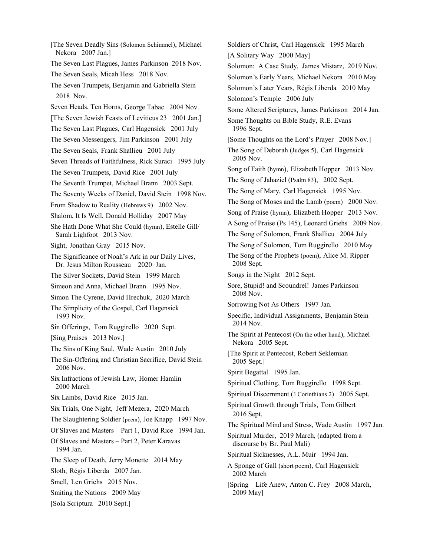[The Seven Deadly Sins (Solomon Schimmel), Michael Nekora 2007 Jan.] The Seven Last Plagues, James Parkinson 2018 Nov. The Seven Seals, Micah Hess 2018 Nov. The Seven Trumpets, Benjamin and Gabriella Stein 2018 Nov. Seven Heads, Ten Horns, George Tabac 2004 Nov. [The Seven Jewish Feasts of Leviticus 23 2001 Jan.] The Seven Last Plagues, Carl Hagensick 2001 July The Seven Messengers, Jim Parkinson 2001 July The Seven Seals, Frank Shallieu 2001 July Seven Threads of Faithfulness, Rick Suraci 1995 July The Seven Trumpets, David Rice 2001 July The Seventh Trumpet, Michael Brann 2003 Sept. The Seventy Weeks of Daniel, David Stein 1998 Nov. From Shadow to Reality (Hebrews 9) 2002 Nov. Shalom, It Is Well, Donald Holliday 2007 May She Hath Done What She Could (hymn), Estelle Gill/ Sarah Lighfoot 2013 Nov. Sight, Jonathan Gray 2015 Nov. The Significance of Noah's Ark in our Daily Lives, Dr. Jesus Milton Rousseau 2020 Jan. The Silver Sockets, David Stein 1999 March Simeon and Anna, Michael Brann 1995 Nov. Simon The Cyrene, David Hrechuk, 2020 March The Simplicity of the Gospel, Carl Hagensick 1993 Nov. Sin Offerings, Tom Ruggirello 2020 Sept. [Sing Praises 2013 Nov.] The Sins of King Saul, Wade Austin 2010 July The Sin-Offering and Christian Sacrifice, David Stein 2006 Nov. Six Infractions of Jewish Law, Homer Hamlin 2000 March Six Lambs, David Rice 2015 Jan. Six Trials, One Night, Jeff Mezera, 2020 March The Slaughtering Soldier (poem), Joe Knapp 1997 Nov. Of Slaves and Masters – Part 1, David Rice 1994 Jan. Of Slaves and Masters – Part 2, Peter Karavas 1994 Jan. The Sleep of Death, Jerry Monette 2014 May Sloth, Régis Liberda 2007 Jan. Smell, Len Griehs 2015 Nov. Smiting the Nations 2009 May [Sola Scriptura 2010 Sept.]

Soldiers of Christ, Carl Hagensick 1995 March [A Solitary Way 2000 May] Solomon: A Case Study, James Mistarz, 2019 Nov. Solomon's Early Years, Michael Nekora 2010 May Solomon's Later Years, Régis Liberda 2010 May Solomon's Temple 2006 July Some Altered Scriptures, James Parkinson 2014 Jan. Some Thoughts on Bible Study, R.E. Evans 1996 Sept. [Some Thoughts on the Lord's Prayer 2008 Nov.] The Song of Deborah (Judges 5), Carl Hagensick 2005 Nov. Song of Faith (hymn), Elizabeth Hopper 2013 Nov. The Song of Jahaziel (Psalm 83), 2002 Sept. The Song of Mary, Carl Hagensick 1995 Nov. The Song of Moses and the Lamb (poem) 2000 Nov. Song of Praise (hymn), Elizabeth Hopper 2013 Nov. A Song of Praise (Ps 145), Leonard Griehs 2009 Nov. The Song of Solomon, Frank Shallieu 2004 July The Song of Solomon, Tom Ruggirello 2010 May The Song of the Prophets (poem), Alice M. Ripper 2008 Sept. Songs in the Night 2012 Sept. Sore, Stupid! and Scoundrel! James Parkinson 2008 Nov. Sorrowing Not As Others 1997 Jan. Specific, Individual Assignments, Benjamin Stein 2014 Nov. The Spirit at Pentecost (On the other hand), Michael Nekora 2005 Sept. [The Spirit at Pentecost, Robert Seklemian 2005 Sept.] Spirit Begattal 1995 Jan. Spiritual Clothing, Tom Ruggirello 1998 Sept. Spiritual Discernment (1Corinthians 2) 2005 Sept. Spiritual Growth through Trials, Tom Gilbert 2016 Sept. The Spiritual Mind and Stress, Wade Austin 1997 Jan. Spiritual Murder, 2019 March, (adapted from a discourse by Br. Paul Mali) Spiritual Sicknesses, A.L. Muir 1994 Jan. A Sponge of Gall (short poem), Carl Hagensick 2002 March [Spring – Life Anew, Anton C. Frey 2008 March, 2009 May]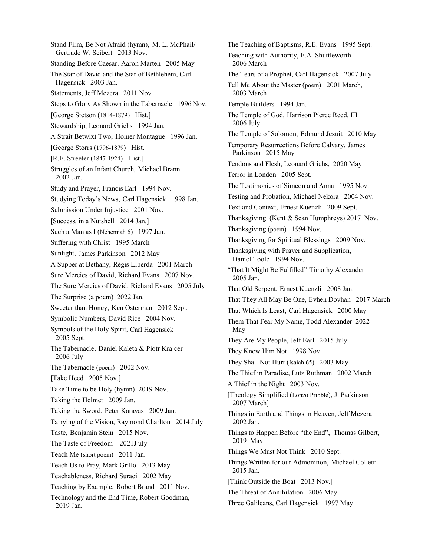Stand Firm, Be Not Afraid (hymn), M. L. McPhail/ Gertrude W. Seibert 2013 Nov. Standing Before Caesar, Aaron Marten 2005 May The Star of David and the Star of Bethlehem, Carl Hagensick 2003 Jan. Statements, Jeff Mezera 2011 Nov. Steps to Glory As Shown in the Tabernacle 1996 Nov. [George Stetson (1814-1879) Hist.] Stewardship, Leonard Griehs 1994 Jan. A Strait Betwixt Two, Homer Montague 1996 Jan. [George Storrs (1796-1879) Hist.] [R.E. Streeter (1847-1924) Hist.] Struggles of an Infant Church, Michael Brann 2002 Jan. Study and Prayer, Francis Earl 1994 Nov. Studying Today's News, Carl Hagensick 1998 Jan. Submission Under Injustice 2001 Nov. [Success, in a Nutshell 2014 Jan.] Such a Man as I (Nehemiah 6) 1997 Jan. Suffering with Christ 1995 March Sunlight, James Parkinson 2012 May A Supper at Bethany, Régis Liberda 2001 March Sure Mercies of David, Richard Evans 2007 Nov. The Sure Mercies of David, Richard Evans 2005 July The Surprise (a poem) 2022 Jan. Sweeter than Honey, Ken Osterman 2012 Sept. Symbolic Numbers, David Rice 2004 Nov. Symbols of the Holy Spirit, Carl Hagensick 2005 Sept. The Tabernacle, Daniel Kaleta & Piotr Krajcer 2006 July The Tabernacle (poem) 2002 Nov. [Take Heed 2005 Nov.] Take Time to be Holy (hymn) 2019 Nov. Taking the Helmet 2009 Jan. Taking the Sword, Peter Karavas 2009 Jan. Tarrying of the Vision, Raymond Charlton 2014 July Taste, Benjamin Stein 2015 Nov. The Taste of Freedom 2021J uly Teach Me (short poem) 2011 Jan. Teach Us to Pray, Mark Grillo 2013 May Teachableness, Richard Suraci 2002 May Teaching by Example, Robert Brand 2011 Nov. Technology and the End Time, Robert Goodman, 2019 Jan.

The Teaching of Baptisms, R.E. Evans 1995 Sept. Teaching with Authority, F.A. Shuttleworth 2006 March The Tears of a Prophet, Carl Hagensick 2007 July Tell Me About the Master (poem) 2001 March, 2003 March Temple Builders 1994 Jan. The Temple of God, Harrison Pierce Reed, III 2006 July The Temple of Solomon, Edmund Jezuit 2010 May Temporary Resurrections Before Calvary, James Parkinson 2015 May Tendons and Flesh, Leonard Griehs, 2020 May Terror in London 2005 Sept. The Testimonies of Simeon and Anna 1995 Nov. Testing and Probation, Michael Nekora 2004 Nov. Text and Context, Ernest Kuenzli 2009 Sept. Thanksgiving (Kent & Sean Humphreys) 2017 Nov. Thanksgiving (poem) 1994 Nov. Thanksgiving for Spiritual Blessings 2009 Nov. Thanksgiving with Prayer and Supplication, Daniel Toole 1994 Nov. "That It Might Be Fulfilled" Timothy Alexander 2005 Jan. That Old Serpent, Ernest Kuenzli 2008 Jan. That They All May Be One, Evhen Dovhan 2017 March That Which Is Least, Carl Hagensick 2000 May Them That Fear My Name, Todd Alexander 2022 May They Are My People, Jeff Earl 2015 July They Knew Him Not 1998 Nov. They Shall Not Hurt (Isaiah 65) 2003 May The Thief in Paradise, Lutz Ruthman 2002 March A Thief in the Night 2003 Nov. [Theology Simplified (Lonzo Pribble), J. Parkinson 2007 March] Things in Earth and Things in Heaven, Jeff Mezera 2002 Jan. Things to Happen Before "the End", Thomas Gilbert, 2019 May Things We Must Not Think 2010 Sept. Things Written for our Admonition, Michael Colletti 2015 Jan. [Think Outside the Boat 2013 Nov.] The Threat of Annihilation 2006 May

Three Galileans, Carl Hagensick 1997 May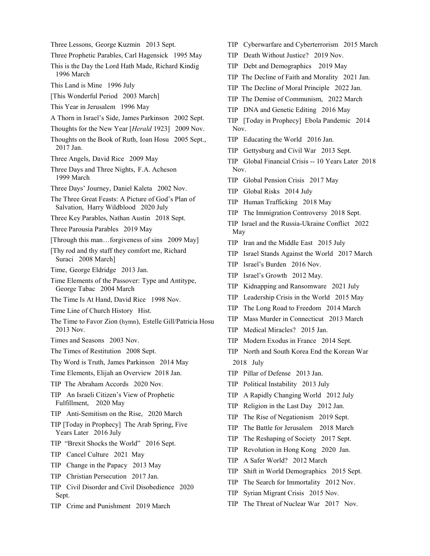Three Lessons, George Kuzmin 2013 Sept.

Three Prophetic Parables, Carl Hagensick 1995 May

This is the Day the Lord Hath Made, Richard Kindig 1996 March

- This Land is Mine 1996 July
- [This Wonderful Period 2003 March]
- This Year in Jerusalem 1996 May
- A Thorn in Israel's Side, James Parkinson 2002 Sept.
- Thoughts for the New Year [*Herald* 1923] 2009 Nov.
- Thoughts on the Book of Ruth, Ioan Hosu 2005 Sept., 2017 Jan.
- Three Angels, David Rice 2009 May
- Three Days and Three Nights, F.A. Acheson 1999 March
- Three Days' Journey, Daniel Kaleta 2002 Nov.

The Three Great Feasts: A Picture of God's Plan of Salvation, Harry Wildblood 2020 July

- Three Key Parables, Nathan Austin 2018 Sept.
- Three Parousia Parables 2019 May
- [Through this man...forgiveness of sins 2009 May]
- [Thy rod and thy staff they comfort me, Richard Suraci 2008 March]
- Time, George Eldridge 2013 Jan.
- Time Elements of the Passover: Type and Antitype, George Tabac 2004 March
- The Time Is At Hand, David Rice 1998 Nov.
- Time Line of Church History Hist.
- The Time to Favor Zion (hymn), Estelle Gill/Patricia Hosu 2013 Nov.
- Times and Seasons 2003 Nov.
- The Times of Restitution 2008 Sept.
- Thy Word is Truth, James Parkinson 2014 May
- Time Elements, Elijah an Overview 2018 Jan.
- TIP The Abraham Accords 2020 Nov.
- TIP An Israeli Citizen's View of Prophetic Fulfillment, 2020 May
- TIP Anti-Semitism on the Rise, 2020 March
- TIP [Today in Prophecy] The Arab Spring, Five Years Later 2016 July
- TIP "Brexit Shocks the World" 2016 Sept.
- TIP Cancel Culture 2021 May
- TIP Change in the Papacy 2013 May
- TIP Christian Persecution 2017 Jan.
- TIP Civil Disorder and Civil Disobedience 2020 Sept.
- TIP Crime and Punishment 2019 March
- TIP Cyberwarfare and Cyberterrorism 2015 March
- TIP Death Without Justice? 2019 Nov.
- TIP Debt and Demographics 2019 May
- TIP The Decline of Faith and Morality 2021 Jan.
- TIP The Decline of Moral Principle 2022 Jan.
- TIP The Demise of Communism, 2022 March
- TIP DNA and Genetic Editing 2016 May
- TIP [Today in Prophecy] Ebola Pandemic 2014 Nov.
- TIP Educating the World 2016 Jan.
- TIP Gettysburg and Civil War 2013 Sept.
- TIP Global Financial Crisis -- 10 Years Later 2018 Nov.
- TIP Global Pension Crisis 2017 May
- TIP Global Risks 2014 July
- TIP Human Trafficking 2018 May
- TIP The Immigration Controversy 2018 Sept.
- TIP Israel and the Russia-Ukraine Conflict 2022 May
- TIP Iran and the Middle East 2015 July
- TIP Israel Stands Against the World 2017 March
- TIP Israel's Burden 2016 Nov.
- TIP Israel's Growth 2012 May.
- TIP Kidnapping and Ransomware 2021 July
- TIP Leadership Crisis in the World 2015 May
- TIP The Long Road to Freedom 2014 March
- TIP Mass Murder in Connecticut 2013 March
- TIP Medical Miracles? 2015 Jan.
- TIP Modern Exodus in France 2014 Sept.
- TIP North and South Korea End the Korean War 2018 July
- TIP Pillar of Defense 2013 Jan.
- TIP Political Instability 2013 July
- TIP A Rapidly Changing World 2012 July
- TIP Religion in the Last Day 2012 Jan.
- TIP The Rise of Negationism 2019 Sept.
- TIP The Battle for Jerusalem 2018 March
- TIP The Reshaping of Society 2017 Sept.
- TIP Revolution in Hong Kong 2020 Jan.
- TIP A Safer World? 2012 March
- TIP Shift in World Demographics 2015 Sept.
- TIP The Search for Immortality 2012 Nov.
- TIP Syrian Migrant Crisis 2015 Nov.
- TIP The Threat of Nuclear War 2017 Nov.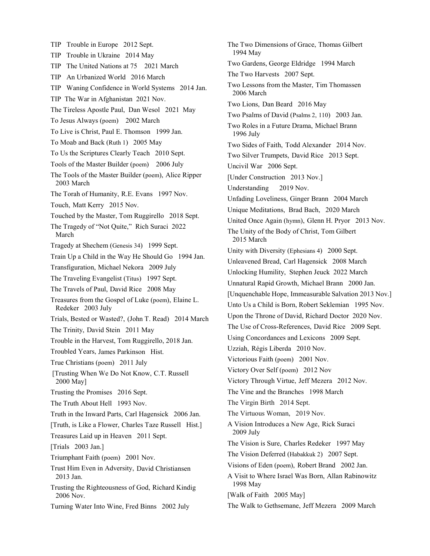TIP Trouble in Europe 2012 Sept. TIP Trouble in Ukraine 2014 May TIP The United Nations at 75 2021 March TIP An Urbanized World 2016 March TIP Waning Confidence in World Systems 2014 Jan. TIP The War in Afghanistan 2021 Nov. The Tireless Apostle Paul, Dan Wesol 2021 May To Jesus Always (poem) 2002 March To Live is Christ, Paul E. Thomson 1999 Jan. To Moab and Back (Ruth 1) 2005 May To Us the Scriptures Clearly Teach 2010 Sept. Tools of the Master Builder (poem) 2006 July The Tools of the Master Builder (poem), Alice Ripper 2003 March The Torah of Humanity, R.E. Evans 1997 Nov. Touch, Matt Kerry 2015 Nov. Touched by the Master, Tom Ruggirello 2018 Sept. The Tragedy of "Not Quite," Rich Suraci 2022 March Tragedy at Shechem (Genesis 34) 1999 Sept. Train Up a Child in the Way He Should Go 1994 Jan. Transfiguration, Michael Nekora 2009 July The Traveling Evangelist (Titus) 1997 Sept. The Travels of Paul, David Rice 2008 May Treasures from the Gospel of Luke (poem), Elaine L. Redeker 2003 July Trials, Bested or Wasted?, (John T. Read) 2014 March The Trinity, David Stein 2011 May Trouble in the Harvest, Tom Ruggirello, 2018 Jan. Troubled Years, James Parkinson Hist. True Christians (poem) 2011 July [Trusting When We Do Not Know, C.T. Russell 2000 May] Trusting the Promises 2016 Sept. The Truth About Hell 1993 Nov. Truth in the Inward Parts, Carl Hagensick 2006 Jan. [Truth, is Like a Flower, Charles Taze Russell Hist.] Treasures Laid up in Heaven 2011 Sept. [Trials 2003 Jan.] Triumphant Faith (poem) 2001 Nov. Trust Him Even in Adversity, David Christiansen 2013 Jan. Trusting the Righteousness of God, Richard Kindig 2006 Nov. Turning Water Into Wine, Fred Binns 2002 July

The Two Dimensions of Grace, Thomas Gilbert 1994 May Two Gardens, George Eldridge 1994 March The Two Harvests 2007 Sept. Two Lessons from the Master, Tim Thomassen 2006 March Two Lions, Dan Beard 2016 May Two Psalms of David (Psalms 2, 110) 2003 Jan. Two Roles in a Future Drama, Michael Brann 1996 July Two Sides of Faith, Todd Alexander 2014 Nov. Two Silver Trumpets, David Rice 2013 Sept. Uncivil War 2006 Sept. [Under Construction 2013 Nov.] Understanding 2019 Nov. Unfading Loveliness, Ginger Brann 2004 March Unique Meditations, Brad Bach, 2020 March United Once Again (hymn), Glenn H. Pryor 2013 Nov. The Unity of the Body of Christ, Tom Gilbert 2015 March Unity with Diversity (Ephesians 4) 2000 Sept. Unleavened Bread, Carl Hagensick 2008 March Unlocking Humility, Stephen Jeuck 2022 March Unnatural Rapid Growth, Michael Brann 2000 Jan. [Unquenchable Hope, Immeasurable Salvation 2013 Nov.] Unto Us a Child is Born, Robert Seklemian 1995 Nov. Upon the Throne of David, Richard Doctor 2020 Nov. The Use of Cross-References, David Rice 2009 Sept. Using Concordances and Lexicons 2009 Sept. Uzziah, Régis Liberda 2010 Nov. Victorious Faith (poem) 2001 Nov. Victory Over Self (poem) 2012 Nov Victory Through Virtue, Jeff Mezera 2012 Nov. The Vine and the Branches 1998 March The Virgin Birth 2014 Sept. The Virtuous Woman, 2019 Nov. A Vision Introduces a New Age, Rick Suraci 2009 July The Vision is Sure, Charles Redeker 1997 May The Vision Deferred (Habakkuk 2) 2007 Sept. Visions of Eden (poem), Robert Brand 2002 Jan. A Visit to Where Israel Was Born, Allan Rabinowitz 1998 May [Walk of Faith 2005 May] The Walk to Gethsemane, Jeff Mezera 2009 March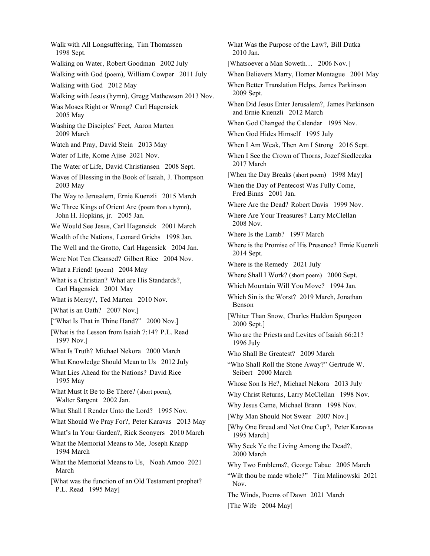Walk with All Longsuffering, Tim Thomassen 1998 Sept. Walking on Water, Robert Goodman 2002 July Walking with God (poem), William Cowper 2011 July Walking with God 2012 May Walking with Jesus (hymn), Gregg Mathewson 2013 Nov. Was Moses Right or Wrong? Carl Hagensick 2005 May Washing the Disciples' Feet, Aaron Marten 2009 March Watch and Pray, David Stein 2013 May Water of Life, Kome Ajise 2021 Nov. The Water of Life, David Christiansen 2008 Sept. Waves of Blessing in the Book of Isaiah, J. Thompson 2003 May The Way to Jerusalem, Ernie Kuenzli 2015 March We Three Kings of Orient Are (poem from a hymn), John H. Hopkins, jr. 2005 Jan. We Would See Jesus, Carl Hagensick 2001 March Wealth of the Nations, Leonard Griehs 1998 Jan. The Well and the Grotto, Carl Hagensick 2004 Jan. Were Not Ten Cleansed? Gilbert Rice 2004 Nov. What a Friend! (poem) 2004 May What is a Christian? What are His Standards?, Carl Hagensick 2001 May What is Mercy?, Ted Marten 2010 Nov. [What is an Oath? 2007 Nov.] ["What Is That in Thine Hand?" 2000 Nov.] [What is the Lesson from Isaiah 7:14? P.L. Read 1997 Nov.] What Is Truth? Michael Nekora 2000 March What Knowledge Should Mean to Us 2012 July What Lies Ahead for the Nations? David Rice 1995 May What Must It Be to Be There? (short poem), Walter Sargent 2002 Jan. What Shall I Render Unto the Lord? 1995 Nov. What Should We Pray For?, Peter Karavas 2013 May What's In Your Garden?, Rick Sconyers 2010 March What the Memorial Means to Me, Joseph Knapp 1994 March What the Memorial Means to Us, Noah Amoo 2021 March [What was the function of an Old Testament prophet? P.L. Read 1995 May]

What Was the Purpose of the Law?, Bill Dutka 2010 Jan. [Whatsoever a Man Soweth... 2006 Nov.] When Believers Marry, Homer Montague 2001 May When Better Translation Helps, James Parkinson 2009 Sept. When Did Jesus Enter Jerusalem?, James Parkinson and Ernie Kuenzli 2012 March When God Changed the Calendar 1995 Nov. When God Hides Himself 1995 July When I Am Weak, Then Am I Strong 2016 Sept. When I See the Crown of Thorns, Jozef Siedleczka 2017 March [When the Day Breaks (short poem) 1998 May] When the Day of Pentecost Was Fully Come, Fred Binns 2001 Jan. Where Are the Dead? Robert Davis 1999 Nov. Where Are Your Treasures? Larry McClellan 2008 Nov. Where Is the Lamb? 1997 March Where is the Promise of His Presence? Ernie Kuenzli 2014 Sept. Where is the Remedy 2021 July Where Shall I Work? (short poem) 2000 Sept. Which Mountain Will You Move? 1994 Jan. Which Sin is the Worst? 2019 March, Jonathan Benson [Whiter Than Snow, Charles Haddon Spurgeon 2000 Sept.] Who are the Priests and Levites of Isaiah 66:21? 1996 July Who Shall Be Greatest? 2009 March "Who Shall Roll the Stone Away?" Gertrude W. Seibert 2000 March Whose Son Is He?, Michael Nekora 2013 July Why Christ Returns, Larry McClellan 1998 Nov. Why Jesus Came, Michael Brann 1998 Nov. [Why Man Should Not Swear 2007 Nov.] [Why One Bread and Not One Cup?, Peter Karavas 1995 March] Why Seek Ye the Living Among the Dead?, 2000 March Why Two Emblems?, George Tabac 2005 March "Wilt thou be made whole?" Tim Malinowski 2021 Nov. The Winds, Poems of Dawn 2021 March [The Wife 2004 May]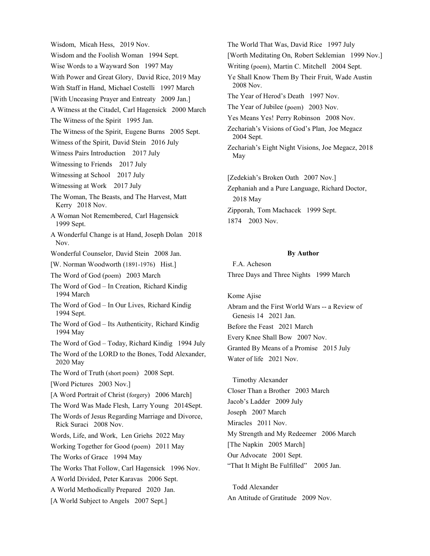Wisdom, Micah Hess, 2019 Nov. Wisdom and the Foolish Woman 1994 Sept. Wise Words to a Wayward Son 1997 May With Power and Great Glory, David Rice, 2019 May With Staff in Hand, Michael Costelli 1997 March [With Unceasing Prayer and Entreaty 2009 Jan.] A Witness at the Citadel, Carl Hagensick 2000 March The Witness of the Spirit 1995 Jan. The Witness of the Spirit, Eugene Burns 2005 Sept. Witness of the Spirit, David Stein 2016 July Witness Pairs Introduction 2017 July Witnessing to Friends 2017 July Witnessing at School 2017 July Witnessing at Work 2017 July The Woman, The Beasts, and The Harvest, Matt Kerry 2018 Nov. A Woman Not Remembered, Carl Hagensick 1999 Sept. A Wonderful Change is at Hand, Joseph Dolan 2018 Nov. Wonderful Counselor, David Stein 2008 Jan. [W. Norman Woodworth (1891-1976) Hist.] The Word of God (poem) 2003 March The Word of God – In Creation, Richard Kindig 1994 March The Word of God – In Our Lives, Richard Kindig 1994 Sept. The Word of God – Its Authenticity, Richard Kindig 1994 May The Word of God – Today, Richard Kindig 1994 July The Word of the LORD to the Bones, Todd Alexander, 2020 May The Word of Truth (short poem) 2008 Sept. [Word Pictures 2003 Nov.] [A Word Portrait of Christ (forgery) 2006 March] The Word Was Made Flesh, Larry Young 2014Sept. The Words of Jesus Regarding Marriage and Divorce, Rick Suraci 2008 Nov. Words, Life, and Work, Len Griehs 2022 May Working Together for Good (poem) 2011 May The Works of Grace 1994 May The Works That Follow, Carl Hagensick 1996 Nov. A World Divided, Peter Karavas 2006 Sept. A World Methodically Prepared 2020 Jan. [A World Subject to Angels 2007 Sept.]

The World That Was, David Rice 1997 July [Worth Meditating On, Robert Seklemian 1999 Nov.] Writing (poem), Martin C. Mitchell 2004 Sept. Ye Shall Know Them By Their Fruit, Wade Austin 2008 Nov. The Year of Herod's Death 1997 Nov. The Year of Jubilee (poem) 2003 Nov. Yes Means Yes! Perry Robinson 2008 Nov. Zechariah's Visions of God's Plan, Joe Megacz 2004 Sept. Zechariah's Eight Night Visions, Joe Megacz, 2018 May [Zedekiah's Broken Oath 2007 Nov.] Zephaniah and a Pure Language, Richard Doctor, 2018 May

Zipporah, Tom Machacek 1999 Sept. 1874 2003 Nov.

#### **By Author**

F.A. Acheson Three Days and Three Nights 1999 March

Kome Ajise Abram and the First World Wars -- a Review of Genesis 14 2021 Jan. Before the Feast 2021 March Every Knee Shall Bow 2007 Nov. Granted By Means of a Promise 2015 July Water of life 2021 Nov.

Timothy Alexander Closer Than a Brother 2003 March Jacob's Ladder 2009 July Joseph 2007 March Miracles 2011 Nov. My Strength and My Redeemer 2006 March [The Napkin 2005 March] Our Advocate 2001 Sept. "That It Might Be Fulfilled" 2005 Jan.

Todd Alexander An Attitude of Gratitude 2009 Nov.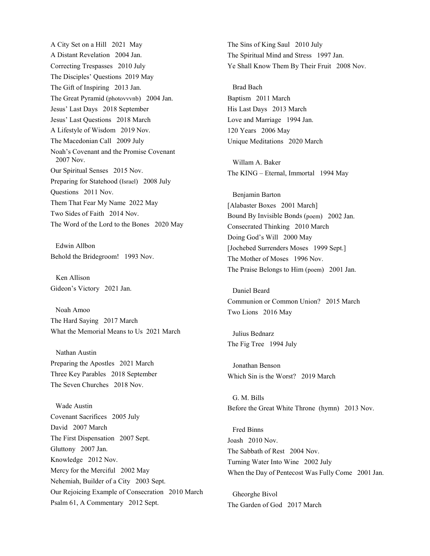A City Set on a Hill 2021 May A Distant Revelation 2004 Jan. Correcting Trespasses 2010 July The Disciples' Questions 2019 May The Gift of Inspiring 2013 Jan. The Great Pyramid (photovvvnb) 2004 Jan. Jesus' Last Days 2018 September Jesus' Last Questions 2018 March A Lifestyle of Wisdom 2019 Nov. The Macedonian Call 2009 July Noah's Covenant and the Promise Covenant 2007 Nov. Our Spiritual Senses 2015 Nov. Preparing for Statehood (Israel) 2008 July Questions 2011 Nov. Them That Fear My Name 2022 May Two Sides of Faith 2014 Nov. The Word of the Lord to the Bones 2020 May

Edwin Allbon Behold the Bridegroom! 1993 Nov.

 Ken Allison Gideon's Victory 2021 Jan.

Noah Amoo The Hard Saying 2017 March What the Memorial Means to Us 2021 March

 Nathan Austin Preparing the Apostles 2021 March Three Key Parables 2018 September The Seven Churches 2018 Nov.

Wade Austin Covenant Sacrifices 2005 July David 2007 March The First Dispensation 2007 Sept. Gluttony 2007 Jan. Knowledge 2012 Nov. Mercy for the Merciful 2002 May Nehemiah, Builder of a City 2003 Sept. Our Rejoicing Example of Consecration 2010 March Psalm 61, A Commentary 2012 Sept.

The Sins of King Saul 2010 July The Spiritual Mind and Stress 1997 Jan. Ye Shall Know Them By Their Fruit 2008 Nov.

Brad Bach Baptism 2011 March His Last Days 2013 March Love and Marriage 1994 Jan. 120 Years 2006 May Unique Meditations 2020 March

Willam A. Baker The KING – Eternal, Immortal 1994 May

Benjamin Barton [Alabaster Boxes 2001 March] Bound By Invisible Bonds (poem) 2002 Jan. Consecrated Thinking 2010 March Doing God's Will 2000 May [Jochebed Surrenders Moses 1999 Sept.] The Mother of Moses 1996 Nov. The Praise Belongs to Him (poem) 2001 Jan.

Daniel Beard Communion or Common Union? 2015 March Two Lions 2016 May

Julius Bednarz The Fig Tree 1994 July

 Jonathan Benson Which Sin is the Worst? 2019 March

G. M. Bills Before the Great White Throne (hymn) 2013 Nov.

Fred Binns Joash 2010 Nov. The Sabbath of Rest 2004 Nov. Turning Water Into Wine 2002 July When the Day of Pentecost Was Fully Come 2001 Jan.

Gheorghe Bivol The Garden of God 2017 March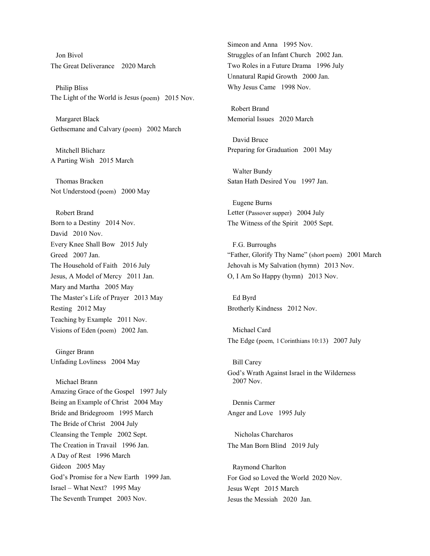Jon Bivol The Great Deliverance 2020 March

Philip Bliss The Light of the World is Jesus (poem) 2015 Nov.

Margaret Black Gethsemane and Calvary (poem) 2002 March

Mitchell Blicharz A Parting Wish 2015 March

Thomas Bracken Not Understood (poem) 2000 May

Robert Brand Born to a Destiny 2014 Nov. David 2010 Nov. Every Knee Shall Bow 2015 July Greed 2007 Jan. The Household of Faith 2016 July Jesus, A Model of Mercy 2011 Jan. Mary and Martha 2005 May The Master's Life of Prayer 2013 May Resting 2012 May Teaching by Example 2011 Nov. Visions of Eden (poem) 2002 Jan.

Ginger Brann Unfading Lovliness 2004 May

Michael Brann Amazing Grace of the Gospel 1997 July Being an Example of Christ 2004 May Bride and Bridegroom 1995 March The Bride of Christ 2004 July Cleansing the Temple 2002 Sept. The Creation in Travail 1996 Jan. A Day of Rest 1996 March Gideon 2005 May God's Promise for a New Earth 1999 Jan. Israel – What Next? 1995 May The Seventh Trumpet 2003 Nov.

Simeon and Anna 1995 Nov. Struggles of an Infant Church 2002 Jan. Two Roles in a Future Drama 1996 July Unnatural Rapid Growth 2000 Jan. Why Jesus Came 1998 Nov.

 Robert Brand Memorial Issues 2020 March

David Bruce Preparing for Graduation 2001 May

Walter Bundy Satan Hath Desired You 1997 Jan.

Eugene Burns Letter (Passover supper) 2004 July The Witness of the Spirit 2005 Sept.

F.G. Burroughs "Father, Glorify Thy Name" (short poem) 2001 March Jehovah is My Salvation (hymn) 2013 Nov. O, I Am So Happy (hymn) 2013 Nov.

Ed Byrd Brotherly Kindness 2012 Nov.

Michael Card The Edge (poem, 1Corinthians 10:13) 2007 July

Bill Carey God's Wrath Against Israel in the Wilderness 2007 Nov.

Dennis Carmer Anger and Love 1995 July

 Nicholas Charcharos The Man Born Blind 2019 July

Raymond Charlton For God so Loved the World 2020 Nov. Jesus Wept 2015 March Jesus the Messiah 2020 Jan.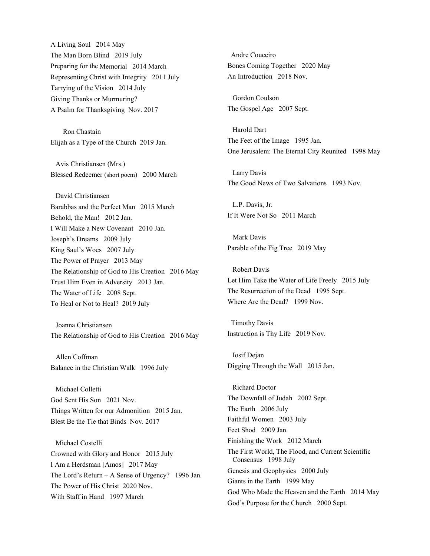A Living Soul 2014 May The Man Born Blind 2019 July Preparing for the Memorial 2014 March Representing Christ with Integrity 2011 July Tarrying of the Vision 2014 July Giving Thanks or Murmuring? A Psalm for Thanksgiving Nov. 2017

 Ron Chastain Elijah as a Type of the Church 2019 Jan.

Avis Christiansen (Mrs.) Blessed Redeemer (short poem) 2000 March

David Christiansen Barabbas and the Perfect Man 2015 March Behold, the Man! 2012 Jan. I Will Make a New Covenant 2010 Jan. Joseph's Dreams 2009 July King Saul's Woes 2007 July The Power of Prayer 2013 May The Relationship of God to His Creation 2016 May Trust Him Even in Adversity 2013 Jan. The Water of Life 2008 Sept. To Heal or Not to Heal? 2019 July

Joanna Christiansen The Relationship of God to His Creation 2016 May

Allen Coffman Balance in the Christian Walk 1996 July

Michael Colletti God Sent His Son 2021 Nov. Things Written for our Admonition 2015 Jan. Blest Be the Tie that Binds Nov. 2017

Michael Costelli Crowned with Glory and Honor 2015 July I Am a Herdsman [Amos] 2017 May The Lord's Return – A Sense of Urgency? 1996 Jan. The Power of His Christ 2020 Nov. With Staff in Hand 1997 March

 Andre Couceiro Bones Coming Together 2020 May An Introduction 2018 Nov.

Gordon Coulson The Gospel Age 2007 Sept.

Harold Dart The Feet of the Image 1995 Jan. One Jerusalem: The Eternal City Reunited 1998 May

Larry Davis The Good News of Two Salvations 1993 Nov.

L.P. Davis, Jr. If It Were Not So 2011 March

 Mark Davis Parable of the Fig Tree 2019 May

Robert Davis Let Him Take the Water of Life Freely 2015 July The Resurrection of the Dead 1995 Sept. Where Are the Dead? 1999 Nov.

 Timothy Davis Instruction is Thy Life 2019 Nov.

Iosif Dejan Digging Through the Wall 2015 Jan.

Richard Doctor The Downfall of Judah 2002 Sept. The Earth 2006 July Faithful Women 2003 July Feet Shod 2009 Jan. Finishing the Work 2012 March The First World, The Flood, and Current Scientific Consensus 1998 July Genesis and Geophysics 2000 July Giants in the Earth 1999 May God Who Made the Heaven and the Earth 2014 May God's Purpose for the Church 2000 Sept.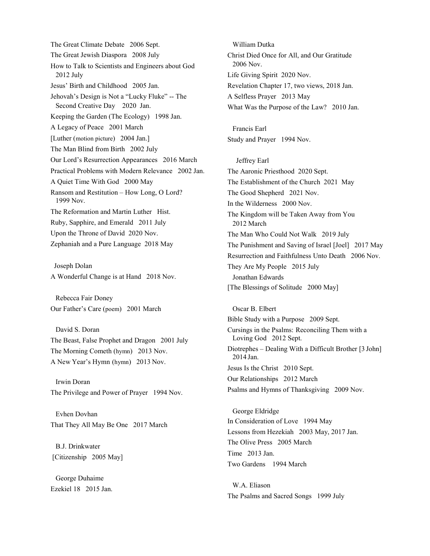The Great Climate Debate 2006 Sept. The Great Jewish Diaspora 2008 July How to Talk to Scientists and Engineers about God 2012 July Jesus' Birth and Childhood 2005 Jan. Jehovah's Design is Not a "Lucky Fluke" -- The Second Creative Day 2020 Jan. Keeping the Garden (The Ecology) 1998 Jan. A Legacy of Peace 2001 March [Luther (motion picture) 2004 Jan.] The Man Blind from Birth 2002 July Our Lord's Resurrection Appearances 2016 March Practical Problems with Modern Relevance 2002 Jan. A Quiet Time With God 2000 May Ransom and Restitution – How Long, O Lord? 1999 Nov. The Reformation and Martin Luther Hist. Ruby, Sapphire, and Emerald 2011 July Upon the Throne of David 2020 Nov. Zephaniah and a Pure Language 2018 May

 Joseph Dolan A Wonderful Change is at Hand 2018 Nov.

Rebecca Fair Doney Our Father's Care (poem) 2001 March

David S. Doran The Beast, False Prophet and Dragon 2001 July The Morning Cometh (hymn) 2013 Nov. A New Year's Hymn (hymn) 2013 Nov.

Irwin Doran The Privilege and Power of Prayer 1994 Nov.

Evhen Dovhan That They All May Be One 2017 March

B.J. Drinkwater [Citizenship 2005 May]

George Duhaime Ezekiel 18 2015 Jan.

William Dutka Christ Died Once for All, and Our Gratitude 2006 Nov. Life Giving Spirit 2020 Nov. Revelation Chapter 17, two views, 2018 Jan. A Selfless Prayer 2013 May What Was the Purpose of the Law? 2010 Jan.

Francis Earl Study and Prayer 1994 Nov.

Jeffrey Earl The Aaronic Priesthood 2020 Sept. The Establishment of the Church 2021 May The Good Shepherd 2021 Nov. In the Wilderness 2000 Nov. The Kingdom will be Taken Away from You 2012 March The Man Who Could Not Walk 2019 July The Punishment and Saving of Israel [Joel] 2017 May Resurrection and Faithfulness Unto Death 2006 Nov. They Are My People 2015 July Jonathan Edwards [The Blessings of Solitude 2000 May]

Oscar B. Elbert Bible Study with a Purpose 2009 Sept. Cursings in the Psalms: Reconciling Them with a Loving God 2012 Sept. Diotrephes – Dealing With a Difficult Brother [3 John] 2014 Jan. Jesus Is the Christ 2010 Sept. Our Relationships 2012 March Psalms and Hymns of Thanksgiving 2009 Nov.

George Eldridge In Consideration of Love 1994 May Lessons from Hezekiah 2003 May, 2017 Jan. The Olive Press 2005 March Time 2013 Jan. Two Gardens 1994 March

W.A. Eliason The Psalms and Sacred Songs 1999 July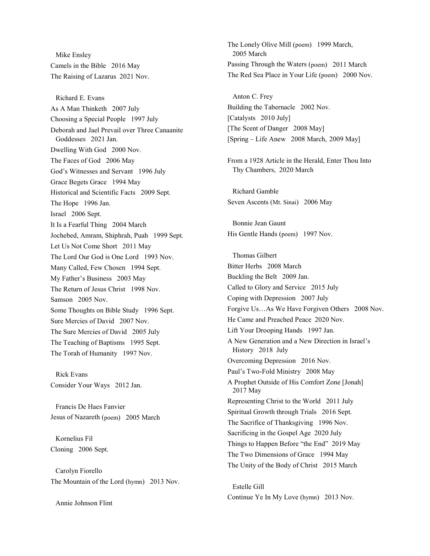Mike Ensley Camels in the Bible 2016 May The Raising of Lazarus 2021 Nov.

Richard E. Evans As A Man Thinketh 2007 July Choosing a Special People 1997 July Deborah and Jael Prevail over Three Canaanite Goddesses 2021 Jan. Dwelling With God 2000 Nov. The Faces of God 2006 May God's Witnesses and Servant 1996 July Grace Begets Grace 1994 May Historical and Scientific Facts 2009 Sept. The Hope 1996 Jan. Israel 2006 Sept. It Is a Fearful Thing 2004 March Jochebed, Amram, Shiphrah, Puah 1999 Sept. Let Us Not Come Short 2011 May The Lord Our God is One Lord 1993 Nov. Many Called, Few Chosen 1994 Sept. My Father's Business 2003 May The Return of Jesus Christ 1998 Nov. Samson 2005 Nov. Some Thoughts on Bible Study 1996 Sept. Sure Mercies of David 2007 Nov. The Sure Mercies of David 2005 July The Teaching of Baptisms 1995 Sept. The Torah of Humanity 1997 Nov.

Rick Evans Consider Your Ways 2012 Jan.

Francis De Haes Fanvier Jesus of Nazareth (poem) 2005 March

Kornelius Fil Cloning 2006 Sept.

Carolyn Fiorello The Mountain of the Lord (hymn) 2013 Nov.

Annie Johnson Flint

The Lonely Olive Mill (poem) 1999 March, 2005 March Passing Through the Waters (poem) 2011 March The Red Sea Place in Your Life (poem) 2000 Nov.

Anton C. Frey Building the Tabernacle 2002 Nov. [Catalysts 2010 July] [The Scent of Danger 2008 May] [Spring – Life Anew 2008 March, 2009 May]

From a 1928 Article in the Herald, Enter Thou Into Thy Chambers, 2020 March

Richard Gamble Seven Ascents (Mt. Sinai) 2006 May

Bonnie Jean Gaunt His Gentle Hands (poem) 1997 Nov.

Thomas Gilbert Bitter Herbs 2008 March Buckling the Belt 2009 Jan. Called to Glory and Service 2015 July Coping with Depression 2007 July Forgive Us…As We Have Forgiven Others 2008 Nov. He Came and Preached Peace 2020 Nov. Lift Your Drooping Hands 1997 Jan. A New Generation and a New Direction in Israel's History 2018 July Overcoming Depression 2016 Nov. Paul's Two-Fold Ministry 2008 May A Prophet Outside of His Comfort Zone [Jonah] 2017 May Representing Christ to the World 2011 July Spiritual Growth through Trials 2016 Sept. The Sacrifice of Thanksgiving 1996 Nov. Sacrificing in the Gospel Age 2020 July Things to Happen Before "the End" 2019 May The Two Dimensions of Grace 1994 May The Unity of the Body of Christ 2015 March

Estelle Gill Continue Ye In My Love (hymn) 2013 Nov.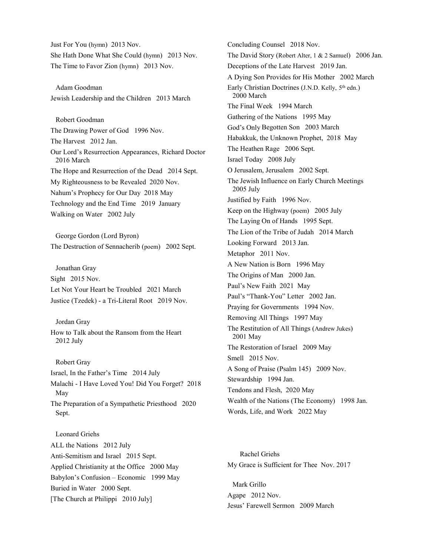Just For You (hymn) 2013 Nov. She Hath Done What She Could (hymn) 2013 Nov. The Time to Favor Zion (hymn) 2013 Nov.

Adam Goodman Jewish Leadership and the Children 2013 March

Robert Goodman The Drawing Power of God 1996 Nov. The Harvest 2012 Jan. Our Lord's Resurrection Appearances, Richard Doctor 2016 March The Hope and Resurrection of the Dead 2014 Sept. My Righteousness to be Revealed 2020 Nov. Nahum's Prophecy for Our Day 2018 May Technology and the End Time 2019 January Walking on Water 2002 July

George Gordon (Lord Byron) The Destruction of Sennacherib (poem) 2002 Sept.

Jonathan Gray Sight 2015 Nov. Let Not Your Heart be Troubled 2021 March Justice (Tzedek) - a Tri-Literal Root 2019 Nov.

Jordan Gray How to Talk about the Ransom from the Heart 2012 July

Robert Gray Israel, In the Father's Time 2014 July Malachi - I Have Loved You! Did You Forget? 2018 May The Preparation of a Sympathetic Priesthood 2020 Sept.

Leonard Griehs ALL the Nations 2012 July Anti-Semitism and Israel 2015 Sept. Applied Christianity at the Office 2000 May Babylon's Confusion – Economic 1999 May Buried in Water 2000 Sept. [The Church at Philippi 2010 July]

Concluding Counsel 2018 Nov. The David Story (Robert Alter, 1 & 2 Samuel) 2006 Jan. Deceptions of the Late Harvest 2019 Jan. A Dying Son Provides for His Mother 2002 March Early Christian Doctrines (J.N.D. Kelly, 5<sup>th</sup> edn.) 2000 March The Final Week 1994 March Gathering of the Nations 1995 May God's Only Begotten Son 2003 March Habakkuk, the Unknown Prophet, 2018 May The Heathen Rage 2006 Sept. Israel Today 2008 July O Jerusalem, Jerusalem 2002 Sept. The Jewish Influence on Early Church Meetings 2005 July Justified by Faith 1996 Nov. Keep on the Highway (poem) 2005 July The Laying On of Hands 1995 Sept. The Lion of the Tribe of Judah 2014 March Looking Forward 2013 Jan. Metaphor 2011 Nov. A New Nation is Born 1996 May The Origins of Man 2000 Jan. Paul's New Faith 2021 May Paul's "Thank-You" Letter 2002 Jan. Praying for Governments 1994 Nov. Removing All Things 1997 May The Restitution of All Things (Andrew Jukes) 2001 May The Restoration of Israel 2009 May Smell 2015 Nov. A Song of Praise (Psalm 145) 2009 Nov. Stewardship 1994 Jan. Tendons and Flesh, 2020 May Wealth of the Nations (The Economy) 1998 Jan. Words, Life, and Work 2022 May

 Rachel Griehs My Grace is Sufficient for Thee Nov. 2017

Mark Grillo Agape 2012 Nov. Jesus' Farewell Sermon 2009 March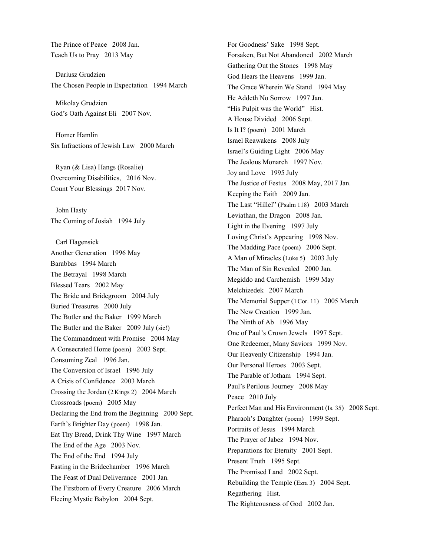The Prince of Peace 2008 Jan. Teach Us to Pray 2013 May

Dariusz Grudzien The Chosen People in Expectation 1994 March

Mikolay Grudzien God's Oath Against Eli 2007 Nov.

Homer Hamlin Six Infractions of Jewish Law 2000 March

Ryan (& Lisa) Hangs (Rosalie) Overcoming Disabilities, 2016 Nov. Count Your Blessings 2017 Nov.

John Hasty The Coming of Josiah 1994 July

Carl Hagensick Another Generation 1996 May Barabbas 1994 March The Betrayal 1998 March Blessed Tears 2002 May The Bride and Bridegroom 2004 July Buried Treasures 2000 July The Butler and the Baker 1999 March The Butler and the Baker 2009 July (sic!) The Commandment with Promise 2004 May A Consecrated Home (poem) 2003 Sept. Consuming Zeal 1996 Jan. The Conversion of Israel 1996 July A Crisis of Confidence 2003 March Crossing the Jordan (2 Kings 2) 2004 March Crossroads (poem) 2005 May Declaring the End from the Beginning 2000 Sept. Earth's Brighter Day (poem) 1998 Jan. Eat Thy Bread, Drink Thy Wine 1997 March The End of the Age 2003 Nov. The End of the End 1994 July Fasting in the Bridechamber 1996 March The Feast of Dual Deliverance 2001 Jan. The Firstborn of Every Creature 2006 March Fleeing Mystic Babylon 2004 Sept.

For Goodness' Sake 1998 Sept. Forsaken, But Not Abandoned 2002 March Gathering Out the Stones 1998 May God Hears the Heavens 1999 Jan. The Grace Wherein We Stand 1994 May He Addeth No Sorrow 1997 Jan. "His Pulpit was the World" Hist. A House Divided 2006 Sept. Is It I? (poem) 2001 March Israel Reawakens 2008 July Israel's Guiding Light 2006 May The Jealous Monarch 1997 Nov. Joy and Love 1995 July The Justice of Festus 2008 May, 2017 Jan. Keeping the Faith 2009 Jan. The Last "Hillel" (Psalm 118) 2003 March Leviathan, the Dragon 2008 Jan. Light in the Evening 1997 July Loving Christ's Appearing 1998 Nov. The Madding Pace (poem) 2006 Sept. A Man of Miracles (Luke 5) 2003 July The Man of Sin Revealed 2000 Jan. Megiddo and Carchemish 1999 May Melchizedek 2007 March The Memorial Supper (1Cor. 11) 2005 March The New Creation 1999 Jan. The Ninth of Ab 1996 May One of Paul's Crown Jewels 1997 Sept. One Redeemer, Many Saviors 1999 Nov. Our Heavenly Citizenship 1994 Jan. Our Personal Heroes 2003 Sept. The Parable of Jotham 1994 Sept. Paul's Perilous Journey 2008 May Peace 2010 July Perfect Man and His Environment (Is. 35) 2008 Sept. Pharaoh's Daughter (poem) 1999 Sept. Portraits of Jesus 1994 March The Prayer of Jabez 1994 Nov. Preparations for Eternity 2001 Sept. Present Truth 1995 Sept. The Promised Land 2002 Sept. Rebuilding the Temple (Ezra 3) 2004 Sept. Regathering Hist. The Righteousness of God 2002 Jan.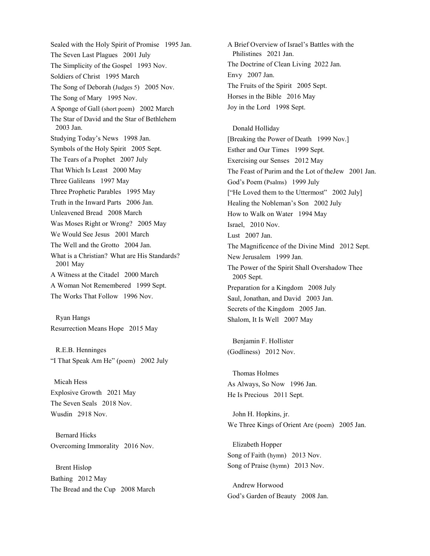Sealed with the Holy Spirit of Promise 1995 Jan. The Seven Last Plagues 2001 July The Simplicity of the Gospel 1993 Nov. Soldiers of Christ 1995 March The Song of Deborah (Judges 5) 2005 Nov. The Song of Mary 1995 Nov. A Sponge of Gall (short poem) 2002 March The Star of David and the Star of Bethlehem 2003 Jan. Studying Today's News 1998 Jan. Symbols of the Holy Spirit 2005 Sept. The Tears of a Prophet 2007 July That Which Is Least 2000 May Three Galileans 1997 May Three Prophetic Parables 1995 May Truth in the Inward Parts 2006 Jan. Unleavened Bread 2008 March Was Moses Right or Wrong? 2005 May We Would See Jesus 2001 March The Well and the Grotto 2004 Jan. What is a Christian? What are His Standards? 2001 May A Witness at the Citadel 2000 March A Woman Not Remembered 1999 Sept. The Works That Follow 1996 Nov.

Ryan Hangs Resurrection Means Hope 2015 May

R.E.B. Henninges "I That Speak Am He" (poem) 2002 July

 Micah Hess Explosive Growth 2021 May The Seven Seals 2018 Nov. Wusdin 2918 Nov.

Bernard Hicks Overcoming Immorality 2016 Nov.

Brent Hislop Bathing 2012 May The Bread and the Cup 2008 March

A Brief Overview of Israel's Battles with the Philistines 2021 Jan. The Doctrine of Clean Living 2022 Jan. Envy 2007 Jan. The Fruits of the Spirit 2005 Sept. Horses in the Bible 2016 May Joy in the Lord 1998 Sept.

Donald Holliday [Breaking the Power of Death 1999 Nov.] Esther and Our Times 1999 Sept. Exercising our Senses 2012 May The Feast of Purim and the Lot of theJew 2001 Jan. God's Poem (Psalms) 1999 July ["He Loved them to the Uttermost" 2002 July] Healing the Nobleman's Son 2002 July How to Walk on Water 1994 May Israel, 2010 Nov. Lust 2007 Jan. The Magnificence of the Divine Mind 2012 Sept. New Jerusalem 1999 Jan. The Power of the Spirit Shall Overshadow Thee 2005 Sept. Preparation for a Kingdom 2008 July Saul, Jonathan, and David 2003 Jan. Secrets of the Kingdom 2005 Jan. Shalom, It Is Well 2007 May

Benjamin F. Hollister (Godliness) 2012 Nov.

Thomas Holmes As Always, So Now 1996 Jan. He Is Precious 2011 Sept.

John H. Hopkins, jr. We Three Kings of Orient Are (poem) 2005 Jan.

Elizabeth Hopper Song of Faith (hymn) 2013 Nov. Song of Praise (hymn) 2013 Nov.

Andrew Horwood God's Garden of Beauty 2008 Jan.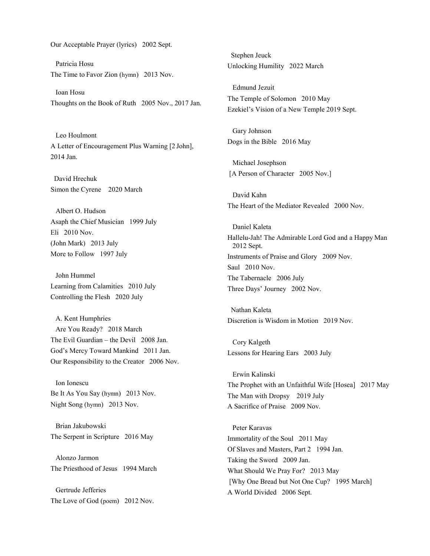Our Acceptable Prayer (lyrics) 2002 Sept.

Patricia Hosu The Time to Favor Zion (hymn) 2013 Nov.

Ioan Hosu Thoughts on the Book of Ruth 2005 Nov., 2017 Jan.

Leo Houlmont A Letter of Encouragement Plus Warning [2 John], 2014 Jan.

 David Hrechuk Simon the Cyrene 2020 March

Albert O. Hudson Asaph the Chief Musician 1999 July Eli 2010 Nov. (John Mark) 2013 July More to Follow 1997 July

John Hummel Learning from Calamities 2010 July Controlling the Flesh 2020 July

A. Kent Humphries Are You Ready? 2018 March The Evil Guardian – the Devil 2008 Jan. God's Mercy Toward Mankind 2011 Jan. Our Responsibility to the Creator 2006 Nov.

Ion Ionescu Be It As You Say (hymn) 2013 Nov. Night Song (hymn) 2013 Nov.

Brian Jakubowski The Serpent in Scripture 2016 May

Alonzo Jarmon The Priesthood of Jesus 1994 March

Gertrude Jefferies The Love of God (poem) 2012 Nov.

 Stephen Jeuck Unlocking Humility 2022 March

Edmund Jezuit The Temple of Solomon 2010 May Ezekiel's Vision of a New Temple 2019 Sept.

Gary Johnson Dogs in the Bible 2016 May

Michael Josephson [A Person of Character 2005 Nov.]

David Kahn The Heart of the Mediator Revealed 2000 Nov.

Daniel Kaleta Hallelu-Jah! The Admirable Lord God and a Happy Man 2012 Sept. Instruments of Praise and Glory 2009 Nov. Saul 2010 Nov. The Tabernacle 2006 July Three Days' Journey 2002 Nov.

 Nathan Kaleta Discretion is Wisdom in Motion 2019 Nov.

Cory Kalgeth Lessons for Hearing Ears 2003 July

Erwin Kalinski The Prophet with an Unfaithful Wife [Hosea] 2017 May The Man with Dropsy 2019 July A Sacrifice of Praise 2009 Nov.

Peter Karavas Immortality of the Soul 2011 May Of Slaves and Masters, Part 2 1994 Jan. Taking the Sword 2009 Jan. What Should We Pray For? 2013 May [Why One Bread but Not One Cup? 1995 March] A World Divided 2006 Sept.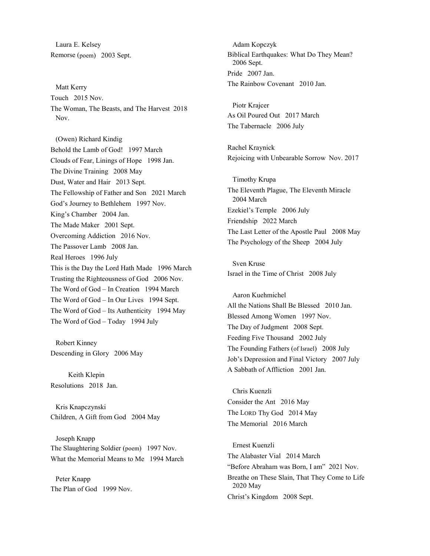Laura E. Kelsey Remorse (poem) 2003 Sept.

Matt Kerry Touch 2015 Nov. The Woman, The Beasts, and The Harvest 2018 Nov.

(Owen) Richard Kindig Behold the Lamb of God! 1997 March Clouds of Fear, Linings of Hope 1998 Jan. The Divine Training 2008 May Dust, Water and Hair 2013 Sept. The Fellowship of Father and Son 2021 March God's Journey to Bethlehem 1997 Nov. King's Chamber 2004 Jan. The Made Maker 2001 Sept. Overcoming Addiction 2016 Nov. The Passover Lamb 2008 Jan. Real Heroes 1996 July This is the Day the Lord Hath Made 1996 March Trusting the Righteousness of God 2006 Nov. The Word of God – In Creation 1994 March The Word of God – In Our Lives 1994 Sept. The Word of God – Its Authenticity 1994 May The Word of God – Today 1994 July

Robert Kinney Descending in Glory 2006 May

 Keith Klepin Resolutions 2018 Jan.

Kris Knapczynski Children, A Gift from God 2004 May

Joseph Knapp The Slaughtering Soldier (poem) 1997 Nov. What the Memorial Means to Me 1994 March

Peter Knapp The Plan of God 1999 Nov.

Adam Kopczyk Biblical Earthquakes: What Do They Mean? 2006 Sept. Pride 2007 Jan. The Rainbow Covenant 2010 Jan.

Piotr Krajcer As Oil Poured Out 2017 March The Tabernacle 2006 July

Rachel Kraynick Rejoicing with Unbearable Sorrow Nov. 2017

Timothy Krupa The Eleventh Plague, The Eleventh Miracle 2004 March Ezekiel's Temple 2006 July Friendship 2022 March The Last Letter of the Apostle Paul 2008 May The Psychology of the Sheep 2004 July

Sven Kruse Israel in the Time of Christ 2008 July

Aaron Kuehmichel All the Nations Shall Be Blessed 2010 Jan. Blessed Among Women 1997 Nov. The Day of Judgment 2008 Sept. Feeding Five Thousand 2002 July The Founding Fathers (of Israel) 2008 July Job's Depression and Final Victory 2007 July A Sabbath of Affliction 2001 Jan.

Chris Kuenzli Consider the Ant 2016 May The LORD Thy God 2014 May The Memorial 2016 March

Ernest Kuenzli The Alabaster Vial 2014 March "Before Abraham was Born, I am" 2021 Nov. Breathe on These Slain, That They Come to Life 2020 May Christ's Kingdom 2008 Sept.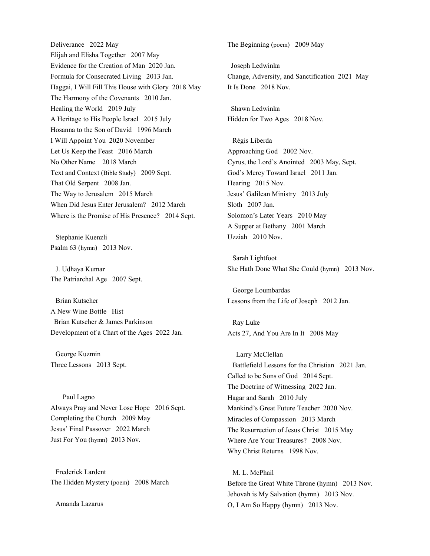Deliverance 2022 May Elijah and Elisha Together 2007 May Evidence for the Creation of Man 2020 Jan. Formula for Consecrated Living 2013 Jan. Haggai, I Will Fill This House with Glory 2018 May The Harmony of the Covenants 2010 Jan. Healing the World 2019 July A Heritage to His People Israel 2015 July Hosanna to the Son of David 1996 March I Will Appoint You 2020 November Let Us Keep the Feast 2016 March No Other Name 2018 March Text and Context (Bible Study) 2009 Sept. That Old Serpent 2008 Jan. The Way to Jerusalem 2015 March When Did Jesus Enter Jerusalem? 2012 March Where is the Promise of His Presence? 2014 Sept.

Stephanie Kuenzli Psalm 63 (hymn) 2013 Nov.

J. Udhaya Kumar The Patriarchal Age 2007 Sept.

Brian Kutscher A New Wine Bottle Hist Brian Kutscher & James Parkinson Development of a Chart of the Ages 2022 Jan.

George Kuzmin Three Lessons 2013 Sept.

 Paul Lagno Always Pray and Never Lose Hope 2016 Sept. Completing the Church 2009 May Jesus' Final Passover 2022 March Just For You (hymn) 2013 Nov.

Frederick Lardent The Hidden Mystery (poem) 2008 March

Amanda Lazarus

The Beginning (poem) 2009 May

 Joseph Ledwinka Change, Adversity, and Sanctification 2021 May It Is Done 2018 Nov.

 Shawn Ledwinka Hidden for Two Ages 2018 Nov.

Régis Liberda Approaching God 2002 Nov. Cyrus, the Lord's Anointed 2003 May, Sept. God's Mercy Toward Israel 2011 Jan. Hearing 2015 Nov. Jesus' Galilean Ministry 2013 July Sloth 2007 Jan. Solomon's Later Years 2010 May A Supper at Bethany 2001 March Uzziah 2010 Nov.

Sarah Lightfoot She Hath Done What She Could (hymn) 2013 Nov.

George Loumbardas Lessons from the Life of Joseph 2012 Jan.

Ray Luke Acts 27, And You Are In It 2008 May

 Larry McClellan Battlefield Lessons for the Christian 2021 Jan. Called to be Sons of God 2014 Sept. The Doctrine of Witnessing 2022 Jan. Hagar and Sarah 2010 July Mankind's Great Future Teacher 2020 Nov. Miracles of Compassion 2013 March The Resurrection of Jesus Christ 2015 May Where Are Your Treasures? 2008 Nov. Why Christ Returns 1998 Nov.

M. L. McPhail Before the Great White Throne (hymn) 2013 Nov. Jehovah is My Salvation (hymn) 2013 Nov. O, I Am So Happy (hymn) 2013 Nov.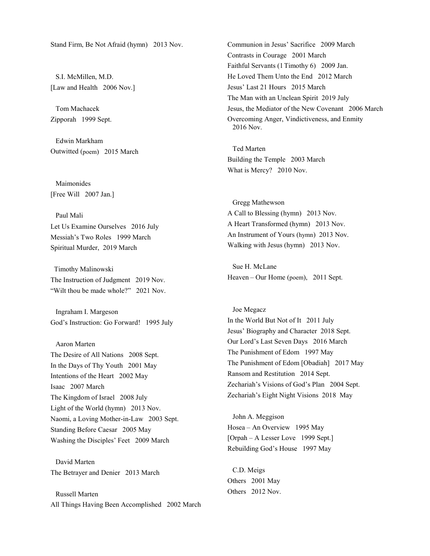Stand Firm, Be Not Afraid (hymn) 2013 Nov.

S.I. McMillen, M.D. [Law and Health 2006 Nov.]

Tom Machacek Zipporah 1999 Sept.

Edwin Markham Outwitted (poem) 2015 March

Maimonides [Free Will 2007 Jan.]

Paul Mali Let Us Examine Ourselves 2016 July Messiah's Two Roles 1999 March Spiritual Murder, 2019 March

 Timothy Malinowski The Instruction of Judgment 2019 Nov. "Wilt thou be made whole?" 2021 Nov.

Ingraham I. Margeson God's Instruction: Go Forward! 1995 July

### Aaron Marten

The Desire of All Nations 2008 Sept. In the Days of Thy Youth 2001 May Intentions of the Heart 2002 May Isaac 2007 March The Kingdom of Israel 2008 July Light of the World (hymn) 2013 Nov. Naomi, a Loving Mother-in-Law 2003 Sept. Standing Before Caesar 2005 May Washing the Disciples' Feet 2009 March

David Marten The Betrayer and Denier 2013 March

Russell Marten All Things Having Been Accomplished 2002 March Communion in Jesus' Sacrifice 2009 March Contrasts in Courage 2001 March Faithful Servants (1Timothy 6) 2009 Jan. He Loved Them Unto the End 2012 March Jesus' Last 21 Hours 2015 March The Man with an Unclean Spirit 2019 July Jesus, the Mediator of the New Covenant 2006 March Overcoming Anger, Vindictiveness, and Enmity 2016 Nov.

Ted Marten Building the Temple 2003 March What is Mercy? 2010 Nov.

Gregg Mathewson A Call to Blessing (hymn) 2013 Nov. A Heart Transformed (hymn) 2013 Nov. An Instrument of Yours (hymn) 2013 Nov. Walking with Jesus (hymn) 2013 Nov.

Sue H. McLane Heaven – Our Home (poem), 2011 Sept.

Joe Megacz In the World But Not of It 2011 July Jesus' Biography and Character 2018 Sept. Our Lord's Last Seven Days 2016 March The Punishment of Edom 1997 May The Punishment of Edom [Obadiah] 2017 May Ransom and Restitution 2014 Sept. Zechariah's Visions of God's Plan 2004 Sept. Zechariah's Eight Night Visions 2018 May

John A. Meggison Hosea – An Overview 1995 May [Orpah – A Lesser Love 1999 Sept.] Rebuilding God's House 1997 May

C.D. Meigs Others 2001 May Others 2012 Nov.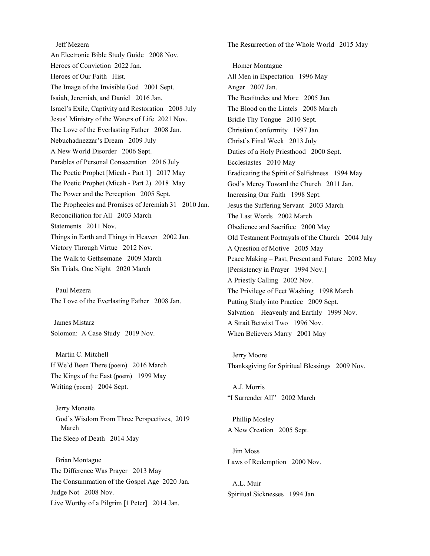Jeff Mezera An Electronic Bible Study Guide 2008 Nov. Heroes of Conviction 2022 Jan. Heroes of Our Faith Hist. The Image of the Invisible God 2001 Sept. Isaiah, Jeremiah, and Daniel 2016 Jan. Israel's Exile, Captivity and Restoration 2008 July Jesus' Ministry of the Waters of Life 2021 Nov. The Love of the Everlasting Father 2008 Jan. Nebuchadnezzar's Dream 2009 July A New World Disorder 2006 Sept. Parables of Personal Consecration 2016 July The Poetic Prophet [Micah - Part 1] 2017 May The Poetic Prophet (Micah - Part 2) 2018 May The Power and the Perception 2005 Sept. The Prophecies and Promises of Jeremiah 31 2010 Jan. Reconciliation for All 2003 March Statements 2011 Nov. Things in Earth and Things in Heaven 2002 Jan. Victory Through Virtue 2012 Nov. The Walk to Gethsemane 2009 March Six Trials, One Night 2020 March

Paul Mezera The Love of the Everlasting Father 2008 Jan.

 James Mistarz Solomon: A Case Study 2019 Nov.

Martin C. Mitchell If We'd Been There (poem) 2016 March The Kings of the East (poem) 1999 May Writing (poem) 2004 Sept.

Jerry Monette God's Wisdom From Three Perspectives, 2019 March The Sleep of Death 2014 May

Brian Montague The Difference Was Prayer 2013 May The Consummation of the Gospel Age 2020 Jan. Judge Not 2008 Nov. Live Worthy of a Pilgrim [1 Peter] 2014 Jan.

The Resurrection of the Whole World 2015 May

Homer Montague All Men in Expectation 1996 May Anger 2007 Jan. The Beatitudes and More 2005 Jan. The Blood on the Lintels 2008 March Bridle Thy Tongue 2010 Sept. Christian Conformity 1997 Jan. Christ's Final Week 2013 July Duties of a Holy Priesthood 2000 Sept. Ecclesiastes 2010 May Eradicating the Spirit of Selfishness 1994 May God's Mercy Toward the Church 2011 Jan. Increasing Our Faith 1998 Sept. Jesus the Suffering Servant 2003 March The Last Words 2002 March Obedience and Sacrifice 2000 May Old Testament Portrayals of the Church 2004 July A Question of Motive 2005 May Peace Making – Past, Present and Future 2002 May [Persistency in Prayer 1994 Nov.] A Priestly Calling 2002 Nov. The Privilege of Feet Washing 1998 March Putting Study into Practice 2009 Sept. Salvation – Heavenly and Earthly 1999 Nov. A Strait Betwixt Two 1996 Nov. When Believers Marry 2001 May

Jerry Moore Thanksgiving for Spiritual Blessings 2009 Nov.

A.J. Morris "I Surrender All" 2002 March

Phillip Mosley A New Creation 2005 Sept.

Jim Moss Laws of Redemption 2000 Nov.

A.L. Muir Spiritual Sicknesses 1994 Jan.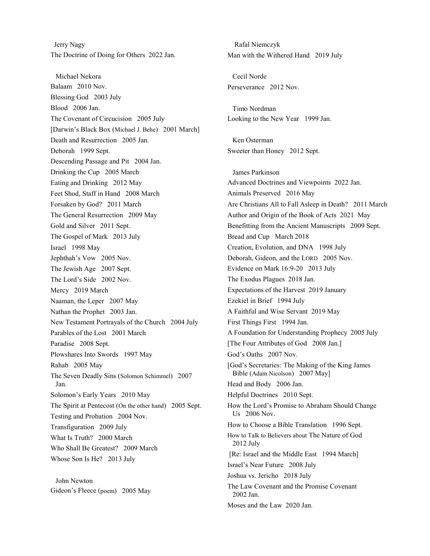Jerry Nagy The Doctrine of Doing for Others 2022 Jan.

Michael Nekora Balaam 2010 Nov. Blessing God 2003 July Blood 2006 Jan. The Covenant of Circucision 2005 July [Darwin's Black Box (Michael J. Behe) 2001 March] Death and Resurrection 2005 Jan. Deborah 1999 Sept. Descending Passage and Pit 2004 Jan. Drinking the Cup 2005 March Eating and Drinking 2012 May Feet Shod, Staff in Hand 2008 March Forsaken by God? 2011 March The General Resurrection 2009 May Gold and Silver 2011 Sept. The Gospel of Mark 2013 July Israel 1998 May Jephthah's Vow 2005 Nov. The Jewish Age 2007 Sept. The Lord's Side 2002 Nov. Mercy 2019 March Naaman, the Leper 2007 May Nathan the Prophet 2003 Jan. New Testament Portrayals of the Church 2004 July Parables of the Lost 2001 March Paradise 2008 Sept. Plowshares Into Swords 1997 May Rahab 2005 May The Seven Deadly Sins (Solomon Schimmel) 2007 Jan. Solomon's Early Years 2010 May The Spirit at Pentecost (On the other hand) 2005 Sept. Testing and Probation 2004 Nov. Transfiguration 2009 July What Is Truth? 2000 March Who Shall Be Greatest? 2009 March Whose Son Is He? 2013 July

John Newton Gideon's Fleece (poem) 2005 May

 Rafal Niemczyk Man with the Withered Hand 2019 July Cecil Norde Perseverance 2012 Nov. Timo Nordman Looking to the New Year 1999 Jan. Ken Osterman Sweeter than Honey 2012 Sept. James Parkinson Advanced Doctrines and Viewpoints 2022 Jan. Animals Preserved 2016 May Are Christians All to Fall Asleep in Death? 2011 March Author and Origin of the Book of Acts 2021 May Benefitting from the Ancient Manuscripts 2009 Sept. Bread and Cup March 2018 Creation, Evolution, and DNA 1998 July Deborah, Gideon, and the LORD 2005 Nov. Evidence on Mark 16:9-20 2013 July The Exodus Plagues 2018 Jan. Expectations of the Harvest 2019 January Ezekiel in Brief 1994 July A Faithful and Wise Servant 2019 May First Things First 1994 Jan. A Foundation for Understanding Prophecy 2005 July [The Four Attributes of God 2008 Jan.] God's Oaths 2007 Nov. [God's Secretaries: The Making of the King James Bible (Adam Nicolson) 2007 May] Head and Body 2006 Jan. Helpful Doctrines 2010 Sept. How the Lord's Promise to Abraham Should Change Us 2006 Nov. How to Choose a Bible Translation 1996 Sept. How to Talk to Believers about The Nature of God 2012 July [Re: Israel and the Middle East 1994 March] Israel's Near Future 2008 July Joshua vs. Jericho 2018 July The Law Covenant and the Promise Covenant 2002 Jan. Moses and the Law 2020 Jan.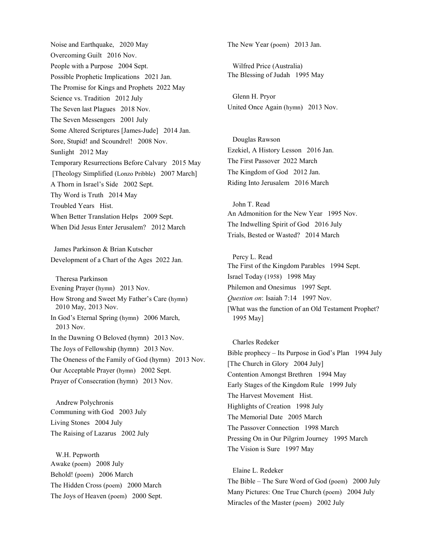Noise and Earthquake, 2020 May Overcoming Guilt 2016 Nov. People with a Purpose 2004 Sept. Possible Prophetic Implications 2021 Jan. The Promise for Kings and Prophets 2022 May Science vs. Tradition 2012 July The Seven last Plagues 2018 Nov. The Seven Messengers 2001 July Some Altered Scriptures [James-Jude] 2014 Jan. Sore, Stupid! and Scoundrel! 2008 Nov. Sunlight 2012 May Temporary Resurrections Before Calvary 2015 May [Theology Simplified (Lonzo Pribble) 2007 March] A Thorn in Israel's Side 2002 Sept. Thy Word is Truth 2014 May Troubled Years Hist. When Better Translation Helps 2009 Sept. When Did Jesus Enter Jerusalem? 2012 March

 James Parkinson & Brian Kutscher Development of a Chart of the Ages 2022 Jan.

Theresa Parkinson Evening Prayer (hymn) 2013 Nov. How Strong and Sweet My Father's Care (hymn) 2010 May, 2013 Nov. In God's Eternal Spring (hymn) 2006 March, 2013 Nov. In the Dawning O Beloved (hymn) 2013 Nov. The Joys of Fellowship (hymn) 2013 Nov. The Oneness of the Family of God (hymn) 2013 Nov. Our Acceptable Prayer (hymn) 2002 Sept. Prayer of Consecration (hymn) 2013 Nov.

Andrew Polychronis Communing with God 2003 July Living Stones 2004 July The Raising of Lazarus 2002 July

W.H. Pepworth Awake (poem) 2008 July Behold! (poem) 2006 March The Hidden Cross (poem) 2000 March The Joys of Heaven (poem) 2000 Sept. The New Year (poem) 2013 Jan.

Wilfred Price (Australia) The Blessing of Judah 1995 May

Glenn H. Pryor United Once Again (hymn) 2013 Nov.

Douglas Rawson Ezekiel, A History Lesson 2016 Jan. The First Passover 2022 March The Kingdom of God 2012 Jan. Riding Into Jerusalem 2016 March

John T. Read An Admonition for the New Year 1995 Nov. The Indwelling Spirit of God 2016 July Trials, Bested or Wasted? 2014 March

Percy L. Read The First of the Kingdom Parables 1994 Sept. Israel Today (1958) 1998 May Philemon and Onesimus 1997 Sept. *Question on*: Isaiah 7:14 1997 Nov. [What was the function of an Old Testament Prophet? 1995 May]

Charles Redeker Bible prophecy – Its Purpose in God's Plan 1994 July [The Church in Glory 2004 July] Contention Amongst Brethren 1994 May Early Stages of the Kingdom Rule 1999 July The Harvest Movement Hist. Highlights of Creation 1998 July The Memorial Date 2005 March The Passover Connection 1998 March Pressing On in Our Pilgrim Journey 1995 March The Vision is Sure 1997 May

Elaine L. Redeker The Bible – The Sure Word of God (poem) 2000 July Many Pictures: One True Church (poem) 2004 July Miracles of the Master (poem) 2002 July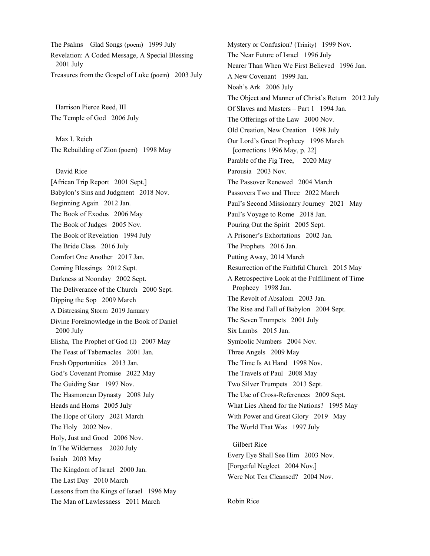The Psalms – Glad Songs (poem) 1999 July Revelation: A Coded Message, A Special Blessing 2001 July Treasures from the Gospel of Luke (poem) 2003 July

Harrison Pierce Reed, III The Temple of God 2006 July

Max I. Reich The Rebuilding of Zion (poem) 1998 May

David Rice [African Trip Report 2001 Sept.] Babylon's Sins and Judgment 2018 Nov. Beginning Again 2012 Jan. The Book of Exodus 2006 May The Book of Judges 2005 Nov. The Book of Revelation 1994 July The Bride Class 2016 July Comfort One Another 2017 Jan. Coming Blessings 2012 Sept. Darkness at Noonday 2002 Sept. The Deliverance of the Church 2000 Sept. Dipping the Sop 2009 March A Distressing Storm 2019 January Divine Foreknowledge in the Book of Daniel 2000 July Elisha, The Prophet of God (I) 2007 May The Feast of Tabernacles 2001 Jan. Fresh Opportunities 2013 Jan. God's Covenant Promise 2022 May The Guiding Star 1997 Nov. The Hasmonean Dynasty 2008 July Heads and Horns 2005 July The Hope of Glory 2021 March The Holy 2002 Nov. Holy, Just and Good 2006 Nov. In The Wilderness 2020 July Isaiah 2003 May The Kingdom of Israel 2000 Jan. The Last Day 2010 March Lessons from the Kings of Israel 1996 May The Man of Lawlessness 2011 March

Mystery or Confusion? (Trinity) 1999 Nov. The Near Future of Israel 1996 July Nearer Than When We First Believed 1996 Jan. A New Covenant 1999 Jan. Noah's Ark 2006 July The Object and Manner of Christ's Return 2012 July Of Slaves and Masters - Part 1 1994 Jan. The Offerings of the Law 2000 Nov. Old Creation, New Creation 1998 July Our Lord's Great Prophecy 1996 March [corrections 1996 May, p. 22] Parable of the Fig Tree, 2020 May Parousia 2003 Nov. The Passover Renewed 2004 March Passovers Two and Three 2022 March Paul's Second Missionary Journey 2021 May Paul's Voyage to Rome 2018 Jan. Pouring Out the Spirit 2005 Sept. A Prisoner's Exhortations 2002 Jan. The Prophets 2016 Jan. Putting Away, 2014 March Resurrection of the Faithful Church 2015 May A Retrospective Look at the Fulfillment of Time Prophecy 1998 Jan. The Revolt of Absalom 2003 Jan. The Rise and Fall of Babylon 2004 Sept. The Seven Trumpets 2001 July Six Lambs 2015 Jan. Symbolic Numbers 2004 Nov. Three Angels 2009 May The Time Is At Hand 1998 Nov. The Travels of Paul 2008 May Two Silver Trumpets 2013 Sept. The Use of Cross-References 2009 Sept. What Lies Ahead for the Nations? 1995 May With Power and Great Glory 2019 May The World That Was 1997 July

Gilbert Rice Every Eye Shall See Him 2003 Nov. [Forgetful Neglect 2004 Nov.] Were Not Ten Cleansed? 2004 Nov.

Robin Rice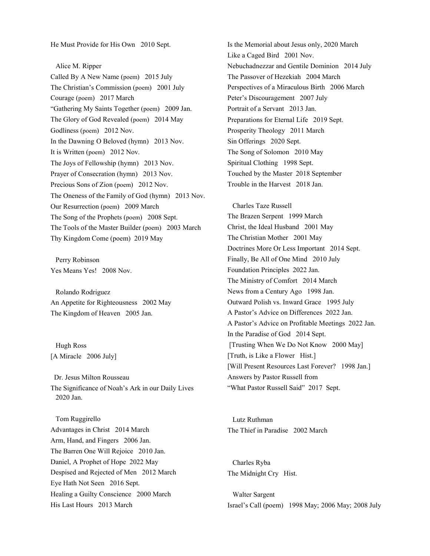He Must Provide for His Own 2010 Sept.

Alice M. Ripper Called By A New Name (poem) 2015 July The Christian's Commission (poem) 2001 July Courage (poem) 2017 March "Gathering My Saints Together (poem) 2009 Jan. The Glory of God Revealed (poem) 2014 May Godliness (poem) 2012 Nov. In the Dawning O Beloved (hymn) 2013 Nov. It is Written (poem) 2012 Nov. The Joys of Fellowship (hymn) 2013 Nov. Prayer of Consecration (hymn) 2013 Nov. Precious Sons of Zion (poem) 2012 Nov. The Oneness of the Family of God (hymn) 2013 Nov. Our Resurrection (poem) 2009 March The Song of the Prophets (poem) 2008 Sept. The Tools of the Master Builder (poem) 2003 March Thy Kingdom Come (poem) 2019 May

Perry Robinson Yes Means Yes! 2008 Nov.

Rolando Rodriguez An Appetite for Righteousness 2002 May The Kingdom of Heaven 2005 Jan.

Hugh Ross [A Miracle 2006 July]

 Dr. Jesus Milton Rousseau The Significance of Noah's Ark in our Daily Lives 2020 Jan.

Tom Ruggirello Advantages in Christ 2014 March Arm, Hand, and Fingers 2006 Jan. The Barren One Will Rejoice 2010 Jan. Daniel, A Prophet of Hope 2022 May Despised and Rejected of Men 2012 March Eye Hath Not Seen 2016 Sept. Healing a Guilty Conscience 2000 March His Last Hours 2013 March

Is the Memorial about Jesus only, 2020 March Like a Caged Bird 2001 Nov. Nebuchadnezzar and Gentile Dominion 2014 July The Passover of Hezekiah 2004 March Perspectives of a Miraculous Birth 2006 March Peter's Discouragement 2007 July Portrait of a Servant 2013 Jan. Preparations for Eternal Life 2019 Sept. Prosperity Theology 2011 March Sin Offerings 2020 Sept. The Song of Solomon 2010 May Spiritual Clothing 1998 Sept. Touched by the Master 2018 September Trouble in the Harvest 2018 Jan.

Charles Taze Russell The Brazen Serpent 1999 March Christ, the Ideal Husband 2001 May The Christian Mother 2001 May Doctrines More Or Less Important 2014 Sept. Finally, Be All of One Mind 2010 July Foundation Principles 2022 Jan. The Ministry of Comfort 2014 March News from a Century Ago 1998 Jan. Outward Polish vs. Inward Grace 1995 July A Pastor's Advice on Differences 2022 Jan. A Pastor's Advice on Profitable Meetings 2022 Jan. In the Paradise of God 2014 Sept. [Trusting When We Do Not Know 2000 May] [Truth, is Like a Flower Hist.] [Will Present Resources Last Forever? 1998 Jan.] Answers by Pastor Russell from "What Pastor Russell Said" 2017 Sept.

Lutz Ruthman The Thief in Paradise 2002 March

Charles Ryba The Midnight Cry Hist.

Walter Sargent Israel's Call (poem) 1998 May; 2006 May; 2008 July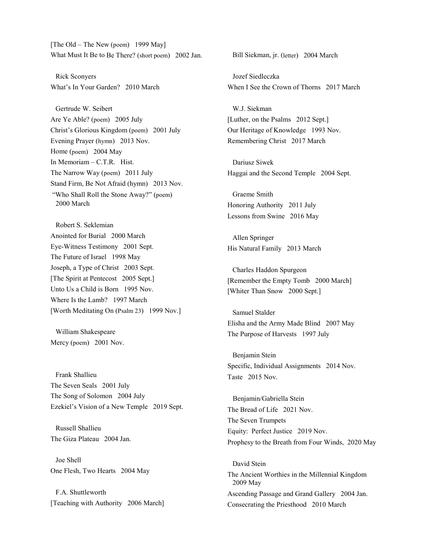[The Old – The New (poem) 1999 May] What Must It Be to Be There? (short poem) 2002 Jan.

Rick Sconyers What's In Your Garden? 2010 March

Gertrude W. Seibert Are Ye Able? (poem) 2005 July Christ's Glorious Kingdom (poem) 2001 July Evening Prayer (hymn) 2013 Nov. Home (poem) 2004 May In Memoriam – C.T.R. Hist. The Narrow Way (poem) 2011 July Stand Firm, Be Not Afraid (hymn) 2013 Nov. "Who Shall Roll the Stone Away?" (poem) 2000 March

Robert S. Seklemian Anointed for Burial 2000 March Eye-Witness Testimony 2001 Sept. The Future of Israel 1998 May Joseph, a Type of Christ 2003 Sept. [The Spirit at Pentecost 2005 Sept.] Unto Us a Child is Born 1995 Nov. Where Is the Lamb? 1997 March [Worth Meditating On (Psalm 23) 1999 Nov.]

William Shakespeare Mercy (poem) 2001 Nov.

Frank Shallieu The Seven Seals 2001 July The Song of Solomon 2004 July Ezekiel's Vision of a New Temple 2019 Sept.

Russell Shallieu The Giza Plateau 2004 Jan.

Joe Shell One Flesh, Two Hearts 2004 May

F.A. Shuttleworth [Teaching with Authority 2006 March] Bill Siekman, jr. (letter) 2004 March

Jozef Siedleczka When I See the Crown of Thorns 2017 March

W.J. Siekman [Luther, on the Psalms 2012 Sept.] Our Heritage of Knowledge 1993 Nov. Remembering Christ 2017 March

Dariusz Siwek Haggai and the Second Temple 2004 Sept.

Graeme Smith Honoring Authority 2011 July Lessons from Swine 2016 May

Allen Springer His Natural Family 2013 March

Charles Haddon Spurgeon [Remember the Empty Tomb 2000 March] [Whiter Than Snow 2000 Sept.]

Samuel Stalder Elisha and the Army Made Blind 2007 May The Purpose of Harvests 1997 July

Benjamin Stein Specific, Individual Assignments 2014 Nov. Taste 2015 Nov.

 Benjamin/Gabriella Stein The Bread of Life 2021 Nov. The Seven Trumpets Equity: Perfect Justice 2019 Nov. Prophesy to the Breath from Four Winds, 2020 May

David Stein The Ancient Worthies in the Millennial Kingdom 2009 May Ascending Passage and Grand Gallery 2004 Jan. Consecrating the Priesthood 2010 March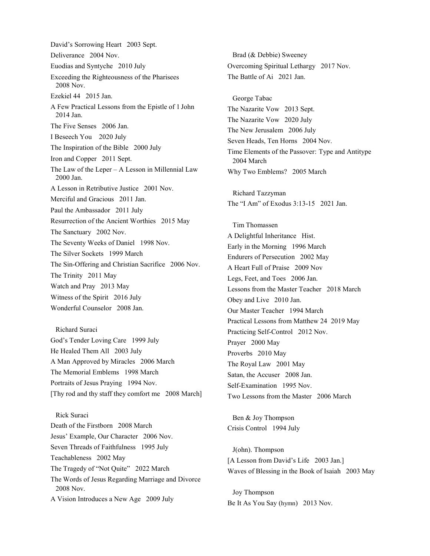David's Sorrowing Heart 2003 Sept. Deliverance 2004 Nov. Euodias and Syntyche 2010 July Exceeding the Righteousness of the Pharisees 2008 Nov. Ezekiel 44 2015 Jan. A Few Practical Lessons from the Epistle of 1 John 2014 Jan. The Five Senses 2006 Jan. I Beseech You 2020 July The Inspiration of the Bible 2000 July Iron and Copper 2011 Sept. The Law of the Leper – A Lesson in Millennial Law 2000 Jan. A Lesson in Retributive Justice 2001 Nov. Merciful and Gracious 2011 Jan. Paul the Ambassador 2011 July Resurrection of the Ancient Worthies 2015 May The Sanctuary 2002 Nov. The Seventy Weeks of Daniel 1998 Nov. The Silver Sockets 1999 March The Sin-Offering and Christian Sacrifice 2006 Nov. The Trinity 2011 May Watch and Pray 2013 May Witness of the Spirit 2016 July Wonderful Counselor 2008 Jan.

Richard Suraci God's Tender Loving Care 1999 July He Healed Them All 2003 July A Man Approved by Miracles 2006 March The Memorial Emblems 1998 March Portraits of Jesus Praying 1994 Nov. [Thy rod and thy staff they comfort me 2008 March]

Rick Suraci Death of the Firstborn 2008 March Jesus' Example, Our Character 2006 Nov. Seven Threads of Faithfulness 1995 July Teachableness 2002 May The Tragedy of "Not Quite" 2022 March The Words of Jesus Regarding Marriage and Divorce 2008 Nov. A Vision Introduces a New Age 2009 July

Brad (& Debbie) Sweeney Overcoming Spiritual Lethargy 2017 Nov. The Battle of Ai 2021 Jan.

George Tabac The Nazarite Vow 2013 Sept. The Nazarite Vow 2020 July The New Jerusalem 2006 July Seven Heads, Ten Horns 2004 Nov. Time Elements of the Passover: Type and Antitype 2004 March Why Two Emblems? 2005 March

 Richard Tazzyman The "I Am" of Exodus 3:13-15 2021 Jan.

Tim Thomassen A Delightful Inheritance Hist. Early in the Morning 1996 March Endurers of Persecution 2002 May A Heart Full of Praise 2009 Nov Legs, Feet, and Toes 2006 Jan. Lessons from the Master Teacher 2018 March Obey and Live 2010 Jan. Our Master Teacher 1994 March Practical Lessons from Matthew 24 2019 May Practicing Self-Control 2012 Nov. Prayer 2000 May Proverbs 2010 May The Royal Law 2001 May Satan, the Accuser 2008 Jan. Self-Examination 1995 Nov. Two Lessons from the Master 2006 March

Ben & Joy Thompson Crisis Control 1994 July

J(ohn). Thompson [A Lesson from David's Life 2003 Jan.] Waves of Blessing in the Book of Isaiah 2003 May

Joy Thompson Be It As You Say (hymn) 2013 Nov.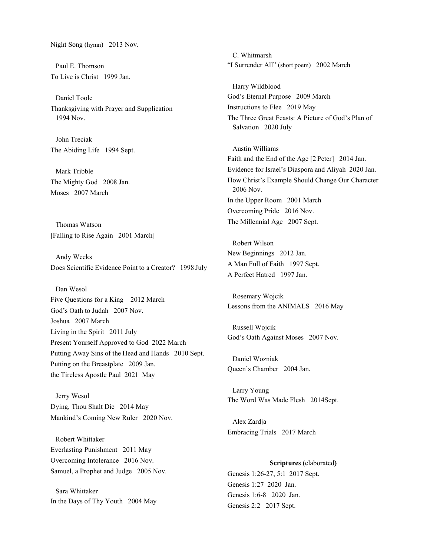Night Song (hymn) 2013 Nov.

Paul E. Thomson To Live is Christ 1999 Jan.

Daniel Toole Thanksgiving with Prayer and Supplication 1994 Nov.

John Treciak The Abiding Life 1994 Sept.

Mark Tribble The Mighty God 2008 Jan. Moses 2007 March

Thomas Watson [Falling to Rise Again 2001 March]

Andy Weeks Does Scientific Evidence Point to a Creator? 1998 July

Dan Wesol Five Questions for a King 2012 March God's Oath to Judah 2007 Nov. Joshua 2007 March Living in the Spirit 2011 July Present Yourself Approved to God 2022 March Putting Away Sins of the Head and Hands 2010 Sept. Putting on the Breastplate 2009 Jan.

Jerry Wesol Dying, Thou Shalt Die 2014 May Mankind's Coming New Ruler 2020 Nov.

the Tireless Apostle Paul 2021 May

Robert Whittaker Everlasting Punishment 2011 May Overcoming Intolerance 2016 Nov. Samuel, a Prophet and Judge 2005 Nov.

Sara Whittaker In the Days of Thy Youth 2004 May

C. Whitmarsh "I Surrender All" (short poem) 2002 March

Harry Wildblood God's Eternal Purpose 2009 March Instructions to Flee 2019 May The Three Great Feasts: A Picture of God's Plan of Salvation 2020 July

Austin Williams Faith and the End of the Age [2 Peter] 2014 Jan. Evidence for Israel's Diaspora and Aliyah 2020 Jan. How Christ's Example Should Change Our Character 2006 Nov. In the Upper Room 2001 March Overcoming Pride 2016 Nov. The Millennial Age 2007 Sept.

Robert Wilson New Beginnings 2012 Jan. A Man Full of Faith 1997 Sept. A Perfect Hatred 1997 Jan.

Rosemary Wojcik Lessons from the ANIMALS 2016 May

Russell Wojcik God's Oath Against Moses 2007 Nov.

Daniel Wozniak Queen's Chamber 2004 Jan.

Larry Young The Word Was Made Flesh 2014Sept.

Alex Zardja Embracing Trials 2017 March

# **Scriptures (**elaborated**)**

Genesis 1:26-27, 5:1 2017 Sept. Genesis 1:27 2020 Jan. Genesis 1:6-8 2020 Jan. Genesis 2:2 2017 Sept.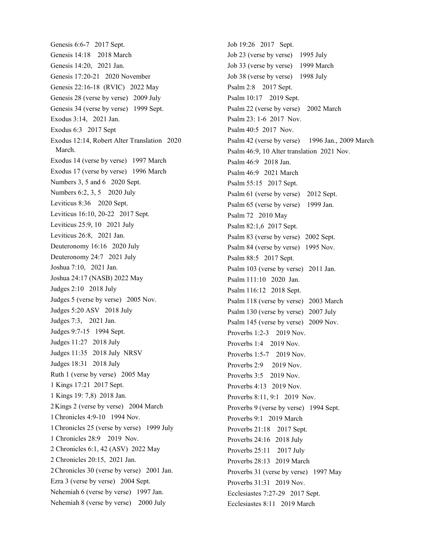Genesis 6:6-7 2017 Sept. Genesis 14:18 2018 March Genesis 14:20, 2021 Jan. Genesis 17:20-21 2020 November Genesis 22:16-18 (RVIC) 2022 May Genesis 28 (verse by verse) 2009 July Genesis 34 (verse by verse) 1999 Sept. Exodus 3:14, 2021 Jan. Exodus 6:3 2017 Sept Exodus 12:14, Robert Alter Translation 2020 March. Exodus 14 (verse by verse) 1997 March Exodus 17 (verse by verse) 1996 March Numbers 3, 5 and 6 2020 Sept. Numbers 6:2, 3, 5 2020 July Leviticus 8:36 2020 Sept. Leviticus 16:10, 20-22 2017 Sept. Leviticus 25:9, 10 2021 July Leviticus 26:8, 2021 Jan. Deuteronomy 16:16 2020 July Deuteronomy 24:7 2021 July Joshua 7:10, 2021 Jan. Joshua 24:17 (NASB) 2022 May Judges 2:10 2018 July Judges 5 (verse by verse) 2005 Nov. Judges 5:20 ASV 2018 July Judges 7:3, 2021 Jan. Judges 9:7-15 1994 Sept. Judges 11:27 2018 July Judges 11:35 2018 July NRSV Judges 18:31 2018 July Ruth 1 (verse by verse) 2005 May 1 Kings 17:21 2017 Sept. 1 Kings 19: 7,8) 2018 Jan. 2Kings 2 (verse by verse) 2004 March 1Chronicles 4:9-10 1994 Nov. 1Chronicles 25 (verse by verse) 1999 July 1 Chronicles 28:9 2019 Nov. 2 Chronicles 6:1, 42 (ASV) 2022 May 2 Chronicles 20:15, 2021 Jan. 2Chronicles 30 (verse by verse) 2001 Jan. Ezra 3 (verse by verse) 2004 Sept. Nehemiah 6 (verse by verse) 1997 Jan. Nehemiah 8 (verse by verse) 2000 July

Job 19:26 2017 Sept. Job 23 (verse by verse) 1995 July Job 33 (verse by verse) 1999 March Job 38 (verse by verse) 1998 July Psalm 2:8 2017 Sept. Psalm 10:17 2019 Sept. Psalm 22 (verse by verse) 2002 March Psalm 23: 1-6 2017 Nov. Psalm 40:5 2017 Nov. Psalm 42 (verse by verse) 1996 Jan., 2009 March Psalm 46:9, 10 Alter translation 2021 Nov. Psalm 46:9 2018 Jan. Psalm 46:9 2021 March Psalm 55:15 2017 Sept. Psalm 61 (verse by verse) 2012 Sept. Psalm 65 (verse by verse) 1999 Jan. Psalm 72 2010 May Psalm 82:1,6 2017 Sept. Psalm 83 (verse by verse) 2002 Sept. Psalm 84 (verse by verse) 1995 Nov. Psalm 88:5 2017 Sept. Psalm 103 (verse by verse) 2011 Jan. Psalm 111:10 2020 Jan. Psalm 116:12 2018 Sept. Psalm 118 (verse by verse) 2003 March Psalm 130 (verse by verse) 2007 July Psalm 145 (verse by verse) 2009 Nov. Proverbs 1:2-3 2019 Nov. Proverbs 1:4 2019 Nov. Proverbs 1:5-7 2019 Nov. Proverbs 2:9 2019 Nov. Proverbs 3:5 2019 Nov. Proverbs 4:13 2019 Nov. Proverbs 8:11, 9:1 2019 Nov. Proverbs 9 (verse by verse) 1994 Sept. Proverbs 9:1 2019 March Proverbs 21:18 2017 Sept. Proverbs 24:16 2018 July Proverbs 25:11 2017 July Proverbs 28:13 2019 March Proverbs 31 (verse by verse) 1997 May Proverbs 31:31 2019 Nov. Ecclesiastes 7:27-29 2017 Sept. Ecclesiastes 8:11 2019 March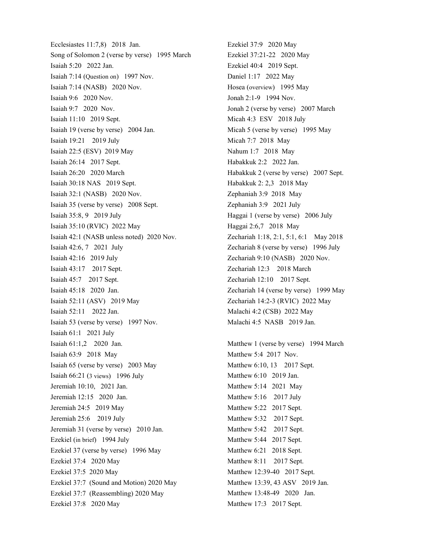Ecclesiastes 11:7,8) 2018 Jan. Song of Solomon 2 (verse by verse) 1995 March Isaiah 5:20 2022 Jan. Isaiah 7:14 (Question on) 1997 Nov. Isaiah 7:14 (NASB) 2020 Nov. Isaiah 9:6 2020 Nov. Isaiah 9:7 2020 Nov. Isaiah 11:10 2019 Sept. Isaiah 19 (verse by verse) 2004 Jan. Isaiah 19:21 2019 July Isaiah 22:5 (ESV) 2019 May Isaiah 26:14 2017 Sept. Isaiah 26:20 2020 March Isaiah 30:18 NAS 2019 Sept. Isaiah 32:1 (NASB) 2020 Nov. Isaiah 35 (verse by verse) 2008 Sept. Isaiah 35:8, 9 2019 July Isaiah 35:10 (RVIC) 2022 May Isaiah 42:1 (NASB unless noted) 2020 Nov. Isaiah 42:6, 7 2021 July Isaiah 42:16 2019 July Isaiah 43:17 2017 Sept. Isaiah 45:7 2017 Sept. Isaiah 45:18 2020 Jan. Isaiah 52:11 (ASV) 2019 May Isaiah 52:11 2022 Jan. Isaiah 53 (verse by verse) 1997 Nov. Isaiah 61:1 2021 July Isaiah 61:1,2 2020 Jan. Isaiah 63:9 2018 May Isaiah 65 (verse by verse) 2003 May Isaiah 66:21 (3 views) 1996 July Jeremiah 10:10, 2021 Jan. Jeremiah 12:15 2020 Jan. Jeremiah 24:5 2019 May Jeremiah 25:6 2019 July Jeremiah 31 (verse by verse) 2010 Jan. Ezekiel (in brief) 1994 July Ezekiel 37 (verse by verse) 1996 May Ezekiel 37:4 2020 May Ezekiel 37:5 2020 May Ezekiel 37:7 (Sound and Motion) 2020 May Ezekiel 37:7 (Reassembling) 2020 May Ezekiel 37:8 2020 May

Ezekiel 37:9 2020 May Ezekiel 37:21-22 2020 May Ezekiel 40:4 2019 Sept. Daniel 1:17 2022 May Hosea (overview) 1995 May Jonah 2:1-9 1994 Nov. Jonah 2 (verse by verse) 2007 March Micah 4:3 ESV 2018 July Micah 5 (verse by verse) 1995 May Micah 7:7 2018 May Nahum 1:7 2018 May Habakkuk 2:2 2022 Jan. Habakkuk 2 (verse by verse) 2007 Sept. Habakkuk 2: 2,3 2018 May Zephaniah 3:9 2018 May Zephaniah 3:9 2021 July Haggai 1 (verse by verse) 2006 July Haggai 2:6,7 2018 May Zechariah 1:18, 2:1, 5:1, 6:1 May 2018 Zechariah 8 (verse by verse) 1996 July Zechariah 9:10 (NASB) 2020 Nov. Zechariah 12:3 2018 March Zechariah 12:10 2017 Sept. Zechariah 14 (verse by verse) 1999 May Zechariah 14:2-3 (RVIC) 2022 May Malachi 4:2 (CSB) 2022 May Malachi 4:5 NASB 2019 Jan.

Matthew 1 (verse by verse) 1994 March Matthew 5:4 2017 Nov. Matthew 6:10, 13 2017 Sept. Matthew 6:10 2019 Jan. Matthew 5:14 2021 May Matthew 5:16 2017 July Matthew 5:22 2017 Sept. Matthew 5:32 2017 Sept. Matthew 5:42 2017 Sept. Matthew 5:44 2017 Sept. Matthew 6:21 2018 Sept. Matthew 8:11 2017 Sept. Matthew 12:39-40 2017 Sept. Matthew 13:39, 43 ASV 2019 Jan. Matthew 13:48-49 2020 Jan. Matthew 17:3 2017 Sept.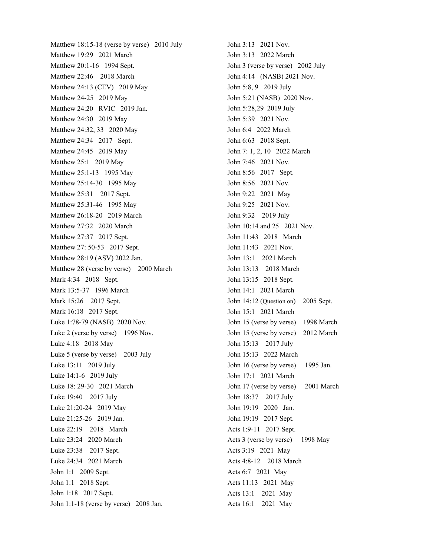Matthew 18:15-18 (verse by verse) 2010 July Matthew 19:29 2021 March Matthew 20:1-16 1994 Sept. Matthew 22:46 2018 March Matthew 24:13 (CEV) 2019 May Matthew 24-25 2019 May Matthew 24:20 RVIC 2019 Jan. Matthew 24:30 2019 May Matthew 24:32, 33 2020 May Matthew 24:34 2017 Sept. Matthew 24:45 2019 May Matthew 25:1 2019 May Matthew 25:1-13 1995 May Matthew 25:14-30 1995 May Matthew 25:31 2017 Sept. Matthew 25:31-46 1995 May Matthew 26:18-20 2019 March Matthew 27:32 2020 March Matthew 27:37 2017 Sept. Matthew 27: 50-53 2017 Sept. Matthew 28:19 (ASV) 2022 Jan. Matthew 28 (verse by verse) 2000 March Mark 4:34 2018 Sept. Mark 13:5-37 1996 March Mark 15:26 2017 Sept. Mark 16:18 2017 Sept. Luke 1:78-79 (NASB) 2020 Nov. Luke 2 (verse by verse) 1996 Nov. Luke 4:18 2018 May Luke 5 (verse by verse) 2003 July Luke 13:11 2019 July Luke 14:1-6 2019 July Luke 18: 29-30 2021 March Luke 19:40 2017 July Luke 21:20-24 2019 May Luke 21:25-26 2019 Jan. Luke 22:19 2018 March Luke 23:24 2020 March Luke 23:38 2017 Sept. Luke 24:34 2021 March John 1:1 2009 Sept. John 1:1 2018 Sept. John 1:18 2017 Sept. John 1:1-18 (verse by verse) 2008 Jan.

John 3:13 2021 Nov. John 3:13 2022 March John 3 (verse by verse) 2002 July John 4:14 (NASB) 2021 Nov. John 5:8, 9 2019 July John 5:21 (NASB) 2020 Nov. John 5:28,29 2019 July John 5:39 2021 Nov. John 6:4 2022 March John 6:63 2018 Sept. John 7: 1, 2, 10 2022 March John 7:46 2021 Nov. John 8:56 2017 Sept. John 8:56 2021 Nov. John 9:22 2021 May John 9:25 2021 Nov. John 9:32 2019 July John 10:14 and 25 2021 Nov. John 11:43 2018 March John 11:43 2021 Nov. John 13:1 2021 March John 13:13 2018 March John 13:15 2018 Sept. John 14:1 2021 March John 14:12 (Question on) 2005 Sept. John 15:1 2021 March John 15 (verse by verse) 1998 March John 15 (verse by verse) 2012 March John 15:13 2017 July John 15:13 2022 March John 16 (verse by verse) 1995 Jan. John 17:1 2021 March John 17 (verse by verse) 2001 March John 18:37 2017 July John 19:19 2020 Jan. John 19:19 2017 Sept. Acts 1:9-11 2017 Sept. Acts 3 (verse by verse) 1998 May Acts 3:19 2021 May Acts 4:8-12 2018 March Acts 6:7 2021 May Acts 11:13 2021 May Acts 13:1 2021 May Acts 16:1 2021 May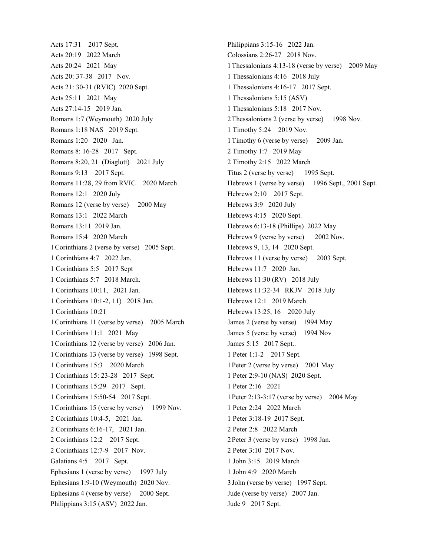Acts 17:31 2017 Sept. Acts 20:19 2022 March Acts 20:24 2021 May Acts 20: 37-38 2017 Nov. Acts 21: 30-31 (RVIC) 2020 Sept. Acts 25:11 2021 May Acts 27:14-15 2019 Jan. Romans 1:7 (Weymouth) 2020 July Romans 1:18 NAS 2019 Sept. Romans 1:20 2020 Jan. Romans 8: 16-28 2017 Sept. Romans 8:20, 21 (Diaglott) 2021 July Romans 9:13 2017 Sept. Romans 11:28, 29 from RVIC 2020 March Romans 12:1 2020 July Romans 12 (verse by verse) 2000 May Romans 13:1 2022 March Romans 13:11 2019 Jan. Romans 15:4 2020 March 1Corinthians 2 (verse by verse) 2005 Sept. 1 Corinthians 4:7 2022 Jan. 1 Corinthians 5:5 2017 Sept 1 Corinthians 5:7 2018 March. 1 Corinthians 10:11, 2021 Jan. 1 Corinthians 10:1-2, 11) 2018 Jan. 1 Corinthians 10:21 1Corinthians 11 (verse by verse) 2005 March 1 Corinthians 11:1 2021 May 1Corinthians 12 (verse by verse) 2006 Jan. 1Corinthians 13 (verse by verse) 1998 Sept. 1 Corinthians 15:3 2020 March 1 Corinthians 15: 23-28 2017 Sept. 1 Corinthians 15:29 2017 Sept. 1 Corinthians 15:50-54 2017 Sept. 1 Corinthians 15 (verse by verse) 1999 Nov. 2 Corinthians 10:4-5, 2021 Jan. 2 Corinthians 6:16-17, 2021 Jan. 2 Corinthians 12:2 2017 Sept. 2 Corinthians 12:7-9 2017 Nov. Galatians 4:5 2017 Sept. Ephesians 1 (verse by verse) 1997 July Ephesians 1:9-10 (Weymouth) 2020 Nov. Ephesians 4 (verse by verse) 2000 Sept. Philippians 3:15 (ASV) 2022 Jan.

Philippians 3:15-16 2022 Jan. Colossians 2:26-27 2018 Nov. 1Thessalonians 4:13-18 (verse by verse) 2009 May 1 Thessalonians 4:16 2018 July 1 Thessalonians 4:16-17 2017 Sept. 1 Thessalonians 5:15 (ASV) 1 Thessalonians 5:18 2017 Nov. 2Thessalonians 2 (verse by verse) 1998 Nov. 1 Timothy 5:24 2019 Nov. 1Timothy 6 (verse by verse) 2009 Jan. 2 Timothy 1:7 2019 May 2 Timothy 2:15 2022 March Titus 2 (verse by verse) 1995 Sept. Hebrews 1 (verse by verse) 1996 Sept., 2001 Sept. Hebrews 2:10 2017 Sept. Hebrews 3:9 2020 July Hebrews 4:15 2020 Sept. Hebrews 6:13-18 (Phillips) 2022 May Hebrews 9 (verse by verse) 2002 Nov. Hebrews 9, 13, 14 2020 Sept. Hebrews 11 (verse by verse) 2003 Sept. Hebrews 11:7 2020 Jan. Hebrews 11:30 (RV) 2018 July Hebrews 11:32-34 RKJV 2018 July Hebrews 12:1 2019 March Hebrews 13:25, 16 2020 July James 2 (verse by verse) 1994 May James 5 (verse by verse) 1994 Nov James 5:15 2017 Sept.. 1 Peter 1:1-2 2017 Sept. 1Peter 2 (verse by verse) 2001 May 1 Peter 2:9-10 (NAS) 2020 Sept. 1 Peter 2:16 2021 1Peter 2:13-3:17 (verse by verse) 2004 May 1 Peter 2:24 2022 March 1 Peter 3:18-19 2017 Sept. 2 Peter 2:8 2022 March 2Peter 3 (verse by verse) 1998 Jan. 2 Peter 3:10 2017 Nov. 1 John 3:15 2019 March 1 John 4:9 2020 March 3 John (verse by verse) 1997 Sept. Jude (verse by verse) 2007 Jan. Jude 9 2017 Sept.